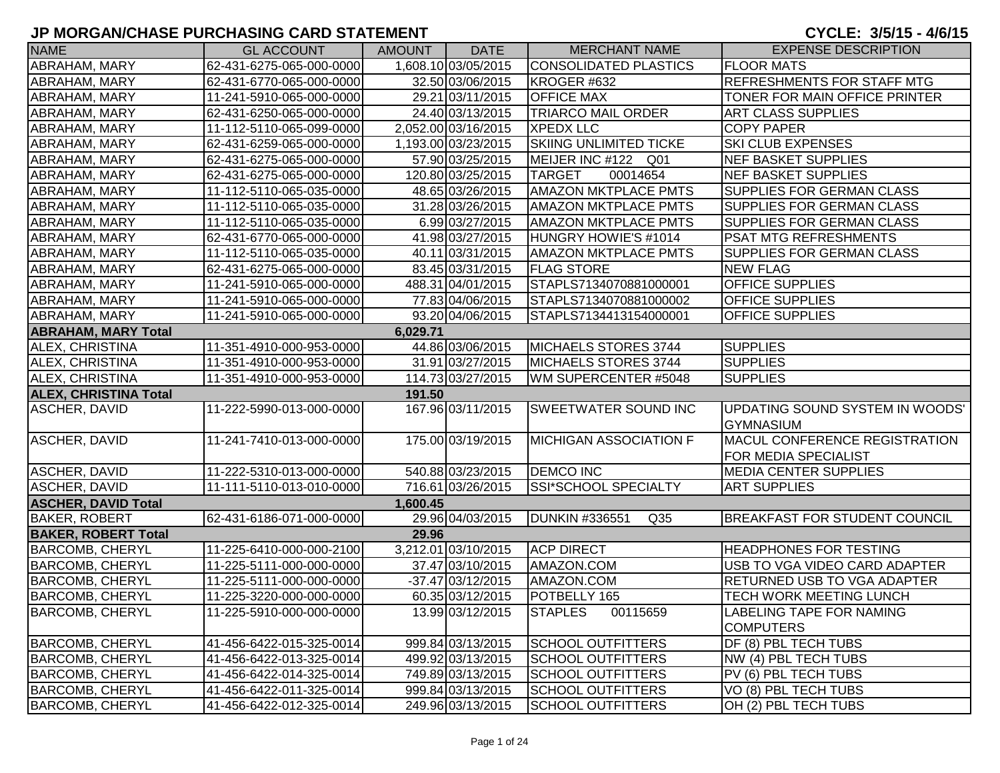| <b>NAME</b>                  | <b>GL ACCOUNT</b>        | <b>AMOUNT</b> | <b>DATE</b>         | <b>MERCHANT NAME</b>                     | <b>EXPENSE DESCRIPTION</b>                          |
|------------------------------|--------------------------|---------------|---------------------|------------------------------------------|-----------------------------------------------------|
| ABRAHAM, MARY                | 62-431-6275-065-000-0000 |               | 1,608.10 03/05/2015 | CONSOLIDATED PLASTICS                    | <b>FLOOR MATS</b>                                   |
| ABRAHAM, MARY                | 62-431-6770-065-000-0000 |               | 32.50 03/06/2015    | KROGER #632                              | REFRESHMENTS FOR STAFF MTG                          |
| ABRAHAM, MARY                | 11-241-5910-065-000-0000 |               | 29.21 03/11/2015    | <b>OFFICE MAX</b>                        | TONER FOR MAIN OFFICE PRINTER                       |
| ABRAHAM, MARY                | 62-431-6250-065-000-0000 |               | 24.40 03/13/2015    | <b>TRIARCO MAIL ORDER</b>                | <b>ART CLASS SUPPLIES</b>                           |
| ABRAHAM, MARY                | 11-112-5110-065-099-0000 |               | 2,052.00 03/16/2015 | <b>XPEDX LLC</b>                         | <b>COPY PAPER</b>                                   |
| ABRAHAM, MARY                | 62-431-6259-065-000-0000 |               | 1,193.00 03/23/2015 | <b>SKIING UNLIMITED TICKE</b>            | SKI CLUB EXPENSES                                   |
| ABRAHAM, MARY                | 62-431-6275-065-000-0000 |               | 57.90 03/25/2015    | MEIJER INC #122 Q01                      | NEF BASKET SUPPLIES                                 |
| ABRAHAM, MARY                | 62-431-6275-065-000-0000 |               | 120.80 03/25/2015   | <b>TARGET</b><br>00014654                | NEF BASKET SUPPLIES                                 |
| ABRAHAM, MARY                | 11-112-5110-065-035-0000 |               | 48.65 03/26/2015    | <b>AMAZON MKTPLACE PMTS</b>              | SUPPLIES FOR GERMAN CLASS                           |
| ABRAHAM, MARY                | 11-112-5110-065-035-0000 |               | 31.28 03/26/2015    | <b>AMAZON MKTPLACE PMTS</b>              | SUPPLIES FOR GERMAN CLASS                           |
| ABRAHAM, MARY                | 11-112-5110-065-035-0000 |               | 6.99 03/27/2015     | <b>AMAZON MKTPLACE PMTS</b>              | SUPPLIES FOR GERMAN CLASS                           |
| ABRAHAM, MARY                | 62-431-6770-065-000-0000 |               | 41.98 03/27/2015    | HUNGRY HOWIE'S #1014                     | PSAT MTG REFRESHMENTS                               |
| ABRAHAM, MARY                | 11-112-5110-065-035-0000 |               | 40.11 03/31/2015    | <b>AMAZON MKTPLACE PMTS</b>              | SUPPLIES FOR GERMAN CLASS                           |
| ABRAHAM, MARY                | 62-431-6275-065-000-0000 |               | 83.45 03/31/2015    | <b>FLAG STORE</b>                        | <b>NEW FLAG</b>                                     |
| ABRAHAM, MARY                | 11-241-5910-065-000-0000 |               | 488.31 04/01/2015   | STAPLS7134070881000001                   | OFFICE SUPPLIES                                     |
| ABRAHAM, MARY                | 11-241-5910-065-000-0000 |               | 77.83 04/06/2015    | STAPLS7134070881000002                   | OFFICE SUPPLIES                                     |
| ABRAHAM, MARY                | 11-241-5910-065-000-0000 |               | 93.20 04/06/2015    | STAPLS7134413154000001                   | <b>OFFICE SUPPLIES</b>                              |
| <b>ABRAHAM, MARY Total</b>   |                          | 6,029.71      |                     |                                          |                                                     |
| ALEX, CHRISTINA              | 11-351-4910-000-953-0000 |               | 44.86 03/06/2015    | MICHAELS STORES 3744                     | <b>SUPPLIES</b>                                     |
| ALEX, CHRISTINA              | 11-351-4910-000-953-0000 |               | 31.91 03/27/2015    | MICHAELS STORES 3744                     | <b>SUPPLIES</b>                                     |
| <b>ALEX, CHRISTINA</b>       | 11-351-4910-000-953-0000 |               | 114.73 03/27/2015   | WM SUPERCENTER #5048                     | <b>SUPPLIES</b>                                     |
| <b>ALEX, CHRISTINA Total</b> |                          | 191.50        |                     |                                          |                                                     |
| ASCHER, DAVID                | 11-222-5990-013-000-0000 |               | 167.96 03/11/2015   | <b>SWEETWATER SOUND INC</b>              | UPDATING SOUND SYSTEM IN WOODS'<br><b>GYMNASIUM</b> |
| <b>ASCHER, DAVID</b>         | 11-241-7410-013-000-0000 |               | 175.00 03/19/2015   | <b>MICHIGAN ASSOCIATION F</b>            | <b>MACUL CONFERENCE REGISTRATION</b>                |
|                              |                          |               |                     |                                          | FOR MEDIA SPECIALIST                                |
| <b>ASCHER, DAVID</b>         | 11-222-5310-013-000-0000 |               | 540.88 03/23/2015   | <b>DEMCO INC</b>                         | <b>MEDIA CENTER SUPPLIES</b>                        |
| ASCHER, DAVID                | 11-111-5110-013-010-0000 |               | 716.61 03/26/2015   | SSI*SCHOOL SPECIALTY                     | <b>ART SUPPLIES</b>                                 |
| <b>ASCHER, DAVID Total</b>   |                          | 1,600.45      |                     |                                          |                                                     |
| <b>BAKER, ROBERT</b>         | 62-431-6186-071-000-0000 |               | 29.96 04/03/2015    | <b>DUNKIN #336551</b><br>Q <sub>35</sub> | <b>BREAKFAST FOR STUDENT COUNCIL</b>                |
| <b>BAKER, ROBERT Total</b>   |                          | 29.96         |                     |                                          |                                                     |
| <b>BARCOMB, CHERYL</b>       | 11-225-6410-000-000-2100 |               | 3,212.01 03/10/2015 | <b>ACP DIRECT</b>                        | <b>HEADPHONES FOR TESTING</b>                       |
| <b>BARCOMB, CHERYL</b>       | 11-225-5111-000-000-0000 |               | 37.47 03/10/2015    | AMAZON.COM                               | USB TO VGA VIDEO CARD ADAPTER                       |
| <b>BARCOMB, CHERYL</b>       | 11-225-5111-000-000-0000 |               | -37.47 03/12/2015   | AMAZON.COM                               | <b>RETURNED USB TO VGA ADAPTER</b>                  |
| <b>BARCOMB, CHERYL</b>       | 11-225-3220-000-000-0000 |               | 60.35 03/12/2015    | POTBELLY 165                             | TECH WORK MEETING LUNCH                             |
| BARCOMB, CHERYL              | 11-225-5910-000-000-0000 |               | 13.99 03/12/2015    | <b>STAPLES</b><br>00115659               | LABELING TAPE FOR NAMING<br><b>COMPUTERS</b>        |
| <b>BARCOMB, CHERYL</b>       | 41-456-6422-015-325-0014 |               | 999.84 03/13/2015   | SCHOOL OUTFITTERS                        | DF (8) PBL TECH TUBS                                |
| <b>BARCOMB, CHERYL</b>       | 41-456-6422-013-325-0014 |               | 499.92 03/13/2015   | <b>SCHOOL OUTFITTERS</b>                 | NW (4) PBL TECH TUBS                                |
| <b>BARCOMB, CHERYL</b>       | 41-456-6422-014-325-0014 |               | 749.89 03/13/2015   | <b>SCHOOL OUTFITTERS</b>                 | PV (6) PBL TECH TUBS                                |
| <b>BARCOMB, CHERYL</b>       | 41-456-6422-011-325-0014 |               | 999.84 03/13/2015   | <b>SCHOOL OUTFITTERS</b>                 | VO (8) PBL TECH TUBS                                |
| <b>BARCOMB, CHERYL</b>       | 41-456-6422-012-325-0014 |               | 249.96 03/13/2015   | <b>SCHOOL OUTFITTERS</b>                 | OH (2) PBL TECH TUBS                                |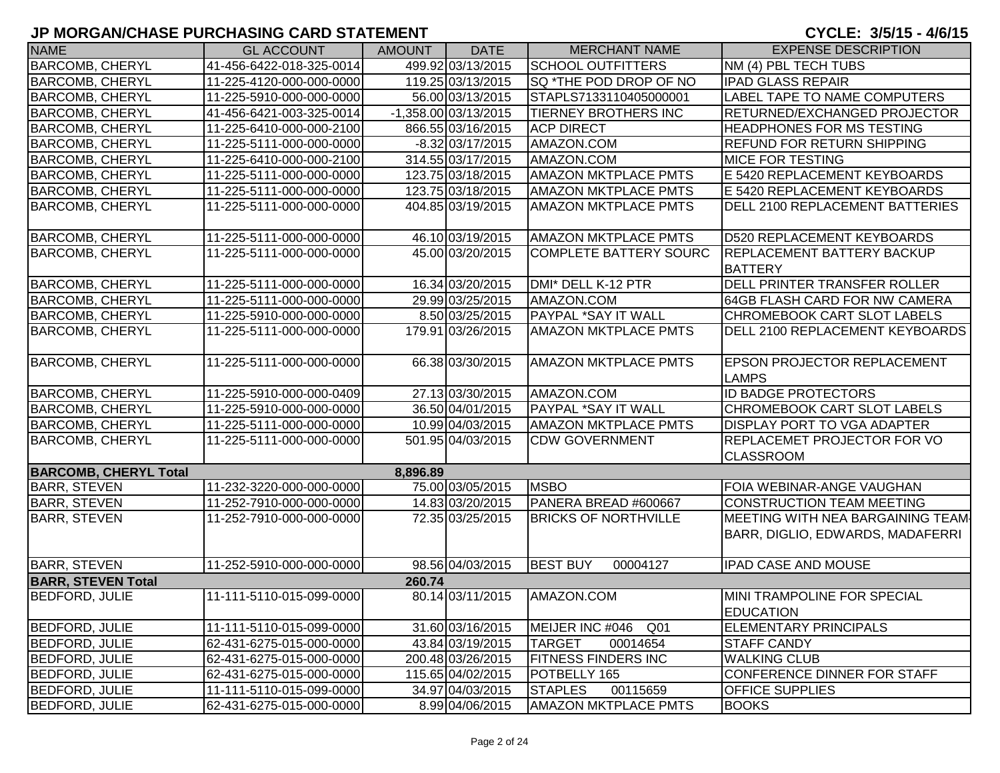| <b>NAME</b>                  | <b>GL ACCOUNT</b>        | <b>AMOUNT</b> | <b>DATE</b>          | <b>MERCHANT NAME</b>               | <b>EXPENSE DESCRIPTION</b>                                            |
|------------------------------|--------------------------|---------------|----------------------|------------------------------------|-----------------------------------------------------------------------|
| <b>BARCOMB, CHERYL</b>       | 41-456-6422-018-325-0014 |               | 499.92 03/13/2015    | <b>SCHOOL OUTFITTERS</b>           | NM (4) PBL TECH TUBS                                                  |
| <b>BARCOMB, CHERYL</b>       | 11-225-4120-000-000-0000 |               | 119.25 03/13/2015    | SQ *THE POD DROP OF NO             | <b>IPAD GLASS REPAIR</b>                                              |
| <b>BARCOMB, CHERYL</b>       | 11-225-5910-000-000-0000 |               | 56.00 03/13/2015     | STAPLS7133110405000001             | LABEL TAPE TO NAME COMPUTERS                                          |
| <b>BARCOMB, CHERYL</b>       | 41-456-6421-003-325-0014 |               | -1,358.00 03/13/2015 | <b>TIERNEY BROTHERS INC</b>        | RETURNED/EXCHANGED PROJECTOR                                          |
| <b>BARCOMB, CHERYL</b>       | 11-225-6410-000-000-2100 |               | 866.55 03/16/2015    | <b>ACP DIRECT</b>                  | <b>HEADPHONES FOR MS TESTING</b>                                      |
| <b>BARCOMB, CHERYL</b>       | 11-225-5111-000-000-0000 |               | $-8.32$ 03/17/2015   | AMAZON.COM                         | <b>REFUND FOR RETURN SHIPPING</b>                                     |
| <b>BARCOMB, CHERYL</b>       | 11-225-6410-000-000-2100 |               | 314.55 03/17/2015    | AMAZON.COM                         | <b>MICE FOR TESTING</b>                                               |
| <b>BARCOMB, CHERYL</b>       | 11-225-5111-000-000-0000 |               | 123.75 03/18/2015    | <b>AMAZON MKTPLACE PMTS</b>        | E 5420 REPLACEMENT KEYBOARDS                                          |
| <b>BARCOMB, CHERYL</b>       | 11-225-5111-000-000-0000 |               | 123.75 03/18/2015    | <b>AMAZON MKTPLACE PMTS</b>        | E 5420 REPLACEMENT KEYBOARDS                                          |
| <b>BARCOMB, CHERYL</b>       | 11-225-5111-000-000-0000 |               | 404.85 03/19/2015    | <b>AMAZON MKTPLACE PMTS</b>        | DELL 2100 REPLACEMENT BATTERIES                                       |
| <b>BARCOMB, CHERYL</b>       | 11-225-5111-000-000-0000 |               | 46.10 03/19/2015     | <b>AMAZON MKTPLACE PMTS</b>        | D520 REPLACEMENT KEYBOARDS                                            |
| <b>BARCOMB, CHERYL</b>       | 11-225-5111-000-000-0000 |               | 45.00 03/20/2015     | <b>COMPLETE BATTERY SOURC</b>      | REPLACEMENT BATTERY BACKUP<br><b>BATTERY</b>                          |
| <b>BARCOMB, CHERYL</b>       | 11-225-5111-000-000-0000 |               | 16.34 03/20/2015     | DMI* DELL K-12 PTR                 | DELL PRINTER TRANSFER ROLLER                                          |
| <b>BARCOMB, CHERYL</b>       | 11-225-5111-000-000-0000 |               | 29.99 03/25/2015     | AMAZON.COM                         | 64GB FLASH CARD FOR NW CAMERA                                         |
| <b>BARCOMB, CHERYL</b>       | 11-225-5910-000-000-0000 |               | 8.50 03/25/2015      | <b>PAYPAL *SAY IT WALL</b>         | <b>CHROMEBOOK CART SLOT LABELS</b>                                    |
| <b>BARCOMB, CHERYL</b>       | 11-225-5111-000-000-0000 |               | 179.91 03/26/2015    | <b>AMAZON MKTPLACE PMTS</b>        | DELL 2100 REPLACEMENT KEYBOARDS                                       |
| <b>BARCOMB, CHERYL</b>       | 11-225-5111-000-000-0000 |               | 66.38 03/30/2015     | <b>AMAZON MKTPLACE PMTS</b>        | <b>EPSON PROJECTOR REPLACEMENT</b><br><b>LAMPS</b>                    |
| <b>BARCOMB, CHERYL</b>       | 11-225-5910-000-000-0409 |               | 27.13 03/30/2015     | AMAZON.COM                         | <b>ID BADGE PROTECTORS</b>                                            |
| <b>BARCOMB, CHERYL</b>       | 11-225-5910-000-000-0000 |               | 36.50 04/01/2015     | <b>PAYPAL *SAY IT WALL</b>         | CHROMEBOOK CART SLOT LABELS                                           |
| <b>BARCOMB, CHERYL</b>       | 11-225-5111-000-000-0000 |               | 10.99 04/03/2015     | <b>AMAZON MKTPLACE PMTS</b>        | <b>DISPLAY PORT TO VGA ADAPTER</b>                                    |
| <b>BARCOMB, CHERYL</b>       | 11-225-5111-000-000-0000 |               | 501.95 04/03/2015    | <b>CDW GOVERNMENT</b>              | <b>REPLACEMET PROJECTOR FOR VO</b><br><b>CLASSROOM</b>                |
| <b>BARCOMB, CHERYL Total</b> |                          | 8,896.89      |                      |                                    |                                                                       |
| <b>BARR, STEVEN</b>          | 11-232-3220-000-000-0000 |               | 75.00 03/05/2015     | <b>MSBO</b>                        | FOIA WEBINAR-ANGE VAUGHAN                                             |
| <b>BARR, STEVEN</b>          | 11-252-7910-000-000-0000 |               | 14.83 03/20/2015     | PANERA BREAD #600667               | <b>CONSTRUCTION TEAM MEETING</b>                                      |
| <b>BARR, STEVEN</b>          | 11-252-7910-000-000-0000 |               | 72.35 03/25/2015     | <b>BRICKS OF NORTHVILLE</b>        | MEETING WITH NEA BARGAINING TEAM-<br>BARR, DIGLIO, EDWARDS, MADAFERRI |
| <b>BARR, STEVEN</b>          | 11-252-5910-000-000-0000 |               | 98.56 04/03/2015     | <b>BEST BUY</b><br>00004127        | <b>IPAD CASE AND MOUSE</b>                                            |
| <b>BARR, STEVEN Total</b>    |                          | 260.74        |                      |                                    |                                                                       |
| <b>BEDFORD, JULIE</b>        | 11-111-5110-015-099-0000 |               | 80.14 03/11/2015     | AMAZON.COM                         | MINI TRAMPOLINE FOR SPECIAL<br><b>EDUCATION</b>                       |
| <b>BEDFORD, JULIE</b>        | 11-111-5110-015-099-0000 |               | 31.60 03/16/2015     | MEIJER INC #046<br>Q <sub>01</sub> | <b>ELEMENTARY PRINCIPALS</b>                                          |
| <b>BEDFORD, JULIE</b>        | 62-431-6275-015-000-0000 |               | 43.84 03/19/2015     | <b>TARGET</b><br>00014654          | <b>STAFF CANDY</b>                                                    |
| <b>BEDFORD, JULIE</b>        | 62-431-6275-015-000-0000 |               | 200.48 03/26/2015    | <b>FITNESS FINDERS INC</b>         | <b>WALKING CLUB</b>                                                   |
| <b>BEDFORD, JULIE</b>        | 62-431-6275-015-000-0000 |               | 115.65 04/02/2015    | POTBELLY 165                       | CONFERENCE DINNER FOR STAFF                                           |
| <b>BEDFORD, JULIE</b>        | 11-111-5110-015-099-0000 |               | 34.97 04/03/2015     | <b>STAPLES</b><br>00115659         | <b>OFFICE SUPPLIES</b>                                                |
| <b>BEDFORD, JULIE</b>        | 62-431-6275-015-000-0000 |               | 8.99 04/06/2015      | <b>AMAZON MKTPLACE PMTS</b>        | <b>BOOKS</b>                                                          |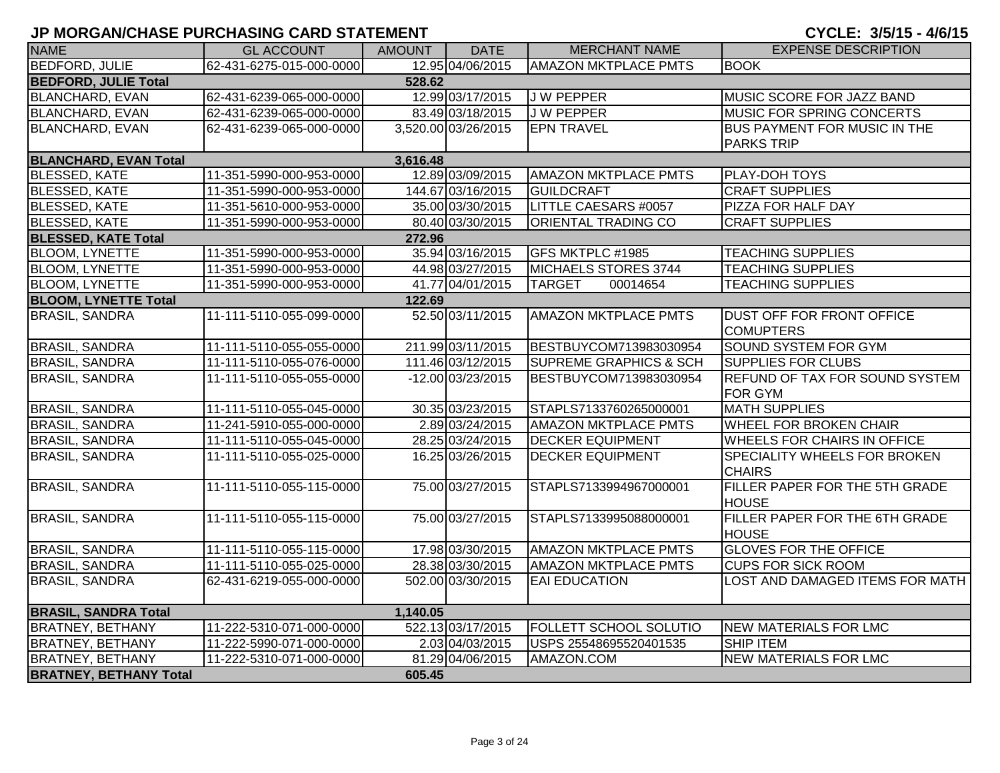| <b>NAME</b>                   | <b>GL ACCOUNT</b>        | AMOUNT   | <b>DATE</b>         | <b>MERCHANT NAME</b>              | <b>EXPENSE DESCRIPTION</b>            |
|-------------------------------|--------------------------|----------|---------------------|-----------------------------------|---------------------------------------|
| <b>BEDFORD, JULIE</b>         | 62-431-6275-015-000-0000 |          | 12.95 04/06/2015    | <b>AMAZON MKTPLACE PMTS</b>       | <b>BOOK</b>                           |
| <b>BEDFORD, JULIE Total</b>   |                          | 528.62   |                     |                                   |                                       |
| <b>BLANCHARD, EVAN</b>        | 62-431-6239-065-000-0000 |          | 12.99 03/17/2015    | <b>JW PEPPER</b>                  | MUSIC SCORE FOR JAZZ BAND             |
| BLANCHARD, EVAN               | 62-431-6239-065-000-0000 |          | 83.49 03/18/2015    | J W PEPPER                        | MUSIC FOR SPRING CONCERTS             |
| <b>BLANCHARD, EVAN</b>        | 62-431-6239-065-000-0000 |          | 3,520.00 03/26/2015 | <b>EPN TRAVEL</b>                 | BUS PAYMENT FOR MUSIC IN THE          |
|                               |                          |          |                     |                                   | <b>PARKS TRIP</b>                     |
| <b>BLANCHARD, EVAN Total</b>  |                          | 3,616.48 |                     |                                   |                                       |
| <b>BLESSED, KATE</b>          | 11-351-5990-000-953-0000 |          | 12.89 03/09/2015    | <b>AMAZON MKTPLACE PMTS</b>       | PLAY-DOH TOYS                         |
| <b>BLESSED, KATE</b>          | 11-351-5990-000-953-0000 |          | 144.67 03/16/2015   | <b>GUILDCRAFT</b>                 | <b>CRAFT SUPPLIES</b>                 |
| <b>BLESSED, KATE</b>          | 11-351-5610-000-953-0000 |          | 35.00 03/30/2015    | LITTLE CAESARS #0057              | PIZZA FOR HALF DAY                    |
| <b>BLESSED, KATE</b>          | 11-351-5990-000-953-0000 |          | 80.40 03/30/2015    | ORIENTAL TRADING CO               | <b>CRAFT SUPPLIES</b>                 |
| <b>BLESSED, KATE Total</b>    |                          | 272.96   |                     |                                   |                                       |
| <b>BLOOM, LYNETTE</b>         | 11-351-5990-000-953-0000 |          | 35.94 03/16/2015    | GFS MKTPLC #1985                  | <b>TEACHING SUPPLIES</b>              |
| <b>BLOOM, LYNETTE</b>         | 11-351-5990-000-953-0000 |          | 44.98 03/27/2015    | MICHAELS STORES 3744              | <b>TEACHING SUPPLIES</b>              |
| <b>BLOOM, LYNETTE</b>         | 11-351-5990-000-953-0000 |          | 41.77 04/01/2015    | <b>TARGET</b><br>00014654         | <b>TEACHING SUPPLIES</b>              |
| <b>BLOOM, LYNETTE Total</b>   |                          | 122.69   |                     |                                   |                                       |
| <b>BRASIL, SANDRA</b>         | 11-111-5110-055-099-0000 |          | 52.50 03/11/2015    | <b>AMAZON MKTPLACE PMTS</b>       | <b>DUST OFF FOR FRONT OFFICE</b>      |
|                               |                          |          |                     |                                   | <b>COMUPTERS</b>                      |
| <b>BRASIL, SANDRA</b>         | 11-111-5110-055-055-0000 |          | 211.99 03/11/2015   | BESTBUYCOM713983030954            | <b>SOUND SYSTEM FOR GYM</b>           |
| <b>BRASIL, SANDRA</b>         | 11-111-5110-055-076-0000 |          | 111.46 03/12/2015   | <b>SUPREME GRAPHICS &amp; SCH</b> | <b>SUPPLIES FOR CLUBS</b>             |
| <b>BRASIL, SANDRA</b>         | 11-111-5110-055-055-0000 |          | -12.00 03/23/2015   | BESTBUYCOM713983030954            | <b>REFUND OF TAX FOR SOUND SYSTEM</b> |
|                               |                          |          |                     |                                   | <b>FOR GYM</b>                        |
| <b>BRASIL, SANDRA</b>         | 11-111-5110-055-045-0000 |          | 30.35 03/23/2015    | STAPLS7133760265000001            | <b>MATH SUPPLIES</b>                  |
| <b>BRASIL, SANDRA</b>         | 11-241-5910-055-000-0000 |          | 2.89 03/24/2015     | <b>AMAZON MKTPLACE PMTS</b>       | <b>WHEEL FOR BROKEN CHAIR</b>         |
| <b>BRASIL, SANDRA</b>         | 11-111-5110-055-045-0000 |          | 28.25 03/24/2015    | <b>DECKER EQUIPMENT</b>           | <b>WHEELS FOR CHAIRS IN OFFICE</b>    |
| <b>BRASIL, SANDRA</b>         | 11-111-5110-055-025-0000 |          | 16.25 03/26/2015    | <b>DECKER EQUIPMENT</b>           | SPECIALITY WHEELS FOR BROKEN          |
|                               |                          |          |                     |                                   | <b>CHAIRS</b>                         |
| <b>BRASIL, SANDRA</b>         | 11-111-5110-055-115-0000 |          | 75.00 03/27/2015    | STAPLS7133994967000001            | FILLER PAPER FOR THE 5TH GRADE        |
|                               |                          |          |                     |                                   | <b>HOUSE</b>                          |
| <b>BRASIL, SANDRA</b>         | 11-111-5110-055-115-0000 |          | 75.00 03/27/2015    | STAPLS7133995088000001            | FILLER PAPER FOR THE 6TH GRADE        |
|                               |                          |          |                     |                                   | <b>HOUSE</b>                          |
| <b>BRASIL, SANDRA</b>         | 11-111-5110-055-115-0000 |          | 17.98 03/30/2015    | <b>AMAZON MKTPLACE PMTS</b>       | <b>GLOVES FOR THE OFFICE</b>          |
| <b>BRASIL, SANDRA</b>         | 11-111-5110-055-025-0000 |          | 28.38 03/30/2015    | <b>AMAZON MKTPLACE PMTS</b>       | <b>CUPS FOR SICK ROOM</b>             |
| <b>BRASIL, SANDRA</b>         | 62-431-6219-055-000-0000 |          | 502.00 03/30/2015   | <b>EAI EDUCATION</b>              | LOST AND DAMAGED ITEMS FOR MATH       |
|                               |                          |          |                     |                                   |                                       |
| <b>BRASIL, SANDRA Total</b>   |                          | 1,140.05 |                     |                                   |                                       |
| <b>BRATNEY, BETHANY</b>       | 11-222-5310-071-000-0000 |          | 522.13 03/17/2015   | <b>FOLLETT SCHOOL SOLUTIO</b>     | NEW MATERIALS FOR LMC                 |
| <b>BRATNEY, BETHANY</b>       | 11-222-5990-071-000-0000 |          | 2.03 04/03/2015     | USPS 25548695520401535            | <b>SHIP ITEM</b>                      |
| <b>BRATNEY, BETHANY</b>       | 11-222-5310-071-000-0000 |          | 81.29 04/06/2015    | AMAZON.COM                        | <b>NEW MATERIALS FOR LMC</b>          |
| <b>BRATNEY, BETHANY Total</b> |                          | 605.45   |                     |                                   |                                       |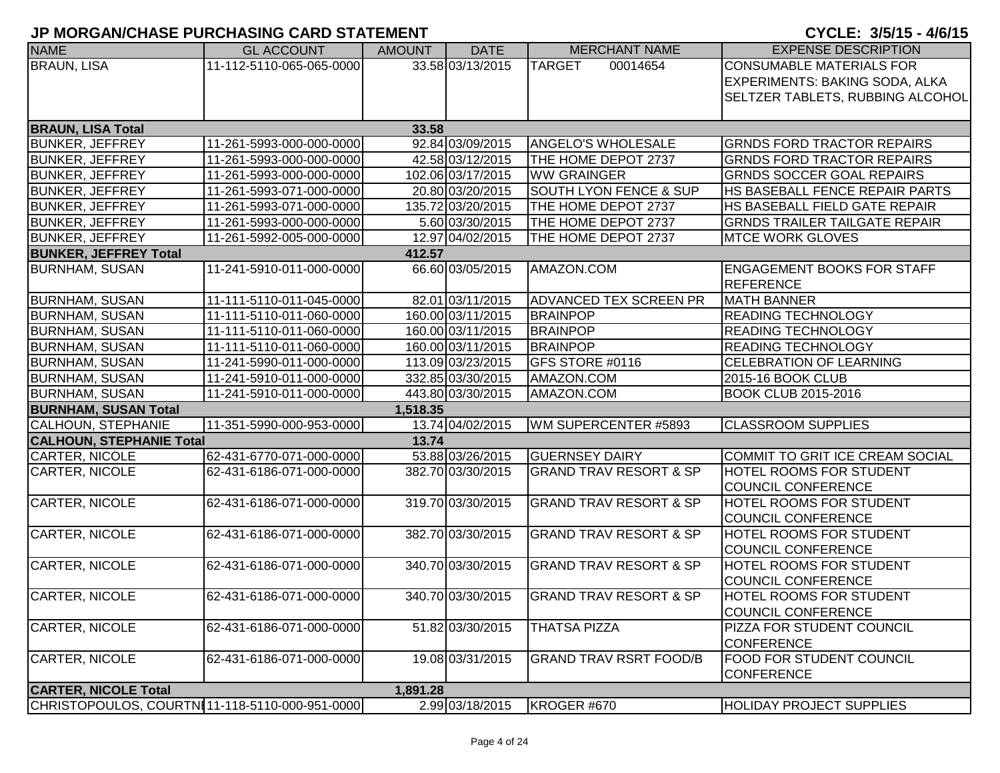| <b>NAME</b>                     | <b>GL ACCOUNT</b>                             | <b>AMOUNT</b> | <b>DATE</b>       | <b>MERCHANT NAME</b>              | <b>EXPENSE DESCRIPTION</b>           |
|---------------------------------|-----------------------------------------------|---------------|-------------------|-----------------------------------|--------------------------------------|
| <b>BRAUN, LISA</b>              | 11-112-5110-065-065-0000                      |               | 33.58 03/13/2015  | <b>TARGET</b><br>00014654         | <b>CONSUMABLE MATERIALS FOR</b>      |
|                                 |                                               |               |                   |                                   | EXPERIMENTS: BAKING SODA, ALKA       |
|                                 |                                               |               |                   |                                   | SELTZER TABLETS, RUBBING ALCOHOL     |
|                                 |                                               |               |                   |                                   |                                      |
| <b>BRAUN, LISA Total</b>        |                                               | 33.58         |                   |                                   |                                      |
| <b>BUNKER, JEFFREY</b>          | 11-261-5993-000-000-0000                      |               | 92.84 03/09/2015  | ANGELO'S WHOLESALE                | <b>GRNDS FORD TRACTOR REPAIRS</b>    |
| <b>BUNKER, JEFFREY</b>          | 11-261-5993-000-000-0000                      |               | 42.58 03/12/2015  | THE HOME DEPOT 2737               | <b>GRNDS FORD TRACTOR REPAIRS</b>    |
| <b>BUNKER, JEFFREY</b>          | 11-261-5993-000-000-0000                      |               | 102.06 03/17/2015 | <b>WW GRAINGER</b>                | <b>GRNDS SOCCER GOAL REPAIRS</b>     |
| <b>BUNKER, JEFFREY</b>          | 11-261-5993-071-000-0000                      |               | 20.80 03/20/2015  | <b>SOUTH LYON FENCE &amp; SUP</b> | HS BASEBALL FENCE REPAIR PARTS       |
| <b>BUNKER, JEFFREY</b>          | 11-261-5993-071-000-0000                      |               | 135.72 03/20/2015 | THE HOME DEPOT 2737               | HS BASEBALL FIELD GATE REPAIR        |
| <b>BUNKER, JEFFREY</b>          | 11-261-5993-000-000-0000                      |               | 5.60 03/30/2015   | THE HOME DEPOT 2737               | <b>GRNDS TRAILER TAILGATE REPAIR</b> |
| <b>BUNKER, JEFFREY</b>          | 11-261-5992-005-000-0000                      |               | 12.97 04/02/2015  | THE HOME DEPOT 2737               | <b>MTCE WORK GLOVES</b>              |
| <b>BUNKER, JEFFREY Total</b>    |                                               | 412.57        |                   |                                   |                                      |
| <b>BURNHAM, SUSAN</b>           | 11-241-5910-011-000-0000                      |               | 66.60 03/05/2015  | AMAZON.COM                        | <b>ENGAGEMENT BOOKS FOR STAFF</b>    |
|                                 |                                               |               |                   |                                   | <b>REFERENCE</b>                     |
| <b>BURNHAM, SUSAN</b>           | 11-111-5110-011-045-0000                      |               | 82.01 03/11/2015  | ADVANCED TEX SCREEN PR            | <b>MATH BANNER</b>                   |
| <b>BURNHAM, SUSAN</b>           | 11-111-5110-011-060-0000                      |               | 160.00 03/11/2015 | <b>BRAINPOP</b>                   | <b>READING TECHNOLOGY</b>            |
| <b>BURNHAM, SUSAN</b>           | 11-111-5110-011-060-0000                      |               | 160.00 03/11/2015 | <b>BRAINPOP</b>                   | <b>READING TECHNOLOGY</b>            |
| <b>BURNHAM, SUSAN</b>           | 11-111-5110-011-060-0000                      |               | 160.00 03/11/2015 | <b>BRAINPOP</b>                   | <b>READING TECHNOLOGY</b>            |
| <b>BURNHAM, SUSAN</b>           | 11-241-5990-011-000-0000                      |               | 113.09 03/23/2015 | GFS STORE #0116                   | <b>CELEBRATION OF LEARNING</b>       |
| <b>BURNHAM, SUSAN</b>           | 11-241-5910-011-000-0000                      |               | 332.85 03/30/2015 | AMAZON.COM                        | 2015-16 BOOK CLUB                    |
| <b>BURNHAM, SUSAN</b>           | 11-241-5910-011-000-0000                      |               | 443.80 03/30/2015 | AMAZON.COM                        | <b>BOOK CLUB 2015-2016</b>           |
| <b>BURNHAM, SUSAN Total</b>     |                                               | 1,518.35      |                   |                                   |                                      |
| <b>CALHOUN, STEPHANIE</b>       | 11-351-5990-000-953-0000                      |               | 13.74 04/02/2015  | WM SUPERCENTER #5893              | <b>CLASSROOM SUPPLIES</b>            |
| <b>CALHOUN, STEPHANIE Total</b> |                                               | 13.74         |                   |                                   |                                      |
| CARTER, NICOLE                  | 62-431-6770-071-000-0000                      |               | 53.88 03/26/2015  | <b>GUERNSEY DAIRY</b>             | COMMIT TO GRIT ICE CREAM SOCIAL      |
| <b>CARTER, NICOLE</b>           | 62-431-6186-071-000-0000                      |               | 382.70 03/30/2015 | <b>GRAND TRAV RESORT &amp; SP</b> | <b>HOTEL ROOMS FOR STUDENT</b>       |
|                                 |                                               |               |                   |                                   | <b>COUNCIL CONFERENCE</b>            |
| CARTER, NICOLE                  | 62-431-6186-071-000-0000                      |               | 319.70 03/30/2015 | <b>GRAND TRAV RESORT &amp; SP</b> | <b>HOTEL ROOMS FOR STUDENT</b>       |
|                                 |                                               |               |                   |                                   | COUNCIL CONFERENCE                   |
| CARTER, NICOLE                  | 62-431-6186-071-000-0000                      |               | 382.70 03/30/2015 | <b>GRAND TRAV RESORT &amp; SP</b> | <b>HOTEL ROOMS FOR STUDENT</b>       |
|                                 |                                               |               |                   |                                   | <b>COUNCIL CONFERENCE</b>            |
| CARTER, NICOLE                  | 62-431-6186-071-000-0000                      |               | 340.70 03/30/2015 | <b>GRAND TRAV RESORT &amp; SP</b> | <b>HOTEL ROOMS FOR STUDENT</b>       |
|                                 |                                               |               |                   |                                   | <b>COUNCIL CONFERENCE</b>            |
| CARTER, NICOLE                  | 62-431-6186-071-000-0000                      |               | 340.70 03/30/2015 | <b>GRAND TRAV RESORT &amp; SP</b> | <b>HOTEL ROOMS FOR STUDENT</b>       |
|                                 |                                               |               |                   |                                   | COUNCIL CONFERENCE                   |
| <b>CARTER, NICOLE</b>           | 62-431-6186-071-000-0000                      |               | 51.82 03/30/2015  | <b>THATSA PIZZA</b>               | PIZZA FOR STUDENT COUNCIL            |
|                                 |                                               |               |                   |                                   | <b>CONFERENCE</b>                    |
| CARTER, NICOLE                  | 62-431-6186-071-000-0000                      |               | 19.08 03/31/2015  | <b>GRAND TRAV RSRT FOOD/B</b>     | <b>FOOD FOR STUDENT COUNCIL</b>      |
|                                 |                                               |               |                   |                                   | <b>CONFERENCE</b>                    |
| <b>CARTER, NICOLE Total</b>     |                                               | 1,891.28      |                   |                                   |                                      |
|                                 | CHRISTOPOULOS, COURTN11-118-5110-000-951-0000 |               | 2.99 03/18/2015   | KROGER #670                       | <b>HOLIDAY PROJECT SUPPLIES</b>      |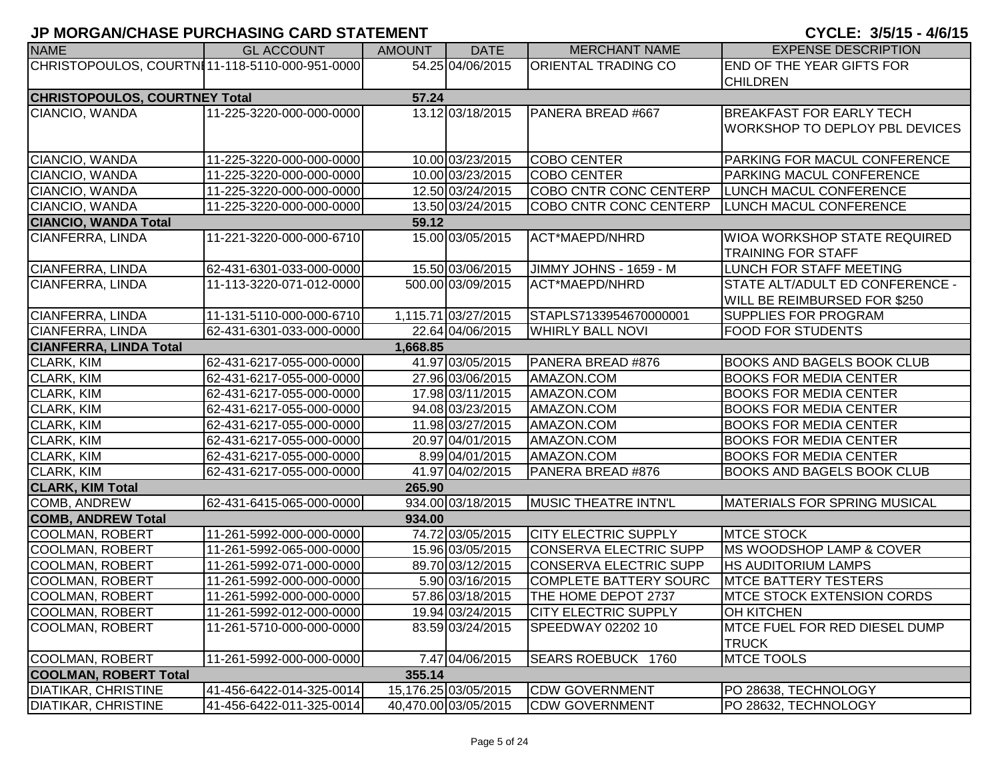| <b>NAME</b>                                    | <b>GL ACCOUNT</b>        | <b>AMOUNT</b> | <b>DATE</b>          | <b>MERCHANT NAME</b>        | <b>EXPENSE DESCRIPTION</b>            |
|------------------------------------------------|--------------------------|---------------|----------------------|-----------------------------|---------------------------------------|
| CHRISTOPOULOS, COURTNI11-118-5110-000-951-0000 |                          |               | 54.25 04/06/2015     | <b>ORIENTAL TRADING CO</b>  | END OF THE YEAR GIFTS FOR             |
|                                                |                          |               |                      |                             | <b>CHILDREN</b>                       |
| <b>CHRISTOPOULOS, COURTNEY Total</b>           |                          | 57.24         |                      |                             |                                       |
| CIANCIO, WANDA                                 | 11-225-3220-000-000-0000 |               | 13.12 03/18/2015     | PANERA BREAD #667           | <b>BREAKFAST FOR EARLY TECH</b>       |
|                                                |                          |               |                      |                             | <b>WORKSHOP TO DEPLOY PBL DEVICES</b> |
|                                                |                          |               |                      |                             |                                       |
| CIANCIO, WANDA                                 | 11-225-3220-000-000-0000 |               | 10.00 03/23/2015     | <b>COBO CENTER</b>          | PARKING FOR MACUL CONFERENCE          |
| CIANCIO, WANDA                                 | 11-225-3220-000-000-0000 |               | 10.00 03/23/2015     | <b>COBO CENTER</b>          | PARKING MACUL CONFERENCE              |
| CIANCIO, WANDA                                 | 11-225-3220-000-000-0000 |               | 12.50 03/24/2015     | COBO CNTR CONC CENTERP      | LUNCH MACUL CONFERENCE                |
| CIANCIO, WANDA                                 | 11-225-3220-000-000-0000 |               | 13.50 03/24/2015     | COBO CNTR CONC CENTERP      | LUNCH MACUL CONFERENCE                |
| <b>CIANCIO, WANDA Total</b>                    |                          | 59.12         |                      |                             |                                       |
| CIANFERRA, LINDA                               | 11-221-3220-000-000-6710 |               | 15.00 03/05/2015     | ACT*MAEPD/NHRD              | WIOA WORKSHOP STATE REQUIRED          |
|                                                |                          |               |                      |                             | <b>TRAINING FOR STAFF</b>             |
| CIANFERRA, LINDA                               | 62-431-6301-033-000-0000 |               | 15.50 03/06/2015     | JIMMY JOHNS - 1659 - M      | LUNCH FOR STAFF MEETING               |
| CIANFERRA, LINDA                               | 11-113-3220-071-012-0000 |               | 500.00 03/09/2015    | ACT*MAEPD/NHRD              | STATE ALT/ADULT ED CONFERENCE -       |
|                                                |                          |               |                      |                             | WILL BE REIMBURSED FOR \$250          |
| CIANFERRA, LINDA                               | 11-131-5110-000-000-6710 |               | 1,115.71 03/27/2015  | STAPLS7133954670000001      | <b>SUPPLIES FOR PROGRAM</b>           |
| <b>CIANFERRA, LINDA</b>                        | 62-431-6301-033-000-0000 |               | 22.64 04/06/2015     | <b>WHIRLY BALL NOVI</b>     | <b>FOOD FOR STUDENTS</b>              |
| <b>CIANFERRA, LINDA Total</b>                  |                          | 1,668.85      |                      |                             |                                       |
| <b>CLARK, KIM</b>                              | 62-431-6217-055-000-0000 |               | 41.97 03/05/2015     | PANERA BREAD #876           | BOOKS AND BAGELS BOOK CLUB            |
| CLARK, KIM                                     | 62-431-6217-055-000-0000 |               | 27.96 03/06/2015     | AMAZON.COM                  | <b>BOOKS FOR MEDIA CENTER</b>         |
| CLARK, KIM                                     | 62-431-6217-055-000-0000 |               | 17.98 03/11/2015     | AMAZON.COM                  | <b>BOOKS FOR MEDIA CENTER</b>         |
| CLARK, KIM                                     | 62-431-6217-055-000-0000 |               | 94.08 03/23/2015     | AMAZON.COM                  | <b>BOOKS FOR MEDIA CENTER</b>         |
| CLARK, KIM                                     | 62-431-6217-055-000-0000 |               | 11.98 03/27/2015     | AMAZON.COM                  | <b>BOOKS FOR MEDIA CENTER</b>         |
| <b>CLARK, KIM</b>                              | 62-431-6217-055-000-0000 |               | 20.97 04/01/2015     | AMAZON.COM                  | <b>BOOKS FOR MEDIA CENTER</b>         |
| <b>CLARK, KIM</b>                              | 62-431-6217-055-000-0000 |               | 8.99 04/01/2015      | AMAZON.COM                  | <b>BOOKS FOR MEDIA CENTER</b>         |
| <b>CLARK, KIM</b>                              | 62-431-6217-055-000-0000 |               | 41.97 04/02/2015     | PANERA BREAD #876           | <b>BOOKS AND BAGELS BOOK CLUB</b>     |
| <b>CLARK, KIM Total</b>                        |                          | 265.90        |                      |                             |                                       |
| <b>COMB, ANDREW</b>                            | 62-431-6415-065-000-0000 |               | 934.00 03/18/2015    | <b>MUSIC THEATRE INTN'L</b> | <b>MATERIALS FOR SPRING MUSICAL</b>   |
| <b>COMB, ANDREW Total</b>                      |                          | 934.00        |                      |                             |                                       |
| <b>COOLMAN, ROBERT</b>                         | 11-261-5992-000-000-0000 |               | 74.72 03/05/2015     | <b>CITY ELECTRIC SUPPLY</b> | <b>MTCE STOCK</b>                     |
| <b>COOLMAN, ROBERT</b>                         | 11-261-5992-065-000-0000 |               | 15.96 03/05/2015     | CONSERVA ELECTRIC SUPP      | <b>MS WOODSHOP LAMP &amp; COVER</b>   |
| <b>COOLMAN, ROBERT</b>                         | 11-261-5992-071-000-0000 |               | 89.70 03/12/2015     | CONSERVA ELECTRIC SUPP      | HS AUDITORIUM LAMPS                   |
| COOLMAN, ROBERT                                | 11-261-5992-000-000-0000 |               | 5.90 03/16/2015      | COMPLETE BATTERY SOURC      | <b>MTCE BATTERY TESTERS</b>           |
| <b>COOLMAN, ROBERT</b>                         | 11-261-5992-000-000-0000 |               | 57.86 03/18/2015     | THE HOME DEPOT 2737         | <b>IMTCE STOCK EXTENSION CORDS</b>    |
| <b>COOLMAN, ROBERT</b>                         | 11-261-5992-012-000-0000 |               | 19.94 03/24/2015     | <b>CITY ELECTRIC SUPPLY</b> | OH KITCHEN                            |
| <b>COOLMAN, ROBERT</b>                         | 11-261-5710-000-000-0000 |               | 83.59 03/24/2015     | SPEEDWAY 02202 10           | MTCE FUEL FOR RED DIESEL DUMP         |
|                                                |                          |               |                      |                             | <b>TRUCK</b>                          |
| <b>COOLMAN, ROBERT</b>                         | 11-261-5992-000-000-0000 |               | 7.47 04/06/2015      | SEARS ROEBUCK 1760          | <b>MTCE TOOLS</b>                     |
| <b>COOLMAN, ROBERT Total</b>                   |                          | 355.14        |                      |                             |                                       |
| <b>DIATIKAR, CHRISTINE</b>                     | 41-456-6422-014-325-0014 |               | 15,176.25 03/05/2015 | <b>CDW GOVERNMENT</b>       | PO 28638, TECHNOLOGY                  |
| <b>DIATIKAR, CHRISTINE</b>                     | 41-456-6422-011-325-0014 |               | 40,470.00 03/05/2015 | <b>CDW GOVERNMENT</b>       | PO 28632, TECHNOLOGY                  |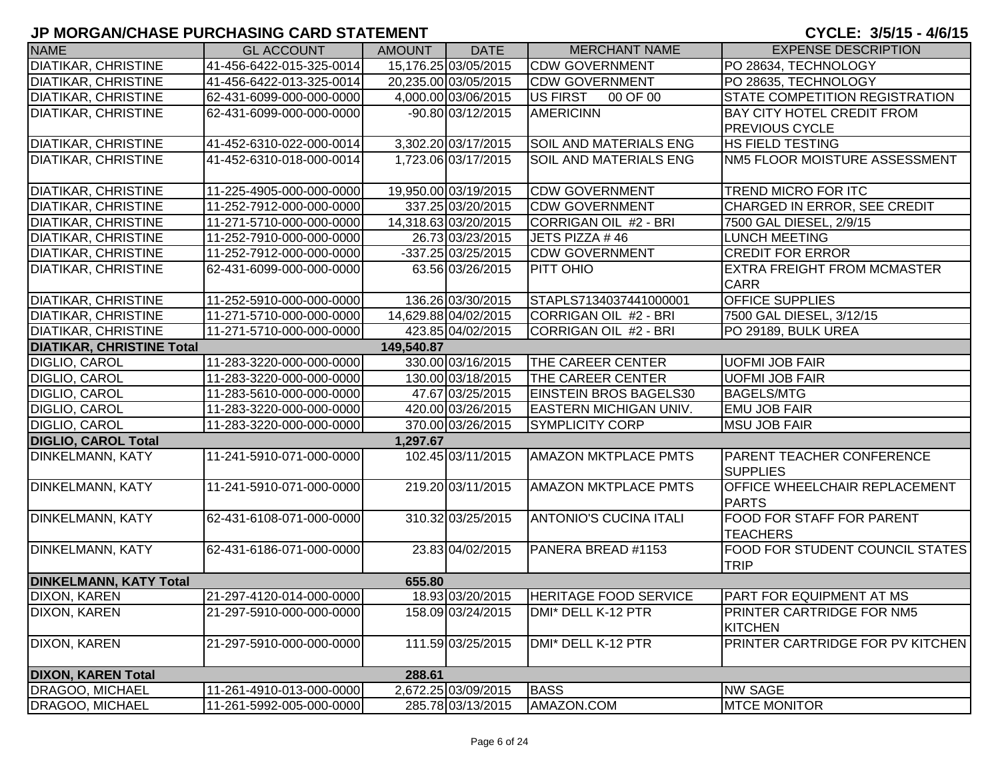| <b>NAME</b>                      | <b>GL ACCOUNT</b>        | <b>AMOUNT</b> | <b>DATE</b>          | <b>MERCHANT NAME</b>          | <b>EXPENSE DESCRIPTION</b>                            |
|----------------------------------|--------------------------|---------------|----------------------|-------------------------------|-------------------------------------------------------|
| <b>DIATIKAR, CHRISTINE</b>       | 41-456-6422-015-325-0014 |               | 15,176.25 03/05/2015 | <b>CDW GOVERNMENT</b>         | PO 28634, TECHNOLOGY                                  |
| <b>DIATIKAR, CHRISTINE</b>       | 41-456-6422-013-325-0014 |               | 20,235.00 03/05/2015 | <b>CDW GOVERNMENT</b>         | PO 28635, TECHNOLOGY                                  |
| <b>DIATIKAR, CHRISTINE</b>       | 62-431-6099-000-000-0000 |               | 4,000.00 03/06/2015  | US FIRST<br>00 OF 00          | STATE COMPETITION REGISTRATION                        |
| <b>DIATIKAR, CHRISTINE</b>       | 62-431-6099-000-000-0000 |               | -90.80 03/12/2015    | <b>AMERICINN</b>              | <b>BAY CITY HOTEL CREDIT FROM</b>                     |
|                                  |                          |               |                      |                               | <b>PREVIOUS CYCLE</b>                                 |
| <b>DIATIKAR, CHRISTINE</b>       | 41-452-6310-022-000-0014 |               | 3,302.20 03/17/2015  | <b>SOIL AND MATERIALS ENG</b> | <b>HS FIELD TESTING</b>                               |
| <b>DIATIKAR, CHRISTINE</b>       | 41-452-6310-018-000-0014 |               | 1,723.06 03/17/2015  | <b>SOIL AND MATERIALS ENG</b> | NM5 FLOOR MOISTURE ASSESSMENT                         |
| <b>DIATIKAR, CHRISTINE</b>       | 11-225-4905-000-000-0000 |               | 19,950.00 03/19/2015 | <b>CDW GOVERNMENT</b>         | <b>TREND MICRO FOR ITC</b>                            |
| <b>DIATIKAR, CHRISTINE</b>       | 11-252-7912-000-000-0000 |               | 337.25 03/20/2015    | <b>CDW GOVERNMENT</b>         | CHARGED IN ERROR, SEE CREDIT                          |
| <b>DIATIKAR, CHRISTINE</b>       | 11-271-5710-000-000-0000 |               | 14,318.63 03/20/2015 | CORRIGAN OIL #2 - BRI         | 7500 GAL DIESEL, 2/9/15                               |
| <b>DIATIKAR, CHRISTINE</b>       | 11-252-7910-000-000-0000 |               | 26.73 03/23/2015     | JETS PIZZA #46                | <b>LUNCH MEETING</b>                                  |
| <b>DIATIKAR, CHRISTINE</b>       | 11-252-7912-000-000-0000 |               | -337.25 03/25/2015   | <b>CDW GOVERNMENT</b>         | <b>CREDIT FOR ERROR</b>                               |
| <b>DIATIKAR, CHRISTINE</b>       | 62-431-6099-000-000-0000 |               | 63.56 03/26/2015     | PITT OHIO                     | <b>EXTRA FREIGHT FROM MCMASTER</b><br><b>CARR</b>     |
| <b>DIATIKAR, CHRISTINE</b>       | 11-252-5910-000-000-0000 |               | 136.26 03/30/2015    | STAPLS7134037441000001        | <b>OFFICE SUPPLIES</b>                                |
| <b>DIATIKAR, CHRISTINE</b>       | 11-271-5710-000-000-0000 |               | 14,629.88 04/02/2015 | CORRIGAN OIL #2 - BRI         | 7500 GAL DIESEL, 3/12/15                              |
| <b>DIATIKAR, CHRISTINE</b>       | 11-271-5710-000-000-0000 |               | 423.85 04/02/2015    | CORRIGAN OIL #2 - BRI         | PO 29189, BULK UREA                                   |
| <b>DIATIKAR, CHRISTINE Total</b> |                          | 149,540.87    |                      |                               |                                                       |
| DIGLIO, CAROL                    | 11-283-3220-000-000-0000 |               | 330.00 03/16/2015    | <b>THE CAREER CENTER</b>      | <b>UOFMI JOB FAIR</b>                                 |
| DIGLIO, CAROL                    | 11-283-3220-000-000-0000 |               | 130.00 03/18/2015    | <b>THE CAREER CENTER</b>      | <b>UOFMI JOB FAIR</b>                                 |
| <b>DIGLIO, CAROL</b>             | 11-283-5610-000-000-0000 |               | 47.67 03/25/2015     | <b>EINSTEIN BROS BAGELS30</b> | <b>BAGELS/MTG</b>                                     |
| DIGLIO, CAROL                    | 11-283-3220-000-000-0000 |               | 420.00 03/26/2015    | <b>EASTERN MICHIGAN UNIV.</b> | <b>EMU JOB FAIR</b>                                   |
| DIGLIO, CAROL                    | 11-283-3220-000-000-0000 |               | 370.00 03/26/2015    | <b>SYMPLICITY CORP</b>        | <b>MSU JOB FAIR</b>                                   |
| <b>DIGLIO, CAROL Total</b>       |                          | 1,297.67      |                      |                               |                                                       |
| <b>DINKELMANN, KATY</b>          | 11-241-5910-071-000-0000 |               | 102.45 03/11/2015    | <b>AMAZON MKTPLACE PMTS</b>   | <b>PARENT TEACHER CONFERENCE</b><br><b>SUPPLIES</b>   |
| <b>DINKELMANN, KATY</b>          | 11-241-5910-071-000-0000 |               | 219.20 03/11/2015    | <b>AMAZON MKTPLACE PMTS</b>   | OFFICE WHEELCHAIR REPLACEMENT<br><b>PARTS</b>         |
| <b>DINKELMANN, KATY</b>          | 62-431-6108-071-000-0000 |               | 310.32 03/25/2015    | <b>ANTONIO'S CUCINA ITALI</b> | FOOD FOR STAFF FOR PARENT<br><b>TEACHERS</b>          |
| <b>DINKELMANN, KATY</b>          | 62-431-6186-071-000-0000 |               | 23.83 04/02/2015     | PANERA BREAD #1153            | <b>FOOD FOR STUDENT COUNCIL STATES</b><br><b>TRIP</b> |
| <b>DINKELMANN, KATY Total</b>    |                          | 655.80        |                      |                               |                                                       |
| DIXON, KAREN                     | 21-297-4120-014-000-0000 |               | 18.93 03/20/2015     | <b>HERITAGE FOOD SERVICE</b>  | <b>PART FOR EQUIPMENT AT MS</b>                       |
| <b>DIXON, KAREN</b>              | 21-297-5910-000-000-0000 |               | 158.09 03/24/2015    | DMI* DELL K-12 PTR            | <b>PRINTER CARTRIDGE FOR NM5</b><br><b>KITCHEN</b>    |
| <b>DIXON, KAREN</b>              | 21-297-5910-000-000-0000 |               | 111.59 03/25/2015    | DMI* DELL K-12 PTR            | PRINTER CARTRIDGE FOR PV KITCHEN                      |
| <b>DIXON, KAREN Total</b>        |                          | 288.61        |                      |                               |                                                       |
| DRAGOO, MICHAEL                  | 11-261-4910-013-000-0000 |               | 2,672.25 03/09/2015  | <b>BASS</b>                   | <b>NW SAGE</b>                                        |
| DRAGOO, MICHAEL                  | 11-261-5992-005-000-0000 |               | 285.78 03/13/2015    | AMAZON.COM                    | <b>MTCE MONITOR</b>                                   |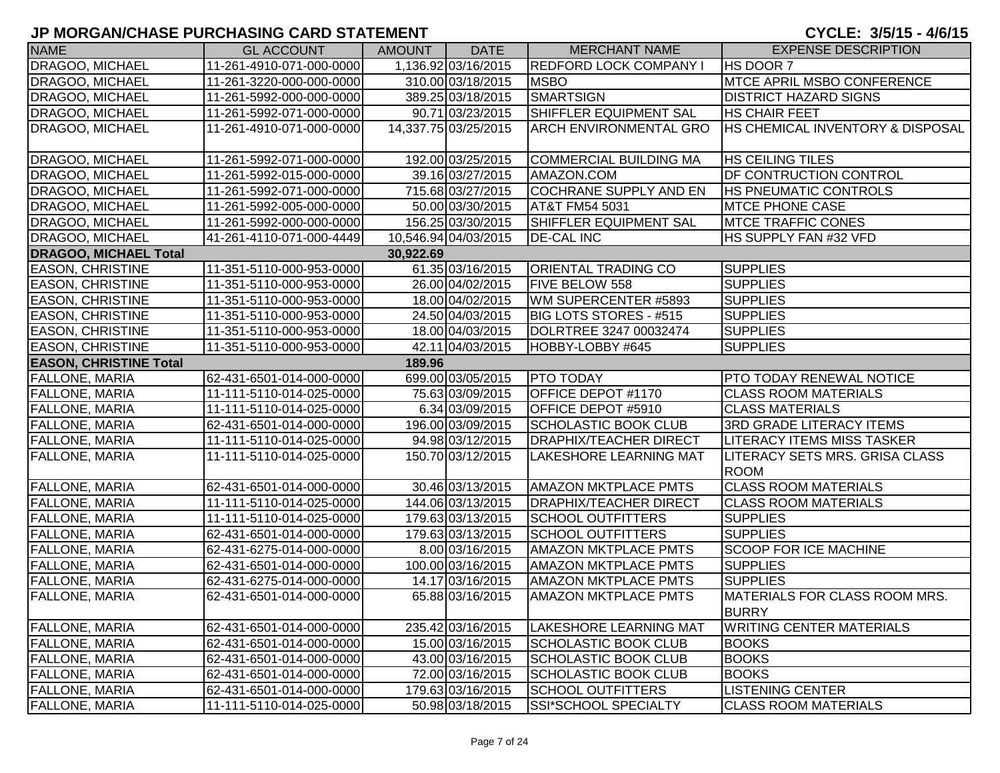| <b>NAME</b>                   | <b>GL ACCOUNT</b>        | AMOUNT    | <b>DATE</b>          | <b>MERCHANT NAME</b>          | <b>EXPENSE DESCRIPTION</b>                    |
|-------------------------------|--------------------------|-----------|----------------------|-------------------------------|-----------------------------------------------|
| DRAGOO, MICHAEL               | 11-261-4910-071-000-0000 |           | 1,136.92 03/16/2015  | <b>REDFORD LOCK COMPANY I</b> | HS DOOR 7                                     |
| DRAGOO, MICHAEL               | 11-261-3220-000-000-0000 |           | 310.00 03/18/2015    | <b>MSBO</b>                   | MTCE APRIL MSBO CONFERENCE                    |
| DRAGOO, MICHAEL               | 11-261-5992-000-000-0000 |           | 389.25 03/18/2015    | <b>SMARTSIGN</b>              | <b>DISTRICT HAZARD SIGNS</b>                  |
| DRAGOO, MICHAEL               | 11-261-5992-071-000-0000 |           | 90.71 03/23/2015     | SHIFFLER EQUIPMENT SAL        | <b>HS CHAIR FEET</b>                          |
| DRAGOO, MICHAEL               | 11-261-4910-071-000-0000 |           | 14,337.75 03/25/2015 | <b>ARCH ENVIRONMENTAL GRO</b> | <b>HS CHEMICAL INVENTORY &amp; DISPOSAL</b>   |
| DRAGOO, MICHAEL               | 11-261-5992-071-000-0000 |           | 192.00 03/25/2015    | <b>COMMERCIAL BUILDING MA</b> | <b>HS CEILING TILES</b>                       |
| DRAGOO, MICHAEL               | 11-261-5992-015-000-0000 |           | 39.16 03/27/2015     | AMAZON.COM                    | <b>DF CONTRUCTION CONTROL</b>                 |
| DRAGOO, MICHAEL               | 11-261-5992-071-000-0000 |           | 715.68 03/27/2015    | COCHRANE SUPPLY AND EN        | <b>HS PNEUMATIC CONTROLS</b>                  |
| DRAGOO, MICHAEL               | 11-261-5992-005-000-0000 |           | 50.00 03/30/2015     | AT&T FM54 5031                | <b>MTCE PHONE CASE</b>                        |
| DRAGOO, MICHAEL               | 11-261-5992-000-000-0000 |           | 156.25 03/30/2015    | SHIFFLER EQUIPMENT SAL        | <b>MTCE TRAFFIC CONES</b>                     |
| DRAGOO, MICHAEL               | 41-261-4110-071-000-4449 |           | 10,546.94 04/03/2015 | <b>DE-CAL INC</b>             | HS SUPPLY FAN #32 VFD                         |
| <b>DRAGOO, MICHAEL Total</b>  |                          | 30,922.69 |                      |                               |                                               |
| <b>EASON, CHRISTINE</b>       | 11-351-5110-000-953-0000 |           | 61.35 03/16/2015     | <b>ORIENTAL TRADING CO</b>    | <b>SUPPLIES</b>                               |
| <b>EASON, CHRISTINE</b>       | 11-351-5110-000-953-0000 |           | 26.00 04/02/2015     | FIVE BELOW 558                | <b>SUPPLIES</b>                               |
| <b>EASON, CHRISTINE</b>       | 11-351-5110-000-953-0000 |           | 18.00 04/02/2015     | WM SUPERCENTER #5893          | <b>SUPPLIES</b>                               |
| <b>EASON, CHRISTINE</b>       | 11-351-5110-000-953-0000 |           | 24.50 04/03/2015     | BIG LOTS STORES - #515        | <b>SUPPLIES</b>                               |
| <b>EASON, CHRISTINE</b>       | 11-351-5110-000-953-0000 |           | 18.00 04/03/2015     | DOLRTREE 3247 00032474        | <b>SUPPLIES</b>                               |
| <b>EASON, CHRISTINE</b>       | 11-351-5110-000-953-0000 |           | 42.11 04/03/2015     | HOBBY-LOBBY #645              | <b>SUPPLIES</b>                               |
| <b>EASON, CHRISTINE Total</b> |                          | 189.96    |                      |                               |                                               |
| <b>FALLONE, MARIA</b>         | 62-431-6501-014-000-0000 |           | 699.00 03/05/2015    | <b>PTO TODAY</b>              | PTO TODAY RENEWAL NOTICE                      |
| <b>FALLONE, MARIA</b>         | 11-111-5110-014-025-0000 |           | 75.63 03/09/2015     | <b>OFFICE DEPOT #1170</b>     | <b>CLASS ROOM MATERIALS</b>                   |
| <b>FALLONE, MARIA</b>         | 11-111-5110-014-025-0000 |           | 6.34 03/09/2015      | OFFICE DEPOT #5910            | <b>CLASS MATERIALS</b>                        |
| <b>FALLONE, MARIA</b>         | 62-431-6501-014-000-0000 |           | 196.00 03/09/2015    | SCHOLASTIC BOOK CLUB          | <b>3RD GRADE LITERACY ITEMS</b>               |
| <b>FALLONE, MARIA</b>         | 11-111-5110-014-025-0000 |           | 94.98 03/12/2015     | <b>DRAPHIX/TEACHER DIRECT</b> | <b>LITERACY ITEMS MISS TASKER</b>             |
| <b>FALLONE, MARIA</b>         | 11-111-5110-014-025-0000 |           | 150.70 03/12/2015    | LAKESHORE LEARNING MAT        | LITERACY SETS MRS. GRISA CLASS<br><b>ROOM</b> |
| <b>FALLONE, MARIA</b>         | 62-431-6501-014-000-0000 |           | 30.46 03/13/2015     | <b>AMAZON MKTPLACE PMTS</b>   | <b>CLASS ROOM MATERIALS</b>                   |
| <b>FALLONE, MARIA</b>         | 11-111-5110-014-025-0000 |           | 144.06 03/13/2015    | <b>DRAPHIX/TEACHER DIRECT</b> | <b>CLASS ROOM MATERIALS</b>                   |
| <b>FALLONE, MARIA</b>         | 11-111-5110-014-025-0000 |           | 179.63 03/13/2015    | <b>SCHOOL OUTFITTERS</b>      | <b>SUPPLIES</b>                               |
| <b>FALLONE, MARIA</b>         | 62-431-6501-014-000-0000 |           | 179.63 03/13/2015    | <b>SCHOOL OUTFITTERS</b>      | <b>SUPPLIES</b>                               |
| FALLONE, MARIA                | 62-431-6275-014-000-0000 |           | 8.00 03/16/2015      | <b>AMAZON MKTPLACE PMTS</b>   | <b>SCOOP FOR ICE MACHINE</b>                  |
| FALLONE, MARIA                | 62-431-6501-014-000-0000 |           | 100.00 03/16/2015    | <b>AMAZON MKTPLACE PMTS</b>   | <b>SUPPLIES</b>                               |
| <b>FALLONE, MARIA</b>         | 62-431-6275-014-000-0000 |           | 14.17 03/16/2015     | <b>AMAZON MKTPLACE PMTS</b>   | <b>SUPPLIES</b>                               |
| <b>FALLONE, MARIA</b>         | 62-431-6501-014-000-0000 |           | 65.88 03/16/2015     | <b>AMAZON MKTPLACE PMTS</b>   | MATERIALS FOR CLASS ROOM MRS.<br><b>BURRY</b> |
| <b>FALLONE, MARIA</b>         | 62-431-6501-014-000-0000 |           | 235.42 03/16/2015    | LAKESHORE LEARNING MAT        | <b>WRITING CENTER MATERIALS</b>               |
| <b>FALLONE, MARIA</b>         | 62-431-6501-014-000-0000 |           | 15.00 03/16/2015     | <b>SCHOLASTIC BOOK CLUB</b>   | <b>BOOKS</b>                                  |
| <b>FALLONE, MARIA</b>         | 62-431-6501-014-000-0000 |           | 43.00 03/16/2015     | <b>SCHOLASTIC BOOK CLUB</b>   | <b>BOOKS</b>                                  |
| <b>FALLONE, MARIA</b>         | 62-431-6501-014-000-0000 |           | 72.00 03/16/2015     | <b>SCHOLASTIC BOOK CLUB</b>   | <b>BOOKS</b>                                  |
| <b>FALLONE, MARIA</b>         | 62-431-6501-014-000-0000 |           | 179.63 03/16/2015    | <b>SCHOOL OUTFITTERS</b>      | <b>LISTENING CENTER</b>                       |
| <b>FALLONE, MARIA</b>         | 11-111-5110-014-025-0000 |           | 50.98 03/18/2015     | SSI*SCHOOL SPECIALTY          | <b>CLASS ROOM MATERIALS</b>                   |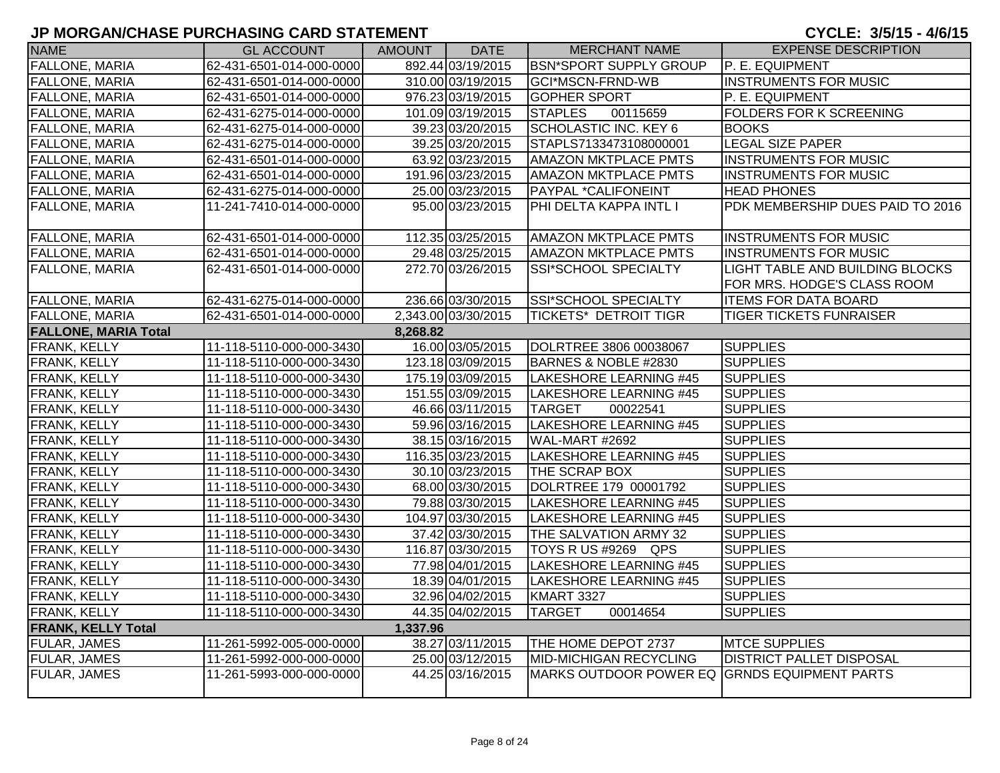| <b>NAME</b>                 | <b>GL ACCOUNT</b>        | AMOUNT   | <b>DATE</b>         | <b>MERCHANT NAME</b>                         | <b>EXPENSE DESCRIPTION</b>                                     |
|-----------------------------|--------------------------|----------|---------------------|----------------------------------------------|----------------------------------------------------------------|
| <b>FALLONE, MARIA</b>       | 62-431-6501-014-000-0000 |          | 892.44 03/19/2015   | <b>BSN*SPORT SUPPLY GROUP</b>                | P. E. EQUIPMENT                                                |
| <b>FALLONE, MARIA</b>       | 62-431-6501-014-000-0000 |          | 310.00 03/19/2015   | GCI*MSCN-FRND-WB                             | <b>INSTRUMENTS FOR MUSIC</b>                                   |
| <b>FALLONE, MARIA</b>       | 62-431-6501-014-000-0000 |          | 976.23 03/19/2015   | <b>GOPHER SPORT</b>                          | P. E. EQUIPMENT                                                |
| <b>FALLONE, MARIA</b>       | 62-431-6275-014-000-0000 |          | 101.09 03/19/2015   | 00115659<br><b>STAPLES</b>                   | <b>FOLDERS FOR K SCREENING</b>                                 |
| <b>FALLONE, MARIA</b>       | 62-431-6275-014-000-0000 |          | 39.23 03/20/2015    | <b>SCHOLASTIC INC. KEY 6</b>                 | <b>BOOKS</b>                                                   |
| <b>FALLONE, MARIA</b>       | 62-431-6275-014-000-0000 |          | 39.25 03/20/2015    | STAPLS7133473108000001                       | <b>LEGAL SIZE PAPER</b>                                        |
| <b>FALLONE, MARIA</b>       | 62-431-6501-014-000-0000 |          | 63.92 03/23/2015    | <b>AMAZON MKTPLACE PMTS</b>                  | <b>INSTRUMENTS FOR MUSIC</b>                                   |
| <b>FALLONE, MARIA</b>       | 62-431-6501-014-000-0000 |          | 191.96 03/23/2015   | <b>AMAZON MKTPLACE PMTS</b>                  | <b>INSTRUMENTS FOR MUSIC</b>                                   |
| <b>FALLONE, MARIA</b>       | 62-431-6275-014-000-0000 |          | 25.00 03/23/2015    | PAYPAL *CALIFONEINT                          | <b>HEAD PHONES</b>                                             |
| FALLONE, MARIA              | 11-241-7410-014-000-0000 |          | 95.00 03/23/2015    | PHI DELTA KAPPA INTL I                       | PDK MEMBERSHIP DUES PAID TO 2016                               |
| <b>FALLONE, MARIA</b>       | 62-431-6501-014-000-0000 |          | 112.35 03/25/2015   | <b>AMAZON MKTPLACE PMTS</b>                  | <b>INSTRUMENTS FOR MUSIC</b>                                   |
| <b>FALLONE, MARIA</b>       | 62-431-6501-014-000-0000 |          | 29.48 03/25/2015    | <b>AMAZON MKTPLACE PMTS</b>                  | <b>INSTRUMENTS FOR MUSIC</b>                                   |
| <b>FALLONE, MARIA</b>       | 62-431-6501-014-000-0000 |          | 272.70 03/26/2015   | SSI*SCHOOL SPECIALTY                         | LIGHT TABLE AND BUILDING BLOCKS<br>FOR MRS. HODGE'S CLASS ROOM |
| <b>FALLONE, MARIA</b>       | 62-431-6275-014-000-0000 |          | 236.66 03/30/2015   | SSI*SCHOOL SPECIALTY                         | <b>ITEMS FOR DATA BOARD</b>                                    |
| <b>FALLONE, MARIA</b>       | 62-431-6501-014-000-0000 |          | 2,343.00 03/30/2015 | <b>TICKETS* DETROIT TIGR</b>                 | <b>TIGER TICKETS FUNRAISER</b>                                 |
| <b>FALLONE, MARIA Total</b> |                          | 8,268.82 |                     |                                              |                                                                |
| FRANK, KELLY                | 11-118-5110-000-000-3430 |          | 16.00 03/05/2015    | DOLRTREE 3806 00038067                       | <b>SUPPLIES</b>                                                |
| FRANK, KELLY                | 11-118-5110-000-000-3430 |          | 123.18 03/09/2015   | BARNES & NOBLE #2830                         | <b>SUPPLIES</b>                                                |
| <b>FRANK, KELLY</b>         | 11-118-5110-000-000-3430 |          | 175.19 03/09/2015   | <b>LAKESHORE LEARNING #45</b>                | <b>SUPPLIES</b>                                                |
| FRANK, KELLY                | 11-118-5110-000-000-3430 |          | 151.55 03/09/2015   | LAKESHORE LEARNING #45                       | <b>SUPPLIES</b>                                                |
| FRANK, KELLY                | 11-118-5110-000-000-3430 |          | 46.66 03/11/2015    | <b>TARGET</b><br>00022541                    | <b>SUPPLIES</b>                                                |
| FRANK, KELLY                | 11-118-5110-000-000-3430 |          | 59.96 03/16/2015    | <b>LAKESHORE LEARNING #45</b>                | <b>SUPPLIES</b>                                                |
| <b>FRANK, KELLY</b>         | 11-118-5110-000-000-3430 |          | 38.15 03/16/2015    | WAL-MART #2692                               | <b>SUPPLIES</b>                                                |
| FRANK, KELLY                | 11-118-5110-000-000-3430 |          | 116.35 03/23/2015   | LAKESHORE LEARNING #45                       | <b>SUPPLIES</b>                                                |
| FRANK, KELLY                | 11-118-5110-000-000-3430 |          | 30.10 03/23/2015    | THE SCRAP BOX                                | <b>SUPPLIES</b>                                                |
| FRANK, KELLY                | 11-118-5110-000-000-3430 |          | 68.00 03/30/2015    | DOLRTREE 179 00001792                        | <b>SUPPLIES</b>                                                |
| <b>FRANK, KELLY</b>         | 11-118-5110-000-000-3430 |          | 79.88 03/30/2015    | LAKESHORE LEARNING #45                       | <b>SUPPLIES</b>                                                |
| FRANK, KELLY                | 11-118-5110-000-000-3430 |          | 104.97 03/30/2015   | <b>LAKESHORE LEARNING #45</b>                | <b>SUPPLIES</b>                                                |
| FRANK, KELLY                | 11-118-5110-000-000-3430 |          | 37.42 03/30/2015    | THE SALVATION ARMY 32                        | <b>SUPPLIES</b>                                                |
| FRANK, KELLY                | 11-118-5110-000-000-3430 |          | 116.87 03/30/2015   | TOYS R US #9269 QPS                          | <b>SUPPLIES</b>                                                |
| FRANK, KELLY                | 11-118-5110-000-000-3430 |          | 77.98 04/01/2015    | LAKESHORE LEARNING #45                       | <b>SUPPLIES</b>                                                |
| FRANK, KELLY                | 11-118-5110-000-000-3430 |          | 18.39 04/01/2015    | LAKESHORE LEARNING #45                       | <b>SUPPLIES</b>                                                |
| FRANK, KELLY                | 11-118-5110-000-000-3430 |          | 32.96 04/02/2015    | KMART 3327                                   | <b>SUPPLIES</b>                                                |
| FRANK, KELLY                | 11-118-5110-000-000-3430 |          | 44.35 04/02/2015    | <b>TARGET</b><br>00014654                    | <b>SUPPLIES</b>                                                |
| <b>FRANK, KELLY Total</b>   |                          | 1,337.96 |                     |                                              |                                                                |
| <b>FULAR, JAMES</b>         | 11-261-5992-005-000-0000 |          | 38.27 03/11/2015    | THE HOME DEPOT 2737                          | <b>MTCE SUPPLIES</b>                                           |
| <b>FULAR, JAMES</b>         | 11-261-5992-000-000-0000 |          | 25.00 03/12/2015    | <b>MID-MICHIGAN RECYCLING</b>                | <b>DISTRICT PALLET DISPOSAL</b>                                |
| FULAR, JAMES                | 11-261-5993-000-000-0000 |          | 44.25 03/16/2015    | MARKS OUTDOOR POWER EQ GRNDS EQUIPMENT PARTS |                                                                |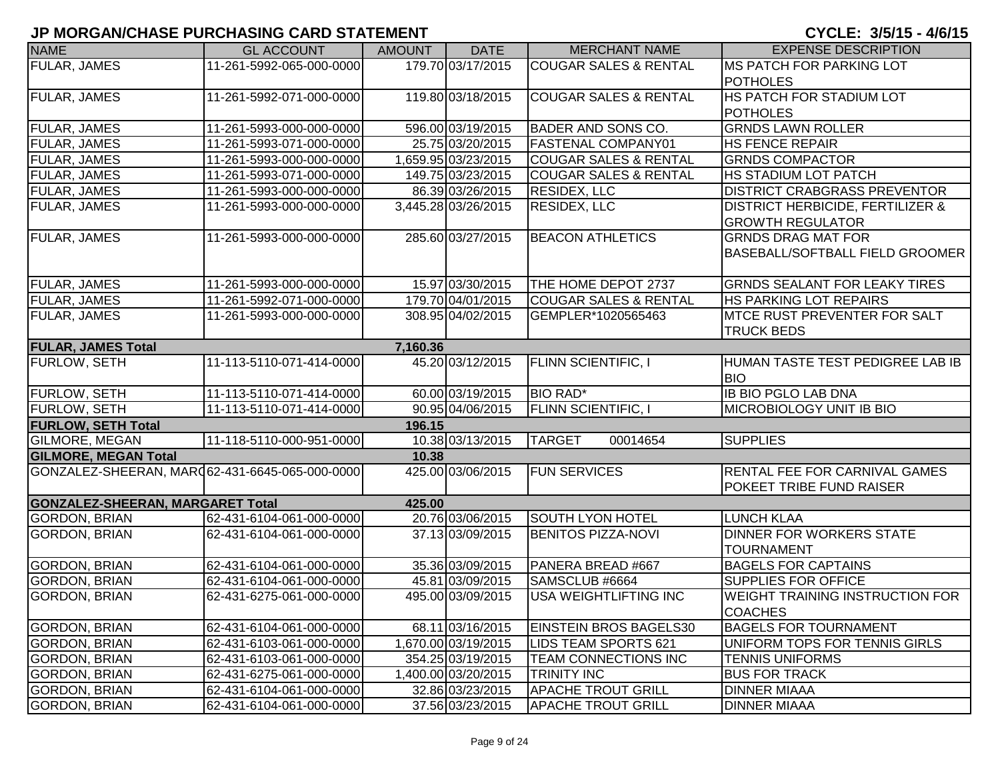| <b>NAME</b>                                    | <b>GL ACCOUNT</b>        | <b>AMOUNT</b> | <b>DATE</b>         | <b>MERCHANT NAME</b>             | <b>EXPENSE DESCRIPTION</b>                  |
|------------------------------------------------|--------------------------|---------------|---------------------|----------------------------------|---------------------------------------------|
| <b>FULAR, JAMES</b>                            | 11-261-5992-065-000-0000 |               | 179.70 03/17/2015   | <b>COUGAR SALES &amp; RENTAL</b> | <b>MS PATCH FOR PARKING LOT</b>             |
|                                                |                          |               |                     |                                  | <b>POTHOLES</b>                             |
| <b>FULAR, JAMES</b>                            | 11-261-5992-071-000-0000 |               | 119.80 03/18/2015   | <b>COUGAR SALES &amp; RENTAL</b> | <b>HS PATCH FOR STADIUM LOT</b>             |
|                                                |                          |               |                     |                                  | <b>POTHOLES</b>                             |
| FULAR, JAMES                                   | 11-261-5993-000-000-0000 |               | 596.00 03/19/2015   | <b>BADER AND SONS CO.</b>        | <b>GRNDS LAWN ROLLER</b>                    |
| FULAR, JAMES                                   | 11-261-5993-071-000-0000 |               | 25.75 03/20/2015    | <b>FASTENAL COMPANY01</b>        | <b>HS FENCE REPAIR</b>                      |
| FULAR, JAMES                                   | 11-261-5993-000-000-0000 |               | 1,659.95 03/23/2015 | <b>COUGAR SALES &amp; RENTAL</b> | <b>GRNDS COMPACTOR</b>                      |
| FULAR, JAMES                                   | 11-261-5993-071-000-0000 |               | 149.75 03/23/2015   | <b>COUGAR SALES &amp; RENTAL</b> | HS STADIUM LOT PATCH                        |
| FULAR, JAMES                                   | 11-261-5993-000-000-0000 |               | 86.39 03/26/2015    | <b>RESIDEX, LLC</b>              | <b>DISTRICT CRABGRASS PREVENTOR</b>         |
| <b>FULAR, JAMES</b>                            | 11-261-5993-000-000-0000 |               | 3,445.28 03/26/2015 | <b>RESIDEX, LLC</b>              | <b>DISTRICT HERBICIDE, FERTILIZER &amp;</b> |
|                                                |                          |               |                     |                                  | <b>GROWTH REGULATOR</b>                     |
| FULAR, JAMES                                   | 11-261-5993-000-000-0000 |               | 285.60 03/27/2015   | <b>BEACON ATHLETICS</b>          | <b>GRNDS DRAG MAT FOR</b>                   |
|                                                |                          |               |                     |                                  | BASEBALL/SOFTBALL FIELD GROOMER             |
|                                                |                          |               |                     |                                  |                                             |
| <b>FULAR, JAMES</b>                            | 11-261-5993-000-000-0000 |               | 15.97 03/30/2015    | THE HOME DEPOT 2737              | <b>GRNDS SEALANT FOR LEAKY TIRES</b>        |
| <b>FULAR, JAMES</b>                            | 11-261-5992-071-000-0000 |               | 179.70 04/01/2015   | COUGAR SALES & RENTAL            | HS PARKING LOT REPAIRS                      |
| FULAR, JAMES                                   | 11-261-5993-000-000-0000 |               | 308.95 04/02/2015   | GEMPLER*1020565463               | <b>MTCE RUST PREVENTER FOR SALT</b>         |
|                                                |                          |               |                     |                                  | <b>TRUCK BEDS</b>                           |
| <b>FULAR, JAMES Total</b>                      |                          | 7,160.36      |                     |                                  |                                             |
| <b>FURLOW, SETH</b>                            | 11-113-5110-071-414-0000 |               | 45.20 03/12/2015    | <b>FLINN SCIENTIFIC, I</b>       | HUMAN TASTE TEST PEDIGREE LAB IB            |
|                                                |                          |               |                     |                                  | <b>BIO</b>                                  |
| <b>FURLOW, SETH</b>                            | 11-113-5110-071-414-0000 |               | 60.00 03/19/2015    | <b>BIO RAD*</b>                  | <b>IB BIO PGLO LAB DNA</b>                  |
| FURLOW, SETH                                   | 11-113-5110-071-414-0000 |               | 90.95 04/06/2015    | <b>FLINN SCIENTIFIC, I</b>       | <b>MICROBIOLOGY UNIT IB BIO</b>             |
| <b>FURLOW, SETH Total</b>                      |                          | 196.15        |                     |                                  |                                             |
| <b>GILMORE, MEGAN</b>                          | 11-118-5110-000-951-0000 |               | 10.38 03/13/2015    | <b>TARGET</b><br>00014654        | <b>SUPPLIES</b>                             |
| <b>GILMORE, MEGAN Total</b>                    |                          | 10.38         |                     |                                  |                                             |
| GONZALEZ-SHEERAN, MARO62-431-6645-065-000-0000 |                          |               | 425.00 03/06/2015   | <b>FUN SERVICES</b>              | <b>RENTAL FEE FOR CARNIVAL GAMES</b>        |
|                                                |                          |               |                     |                                  | POKEET TRIBE FUND RAISER                    |
| <b>GONZALEZ-SHEERAN, MARGARET Total</b>        |                          | 425.00        |                     |                                  |                                             |
| <b>GORDON, BRIAN</b>                           | 62-431-6104-061-000-0000 |               | 20.76 03/06/2015    | <b>SOUTH LYON HOTEL</b>          | <b>LUNCH KLAA</b>                           |
| <b>GORDON, BRIAN</b>                           | 62-431-6104-061-000-0000 |               | 37.13 03/09/2015    | <b>BENITOS PIZZA-NOVI</b>        | <b>DINNER FOR WORKERS STATE</b>             |
|                                                |                          |               |                     |                                  | <b>TOURNAMENT</b>                           |
| <b>GORDON, BRIAN</b>                           | 62-431-6104-061-000-0000 |               | 35.36 03/09/2015    | PANERA BREAD #667                | <b>BAGELS FOR CAPTAINS</b>                  |
| <b>GORDON, BRIAN</b>                           | 62-431-6104-061-000-0000 |               | 45.81 03/09/2015    | SAMSCLUB #6664                   | <b>SUPPLIES FOR OFFICE</b>                  |
| <b>GORDON, BRIAN</b>                           | 62-431-6275-061-000-0000 |               | 495.00 03/09/2015   | <b>USA WEIGHTLIFTING INC</b>     | <b>WEIGHT TRAINING INSTRUCTION FOR</b>      |
|                                                |                          |               |                     |                                  | <b>COACHES</b>                              |
| <b>GORDON, BRIAN</b>                           | 62-431-6104-061-000-0000 |               | 68.11 03/16/2015    | <b>EINSTEIN BROS BAGELS30</b>    | <b>BAGELS FOR TOURNAMENT</b>                |
| <b>GORDON, BRIAN</b>                           | 62-431-6103-061-000-0000 |               | 1,670.00 03/19/2015 | <b>LIDS TEAM SPORTS 621</b>      | UNIFORM TOPS FOR TENNIS GIRLS               |
| <b>GORDON, BRIAN</b>                           | 62-431-6103-061-000-0000 |               | 354.25 03/19/2015   | <b>TEAM CONNECTIONS INC</b>      | <b>TENNIS UNIFORMS</b>                      |
| <b>GORDON, BRIAN</b>                           | 62-431-6275-061-000-0000 |               | 1,400.00 03/20/2015 | <b>TRINITY INC</b>               | <b>BUS FOR TRACK</b>                        |
| <b>GORDON, BRIAN</b>                           | 62-431-6104-061-000-0000 |               | 32.86 03/23/2015    | <b>APACHE TROUT GRILL</b>        | <b>DINNER MIAAA</b>                         |
| <b>GORDON, BRIAN</b>                           | 62-431-6104-061-000-0000 |               | 37.56 03/23/2015    | <b>APACHE TROUT GRILL</b>        | <b>DINNER MIAAA</b>                         |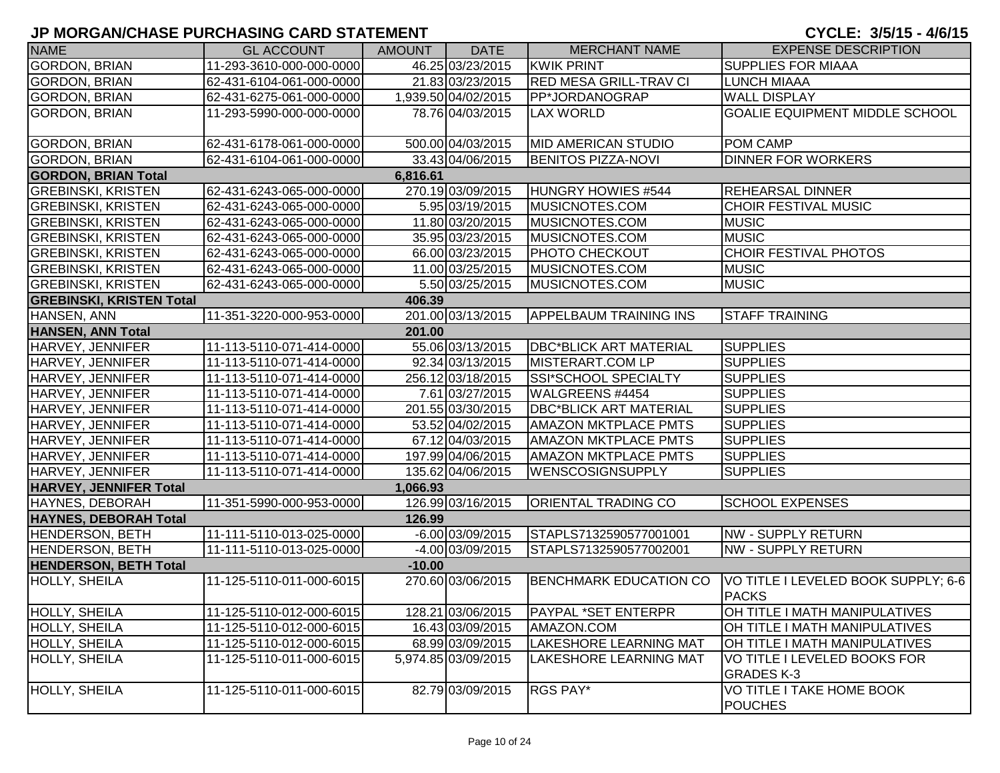| <b>NAME</b>                     | <b>GL ACCOUNT</b>        | <b>AMOUNT</b> | <b>DATE</b>         | <b>MERCHANT NAME</b>          | <b>EXPENSE DESCRIPTION</b>                          |
|---------------------------------|--------------------------|---------------|---------------------|-------------------------------|-----------------------------------------------------|
| <b>GORDON, BRIAN</b>            | 11-293-3610-000-000-0000 |               | 46.25 03/23/2015    | <b>KWIK PRINT</b>             | <b>SUPPLIES FOR MIAAA</b>                           |
| <b>GORDON, BRIAN</b>            | 62-431-6104-061-000-0000 |               | 21.83 03/23/2015    | <b>RED MESA GRILL-TRAV CI</b> | <b>ILUNCH MIAAA</b>                                 |
| <b>GORDON, BRIAN</b>            | 62-431-6275-061-000-0000 |               | 1,939.50 04/02/2015 | PP*JORDANOGRAP                | <b>WALL DISPLAY</b>                                 |
| <b>GORDON, BRIAN</b>            | 11-293-5990-000-000-0000 |               | 78.76 04/03/2015    | <b>LAX WORLD</b>              | GOALIE EQUIPMENT MIDDLE SCHOOL                      |
| <b>GORDON, BRIAN</b>            | 62-431-6178-061-000-0000 |               | 500.00 04/03/2015   | <b>MID AMERICAN STUDIO</b>    | POM CAMP                                            |
| <b>GORDON, BRIAN</b>            | 62-431-6104-061-000-0000 |               | 33.43 04/06/2015    | <b>BENITOS PIZZA-NOVI</b>     | <b>DINNER FOR WORKERS</b>                           |
| <b>GORDON, BRIAN Total</b>      |                          | 6,816.61      |                     |                               |                                                     |
| <b>GREBINSKI, KRISTEN</b>       | 62-431-6243-065-000-0000 |               | 270.19 03/09/2015   | HUNGRY HOWIES #544            | <b>REHEARSAL DINNER</b>                             |
| <b>GREBINSKI, KRISTEN</b>       | 62-431-6243-065-000-0000 |               | 5.95 03/19/2015     | MUSICNOTES.COM                | <b>CHOIR FESTIVAL MUSIC</b>                         |
| <b>GREBINSKI, KRISTEN</b>       | 62-431-6243-065-000-0000 |               | 11.80 03/20/2015    | MUSICNOTES.COM                | <b>MUSIC</b>                                        |
| <b>GREBINSKI, KRISTEN</b>       | 62-431-6243-065-000-0000 |               | 35.95 03/23/2015    | MUSICNOTES.COM                | <b>MUSIC</b>                                        |
| <b>GREBINSKI, KRISTEN</b>       | 62-431-6243-065-000-0000 |               | 66.00 03/23/2015    | <b>PHOTO CHECKOUT</b>         | CHOIR FESTIVAL PHOTOS                               |
| <b>GREBINSKI, KRISTEN</b>       | 62-431-6243-065-000-0000 |               | 11.00 03/25/2015    | MUSICNOTES.COM                | <b>MUSIC</b>                                        |
| <b>GREBINSKI, KRISTEN</b>       | 62-431-6243-065-000-0000 |               | 5.50 03/25/2015     | MUSICNOTES.COM                | <b>MUSIC</b>                                        |
| <b>GREBINSKI, KRISTEN Total</b> |                          | 406.39        |                     |                               |                                                     |
| HANSEN, ANN                     | 11-351-3220-000-953-0000 |               | 201.00 03/13/2015   | <b>APPELBAUM TRAINING INS</b> | <b>STAFF TRAINING</b>                               |
| <b>HANSEN, ANN Total</b>        |                          | 201.00        |                     |                               |                                                     |
| HARVEY, JENNIFER                | 11-113-5110-071-414-0000 |               | 55.06 03/13/2015    | <b>DBC*BLICK ART MATERIAL</b> | <b>SUPPLIES</b>                                     |
| HARVEY, JENNIFER                | 11-113-5110-071-414-0000 |               | 92.34 03/13/2015    | MISTERART.COM LP              | <b>SUPPLIES</b>                                     |
| HARVEY, JENNIFER                | 11-113-5110-071-414-0000 |               | 256.12 03/18/2015   | SSI*SCHOOL SPECIALTY          | <b>SUPPLIES</b>                                     |
| HARVEY, JENNIFER                | 11-113-5110-071-414-0000 |               | 7.61 03/27/2015     | WALGREENS #4454               | <b>SUPPLIES</b>                                     |
| HARVEY, JENNIFER                | 11-113-5110-071-414-0000 |               | 201.55 03/30/2015   | <b>DBC*BLICK ART MATERIAL</b> | <b>SUPPLIES</b>                                     |
| HARVEY, JENNIFER                | 11-113-5110-071-414-0000 |               | 53.52 04/02/2015    | <b>AMAZON MKTPLACE PMTS</b>   | <b>SUPPLIES</b>                                     |
| HARVEY, JENNIFER                | 11-113-5110-071-414-0000 |               | 67.12 04/03/2015    | <b>AMAZON MKTPLACE PMTS</b>   | <b>SUPPLIES</b>                                     |
| HARVEY, JENNIFER                | 11-113-5110-071-414-0000 |               | 197.99 04/06/2015   | <b>AMAZON MKTPLACE PMTS</b>   | <b>SUPPLIES</b>                                     |
| HARVEY, JENNIFER                | 11-113-5110-071-414-0000 |               | 135.62 04/06/2015   | <b>WENSCOSIGNSUPPLY</b>       | <b>SUPPLIES</b>                                     |
| <b>HARVEY, JENNIFER Total</b>   |                          | 1,066.93      |                     |                               |                                                     |
| HAYNES, DEBORAH                 | 11-351-5990-000-953-0000 |               | 126.99 03/16/2015   | <b>ORIENTAL TRADING CO</b>    | <b>SCHOOL EXPENSES</b>                              |
| <b>HAYNES, DEBORAH Total</b>    |                          | 126.99        |                     |                               |                                                     |
| <b>HENDERSON, BETH</b>          | 11-111-5110-013-025-0000 |               | $-6.00$ 03/09/2015  | STAPLS7132590577001001        | NW - SUPPLY RETURN                                  |
| <b>HENDERSON, BETH</b>          | 11-111-5110-013-025-0000 |               | -4.00 03/09/2015    | STAPLS7132590577002001        | NW - SUPPLY RETURN                                  |
| <b>HENDERSON, BETH Total</b>    |                          | $-10.00$      |                     |                               |                                                     |
| <b>HOLLY, SHEILA</b>            | 11-125-5110-011-000-6015 |               | 270.60 03/06/2015   | <b>BENCHMARK EDUCATION CO</b> | VO TITLE I LEVELED BOOK SUPPLY; 6-6<br><b>PACKS</b> |
| HOLLY, SHEILA                   | 11-125-5110-012-000-6015 |               | 128.21 03/06/2015   | PAYPAL *SET ENTERPR           | OH TITLE I MATH MANIPULATIVES                       |
| HOLLY, SHEILA                   | 11-125-5110-012-000-6015 |               | 16.43 03/09/2015    | AMAZON.COM                    | OH TITLE I MATH MANIPULATIVES                       |
| HOLLY, SHEILA                   | 11-125-5110-012-000-6015 |               | 68.99 03/09/2015    | <b>LAKESHORE LEARNING MAT</b> | OH TITLE I MATH MANIPULATIVES                       |
| <b>HOLLY, SHEILA</b>            | 11-125-5110-011-000-6015 |               | 5,974.85 03/09/2015 | <b>LAKESHORE LEARNING MAT</b> | VO TITLE I LEVELED BOOKS FOR<br><b>GRADES K-3</b>   |
| HOLLY, SHEILA                   | 11-125-5110-011-000-6015 |               | 82.79 03/09/2015    | RGS PAY*                      | <b>VO TITLE I TAKE HOME BOOK</b><br><b>POUCHES</b>  |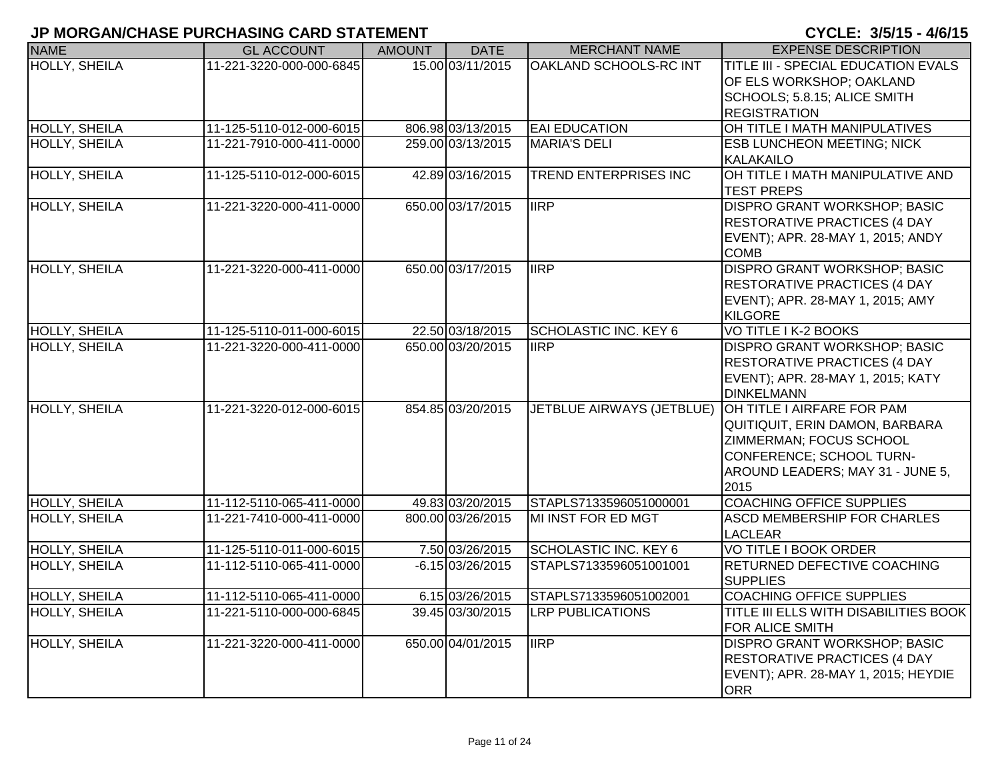| <b>NAME</b>          | <b>GL ACCOUNT</b>        | <b>AMOUNT</b> | <b>DATE</b>        | <b>MERCHANT NAME</b>         | <b>EXPENSE DESCRIPTION</b>                                                                                                                                                                |
|----------------------|--------------------------|---------------|--------------------|------------------------------|-------------------------------------------------------------------------------------------------------------------------------------------------------------------------------------------|
| <b>HOLLY, SHEILA</b> | 11-221-3220-000-000-6845 |               | 15.00 03/11/2015   | OAKLAND SCHOOLS-RC INT       | TITLE III - SPECIAL EDUCATION EVALS<br>OF ELS WORKSHOP; OAKLAND<br>SCHOOLS; 5.8.15; ALICE SMITH<br><b>REGISTRATION</b>                                                                    |
| <b>HOLLY, SHEILA</b> | 11-125-5110-012-000-6015 |               | 806.98 03/13/2015  | <b>EAI EDUCATION</b>         | OH TITLE I MATH MANIPULATIVES                                                                                                                                                             |
| <b>HOLLY, SHEILA</b> | 11-221-7910-000-411-0000 |               | 259.00 03/13/2015  | <b>MARIA'S DELI</b>          | <b>ESB LUNCHEON MEETING; NICK</b><br><b>KALAKAILO</b>                                                                                                                                     |
| HOLLY, SHEILA        | 11-125-5110-012-000-6015 |               | 42.89 03/16/2015   | TREND ENTERPRISES INC        | OH TITLE I MATH MANIPULATIVE AND<br><b>TEST PREPS</b>                                                                                                                                     |
| <b>HOLLY, SHEILA</b> | 11-221-3220-000-411-0000 |               | 650.00 03/17/2015  | <b>IIRP</b>                  | DISPRO GRANT WORKSHOP; BASIC<br>RESTORATIVE PRACTICES (4 DAY<br>EVENT); APR. 28-MAY 1, 2015; ANDY<br><b>COMB</b>                                                                          |
| <b>HOLLY, SHEILA</b> | 11-221-3220-000-411-0000 |               | 650.00 03/17/2015  | <b>IIRP</b>                  | DISPRO GRANT WORKSHOP; BASIC<br>RESTORATIVE PRACTICES (4 DAY<br>EVENT); APR. 28-MAY 1, 2015; AMY<br><b>KILGORE</b>                                                                        |
| <b>HOLLY, SHEILA</b> | 11-125-5110-011-000-6015 |               | 22.50 03/18/2015   | <b>SCHOLASTIC INC. KEY 6</b> | VO TITLE I K-2 BOOKS                                                                                                                                                                      |
| <b>HOLLY, SHEILA</b> | 11-221-3220-000-411-0000 |               | 650.00 03/20/2015  | <b>IIRP</b>                  | DISPRO GRANT WORKSHOP; BASIC<br><b>RESTORATIVE PRACTICES (4 DAY</b><br>EVENT); APR. 28-MAY 1, 2015; KATY<br><b>DINKELMANN</b>                                                             |
| <b>HOLLY, SHEILA</b> | 11-221-3220-012-000-6015 |               | 854.85 03/20/2015  |                              | JETBLUE AIRWAYS (JETBLUE) OH TITLE I AIRFARE FOR PAM<br>QUITIQUIT, ERIN DAMON, BARBARA<br>ZIMMERMAN; FOCUS SCHOOL<br>CONFERENCE; SCHOOL TURN-<br>AROUND LEADERS; MAY 31 - JUNE 5,<br>2015 |
| <b>HOLLY, SHEILA</b> | 11-112-5110-065-411-0000 |               | 49.83 03/20/2015   | STAPLS7133596051000001       | <b>COACHING OFFICE SUPPLIES</b>                                                                                                                                                           |
| <b>HOLLY, SHEILA</b> | 11-221-7410-000-411-0000 |               | 800.00 03/26/2015  | MI INST FOR ED MGT           | <b>ASCD MEMBERSHIP FOR CHARLES</b><br><b>LACLEAR</b>                                                                                                                                      |
| HOLLY, SHEILA        | 11-125-5110-011-000-6015 |               | 7.50 03/26/2015    | SCHOLASTIC INC. KEY 6        | <b>VO TITLE I BOOK ORDER</b>                                                                                                                                                              |
| HOLLY, SHEILA        | 11-112-5110-065-411-0000 |               | $-6.15$ 03/26/2015 | STAPLS7133596051001001       | RETURNED DEFECTIVE COACHING<br><b>SUPPLIES</b>                                                                                                                                            |
| <b>HOLLY, SHEILA</b> | 11-112-5110-065-411-0000 |               | 6.15 03/26/2015    | STAPLS7133596051002001       | <b>COACHING OFFICE SUPPLIES</b>                                                                                                                                                           |
| <b>HOLLY, SHEILA</b> | 11-221-5110-000-000-6845 |               | 39.45 03/30/2015   | <b>LRP PUBLICATIONS</b>      | TITLE III ELLS WITH DISABILITIES BOOK<br>FOR ALICE SMITH                                                                                                                                  |
| <b>HOLLY, SHEILA</b> | 11-221-3220-000-411-0000 |               | 650.00 04/01/2015  | <b>IIRP</b>                  | <b>DISPRO GRANT WORKSHOP; BASIC</b><br><b>RESTORATIVE PRACTICES (4 DAY</b><br>EVENT); APR. 28-MAY 1, 2015; HEYDIE<br><b>ORR</b>                                                           |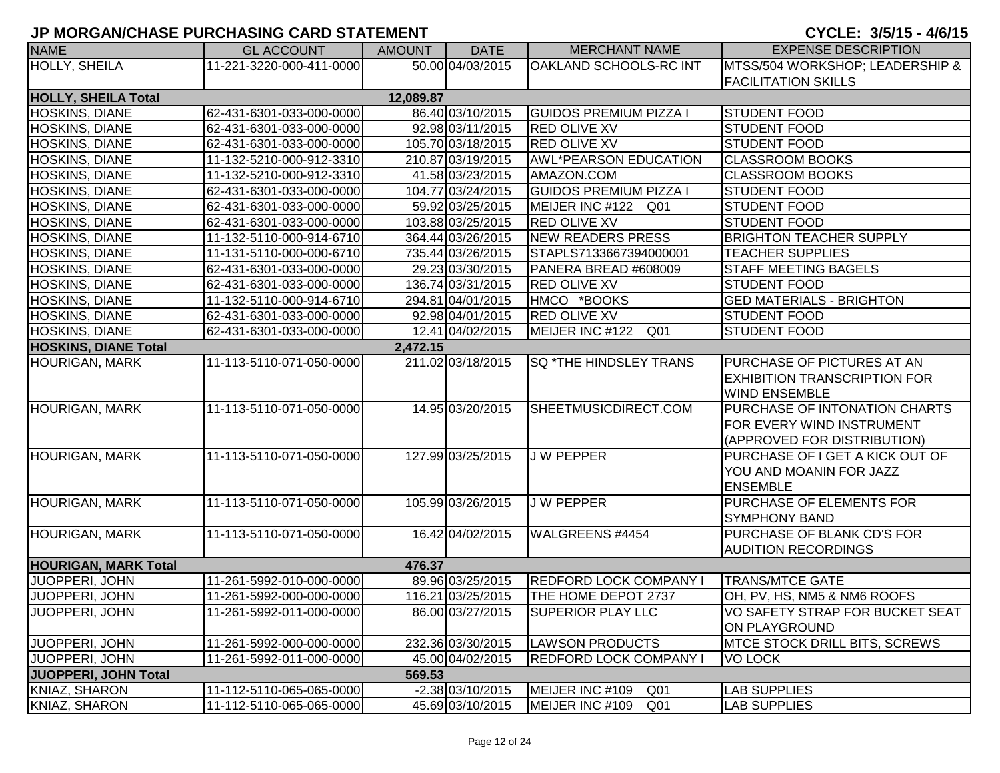| <b>NAME</b>                 | <b>GL ACCOUNT</b>        | <b>AMOUNT</b> | <b>DATE</b>        | <b>MERCHANT NAME</b>               | <b>EXPENSE DESCRIPTION</b>            |
|-----------------------------|--------------------------|---------------|--------------------|------------------------------------|---------------------------------------|
| <b>HOLLY, SHEILA</b>        | 11-221-3220-000-411-0000 |               | 50.00 04/03/2015   | <b>OAKLAND SCHOOLS-RC INT</b>      | MTSS/504 WORKSHOP; LEADERSHIP &       |
|                             |                          |               |                    |                                    | <b>FACILITATION SKILLS</b>            |
| <b>HOLLY, SHEILA Total</b>  |                          | 12,089.87     |                    |                                    |                                       |
| <b>HOSKINS, DIANE</b>       | 62-431-6301-033-000-0000 |               | 86.40 03/10/2015   | <b>GUIDOS PREMIUM PIZZA I</b>      | <b>STUDENT FOOD</b>                   |
| HOSKINS, DIANE              | 62-431-6301-033-000-0000 |               | 92.98 03/11/2015   | <b>RED OLIVE XV</b>                | <b>STUDENT FOOD</b>                   |
| HOSKINS, DIANE              | 62-431-6301-033-000-0000 |               | 105.70 03/18/2015  | <b>RED OLIVE XV</b>                | <b>STUDENT FOOD</b>                   |
| HOSKINS, DIANE              | 11-132-5210-000-912-3310 |               | 210.87 03/19/2015  | <b>AWL*PEARSON EDUCATION</b>       | <b>CLASSROOM BOOKS</b>                |
| <b>HOSKINS, DIANE</b>       | 11-132-5210-000-912-3310 |               | 41.58 03/23/2015   | AMAZON.COM                         | <b>CLASSROOM BOOKS</b>                |
| HOSKINS, DIANE              | 62-431-6301-033-000-0000 |               | 104.77 03/24/2015  | <b>GUIDOS PREMIUM PIZZA I</b>      | <b>STUDENT FOOD</b>                   |
| <b>HOSKINS, DIANE</b>       | 62-431-6301-033-000-0000 |               | 59.92 03/25/2015   | MEIJER INC #122<br>Q01             | <b>STUDENT FOOD</b>                   |
| <b>HOSKINS, DIANE</b>       | 62-431-6301-033-000-0000 |               | 103.88 03/25/2015  | <b>RED OLIVE XV</b>                | <b>STUDENT FOOD</b>                   |
| <b>HOSKINS, DIANE</b>       | 11-132-5110-000-914-6710 |               | 364.44 03/26/2015  | NEW READERS PRESS                  | <b>BRIGHTON TEACHER SUPPLY</b>        |
| <b>HOSKINS, DIANE</b>       | 11-131-5110-000-000-6710 |               | 735.44 03/26/2015  | STAPLS7133667394000001             | <b>TEACHER SUPPLIES</b>               |
| <b>HOSKINS, DIANE</b>       | 62-431-6301-033-000-0000 |               | 29.23 03/30/2015   | PANERA BREAD #608009               | <b>STAFF MEETING BAGELS</b>           |
| <b>HOSKINS, DIANE</b>       | 62-431-6301-033-000-0000 |               | 136.74 03/31/2015  | <b>RED OLIVE XV</b>                | <b>STUDENT FOOD</b>                   |
| <b>HOSKINS, DIANE</b>       | 11-132-5110-000-914-6710 |               | 294.81 04/01/2015  | HMCO *BOOKS                        | <b>GED MATERIALS - BRIGHTON</b>       |
| <b>HOSKINS, DIANE</b>       | 62-431-6301-033-000-0000 |               | 92.98 04/01/2015   | <b>RED OLIVE XV</b>                | <b>STUDENT FOOD</b>                   |
| <b>HOSKINS, DIANE</b>       | 62-431-6301-033-000-0000 |               | 12.41 04/02/2015   | MEIJER INC #122<br>Q <sub>01</sub> | <b>STUDENT FOOD</b>                   |
| <b>HOSKINS, DIANE Total</b> |                          | 2,472.15      |                    |                                    |                                       |
| <b>HOURIGAN, MARK</b>       | 11-113-5110-071-050-0000 |               | 211.02 03/18/2015  | <b>SQ *THE HINDSLEY TRANS</b>      | <b>PURCHASE OF PICTURES AT AN</b>     |
|                             |                          |               |                    |                                    | <b>EXHIBITION TRANSCRIPTION FOR</b>   |
|                             |                          |               |                    |                                    | <b>WIND ENSEMBLE</b>                  |
| <b>HOURIGAN, MARK</b>       | 11-113-5110-071-050-0000 |               | 14.95 03/20/2015   | SHEETMUSICDIRECT.COM               | <b>PURCHASE OF INTONATION CHARTS</b>  |
|                             |                          |               |                    |                                    | <b>FOR EVERY WIND INSTRUMENT</b>      |
|                             |                          |               |                    |                                    | (APPROVED FOR DISTRIBUTION)           |
| <b>HOURIGAN, MARK</b>       | 11-113-5110-071-050-0000 |               | 127.99 03/25/2015  | <b>JW PEPPER</b>                   | PURCHASE OF I GET A KICK OUT OF       |
|                             |                          |               |                    |                                    | YOU AND MOANIN FOR JAZZ               |
|                             |                          |               |                    |                                    | <b>ENSEMBLE</b>                       |
| <b>HOURIGAN, MARK</b>       | 11-113-5110-071-050-0000 |               | 105.99 03/26/2015  | <b>JW PEPPER</b>                   | PURCHASE OF ELEMENTS FOR              |
|                             |                          |               |                    |                                    | <b>SYMPHONY BAND</b>                  |
| <b>HOURIGAN, MARK</b>       | 11-113-5110-071-050-0000 |               | 16.42 04/02/2015   | WALGREENS #4454                    | PURCHASE OF BLANK CD'S FOR            |
|                             |                          |               |                    |                                    | <b>AUDITION RECORDINGS</b>            |
| <b>HOURIGAN, MARK Total</b> |                          | 476.37        |                    |                                    |                                       |
| JUOPPERI, JOHN              | 11-261-5992-010-000-0000 |               | 89.96 03/25/2015   | <b>REDFORD LOCK COMPANY I</b>      | <b>TRANS/MTCE GATE</b>                |
| JUOPPERI, JOHN              | 11-261-5992-000-000-0000 |               | 116.21 03/25/2015  | THE HOME DEPOT 2737                | OH, PV, HS, NM5 & NM6 ROOFS           |
| JUOPPERI, JOHN              | 11-261-5992-011-000-0000 |               | 86.00 03/27/2015   | <b>SUPERIOR PLAY LLC</b>           | VO SAFETY STRAP FOR BUCKET SEAT       |
|                             |                          |               |                    |                                    | ON PLAYGROUND                         |
| JUOPPERI, JOHN              | 11-261-5992-000-000-0000 |               | 232.36 03/30/2015  | <b>LAWSON PRODUCTS</b>             | <b>IMTCE STOCK DRILL BITS, SCREWS</b> |
| JUOPPERI, JOHN              | 11-261-5992-011-000-0000 |               | 45.00 04/02/2015   | <b>REDFORD LOCK COMPANY I</b>      | <b>VO LOCK</b>                        |
| JUOPPERI, JOHN Total        |                          | 569.53        |                    |                                    |                                       |
| KNIAZ, SHARON               | 11-112-5110-065-065-0000 |               | $-2.38$ 03/10/2015 | MEIJER INC #109<br>Q <sub>01</sub> | <b>LAB SUPPLIES</b>                   |
| KNIAZ, SHARON               | 11-112-5110-065-065-0000 |               | 45.69 03/10/2015   | MEIJER INC #109<br>Q <sub>01</sub> | <b>LAB SUPPLIES</b>                   |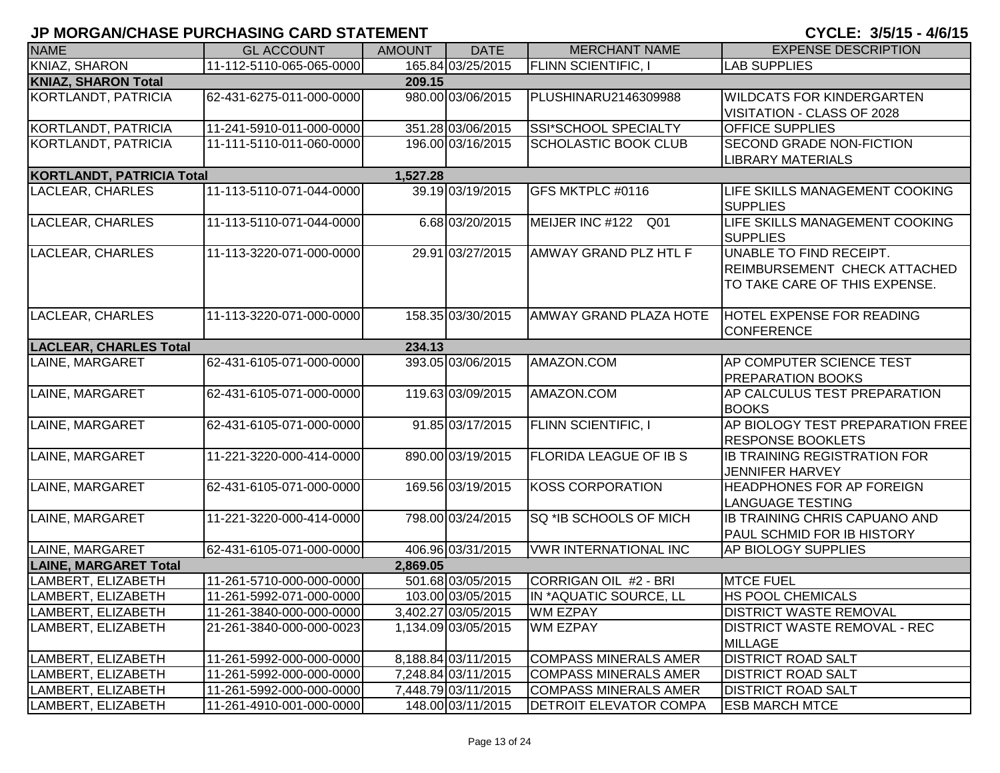| <b>NAME</b>                      | <b>GL ACCOUNT</b>        | <b>AMOUNT</b> | <b>DATE</b>         | <b>MERCHANT NAME</b>          | <b>EXPENSE DESCRIPTION</b>                                                               |
|----------------------------------|--------------------------|---------------|---------------------|-------------------------------|------------------------------------------------------------------------------------------|
| <b>KNIAZ, SHARON</b>             | 11-112-5110-065-065-0000 |               | 165.84 03/25/2015   | <b>FLINN SCIENTIFIC, I</b>    | <b>LAB SUPPLIES</b>                                                                      |
| <b>KNIAZ, SHARON Total</b>       |                          | 209.15        |                     |                               |                                                                                          |
| KORTLANDT, PATRICIA              | 62-431-6275-011-000-0000 |               | 980.00 03/06/2015   | PLUSHINARU2146309988          | <b>WILDCATS FOR KINDERGARTEN</b><br>VISITATION - CLASS OF 2028                           |
| <b>KORTLANDT, PATRICIA</b>       | 11-241-5910-011-000-0000 |               | 351.28 03/06/2015   | <b>SSI*SCHOOL SPECIALTY</b>   | <b>OFFICE SUPPLIES</b>                                                                   |
| KORTLANDT, PATRICIA              | 11-111-5110-011-060-0000 |               | 196.00 03/16/2015   | <b>SCHOLASTIC BOOK CLUB</b>   | SECOND GRADE NON-FICTION<br><b>LIBRARY MATERIALS</b>                                     |
| <b>KORTLANDT, PATRICIA Total</b> |                          | 1,527.28      |                     |                               |                                                                                          |
| LACLEAR, CHARLES                 | 11-113-5110-071-044-0000 |               | 39.19 03/19/2015    | GFS MKTPLC #0116              | LIFE SKILLS MANAGEMENT COOKING<br><b>SUPPLIES</b>                                        |
| LACLEAR, CHARLES                 | 11-113-5110-071-044-0000 |               | 6.68 03/20/2015     | MEIJER INC #122 Q01           | LIFE SKILLS MANAGEMENT COOKING<br><b>SUPPLIES</b>                                        |
| LACLEAR, CHARLES                 | 11-113-3220-071-000-0000 |               | 29.91 03/27/2015    | AMWAY GRAND PLZ HTL F         | UNABLE TO FIND RECEIPT.<br>REIMBURSEMENT CHECK ATTACHED<br>TO TAKE CARE OF THIS EXPENSE. |
| <b>LACLEAR, CHARLES</b>          | 11-113-3220-071-000-0000 |               | 158.35 03/30/2015   | AMWAY GRAND PLAZA HOTE        | <b>HOTEL EXPENSE FOR READING</b><br><b>CONFERENCE</b>                                    |
| <b>LACLEAR, CHARLES Total</b>    |                          | 234.13        |                     |                               |                                                                                          |
| LAINE, MARGARET                  | 62-431-6105-071-000-0000 |               | 393.05 03/06/2015   | AMAZON.COM                    | AP COMPUTER SCIENCE TEST<br><b>PREPARATION BOOKS</b>                                     |
| LAINE, MARGARET                  | 62-431-6105-071-000-0000 |               | 119.63 03/09/2015   | AMAZON.COM                    | AP CALCULUS TEST PREPARATION<br><b>BOOKS</b>                                             |
| LAINE, MARGARET                  | 62-431-6105-071-000-0000 |               | 91.85 03/17/2015    | <b>FLINN SCIENTIFIC, I</b>    | AP BIOLOGY TEST PREPARATION FREE<br><b>RESPONSE BOOKLETS</b>                             |
| LAINE, MARGARET                  | 11-221-3220-000-414-0000 |               | 890.00 03/19/2015   | <b>FLORIDA LEAGUE OF IB S</b> | <b>IB TRAINING REGISTRATION FOR</b><br><b>JENNIFER HARVEY</b>                            |
| LAINE, MARGARET                  | 62-431-6105-071-000-0000 |               | 169.56 03/19/2015   | <b>KOSS CORPORATION</b>       | HEADPHONES FOR AP FOREIGN<br><b>LANGUAGE TESTING</b>                                     |
| LAINE, MARGARET                  | 11-221-3220-000-414-0000 |               | 798.00 03/24/2015   | SQ *IB SCHOOLS OF MICH        | <b>IB TRAINING CHRIS CAPUANO AND</b><br>PAUL SCHMID FOR IB HISTORY                       |
| LAINE, MARGARET                  | 62-431-6105-071-000-0000 |               | 406.96 03/31/2015   | <b>VWR INTERNATIONAL INC</b>  | AP BIOLOGY SUPPLIES                                                                      |
| <b>LAINE, MARGARET Total</b>     |                          | 2,869.05      |                     |                               |                                                                                          |
| LAMBERT, ELIZABETH               | 11-261-5710-000-000-0000 |               | 501.68 03/05/2015   | CORRIGAN OIL #2 - BRI         | <b>MTCE FUEL</b>                                                                         |
| LAMBERT, ELIZABETH               | 11-261-5992-071-000-0000 |               | 103.00 03/05/2015   | IN *AQUATIC SOURCE, LL        | <b>HS POOL CHEMICALS</b>                                                                 |
| LAMBERT, ELIZABETH               | 11-261-3840-000-000-0000 |               | 3,402.27 03/05/2015 | <b>WM EZPAY</b>               | <b>DISTRICT WASTE REMOVAL</b>                                                            |
| LAMBERT, ELIZABETH               | 21-261-3840-000-000-0023 |               | 1,134.09 03/05/2015 | <b>WM EZPAY</b>               | <b>DISTRICT WASTE REMOVAL - REC</b><br><b>MILLAGE</b>                                    |
| LAMBERT, ELIZABETH               | 11-261-5992-000-000-0000 |               | 8,188.84 03/11/2015 | <b>COMPASS MINERALS AMER</b>  | <b>DISTRICT ROAD SALT</b>                                                                |
| LAMBERT, ELIZABETH               | 11-261-5992-000-000-0000 |               | 7,248.84 03/11/2015 | <b>COMPASS MINERALS AMER</b>  | <b>DISTRICT ROAD SALT</b>                                                                |
| LAMBERT, ELIZABETH               | 11-261-5992-000-000-0000 |               | 7,448.79 03/11/2015 | <b>COMPASS MINERALS AMER</b>  | <b>DISTRICT ROAD SALT</b>                                                                |
| LAMBERT, ELIZABETH               | 11-261-4910-001-000-0000 |               | 148.00 03/11/2015   | <b>DETROIT ELEVATOR COMPA</b> | <b>ESB MARCH MTCE</b>                                                                    |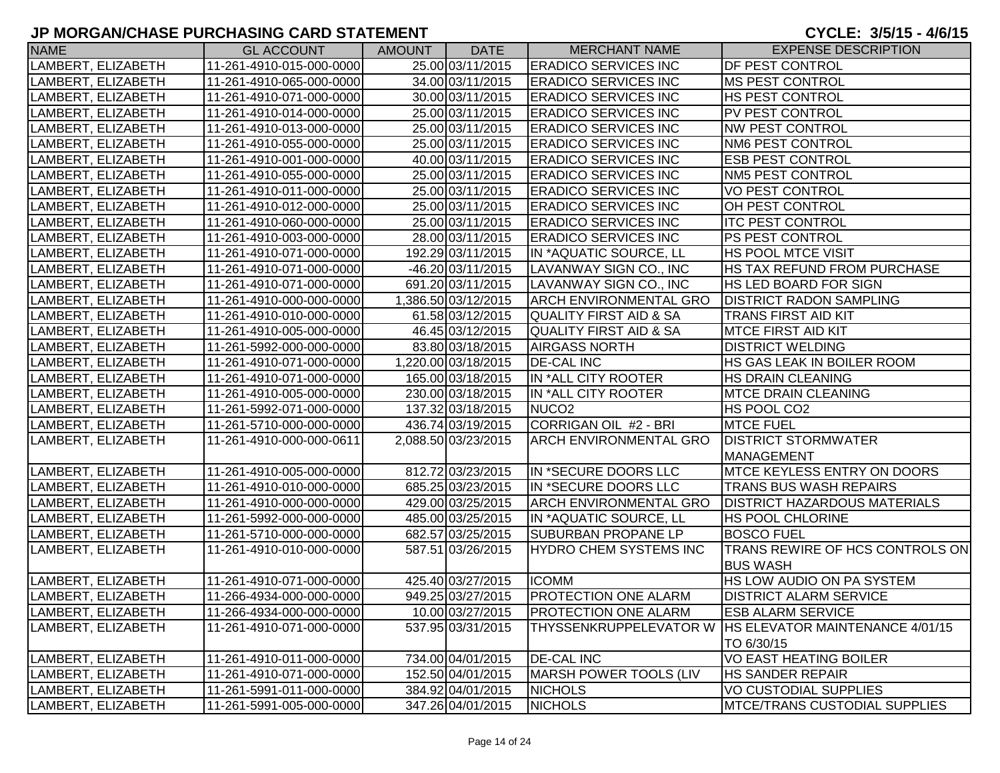| <b>NAME</b>        | <b>GL ACCOUNT</b>        | <b>AMOUNT</b> | <b>DATE</b>         | <b>MERCHANT NAME</b>              | <b>EXPENSE DESCRIPTION</b>                         |
|--------------------|--------------------------|---------------|---------------------|-----------------------------------|----------------------------------------------------|
| LAMBERT, ELIZABETH | 11-261-4910-015-000-0000 |               | 25.00 03/11/2015    | <b>ERADICO SERVICES INC</b>       | <b>DF PEST CONTROL</b>                             |
| LAMBERT, ELIZABETH | 11-261-4910-065-000-0000 |               | 34.00 03/11/2015    | <b>ERADICO SERVICES INC</b>       | <b>MS PEST CONTROL</b>                             |
| LAMBERT, ELIZABETH | 11-261-4910-071-000-0000 |               | 30.00 03/11/2015    | <b>ERADICO SERVICES INC</b>       | <b>HS PEST CONTROL</b>                             |
| LAMBERT, ELIZABETH | 11-261-4910-014-000-0000 |               | 25.00 03/11/2015    | <b>ERADICO SERVICES INC</b>       | PV PEST CONTROL                                    |
| LAMBERT, ELIZABETH | 11-261-4910-013-000-0000 |               | 25.00 03/11/2015    | <b>ERADICO SERVICES INC</b>       | <b>NW PEST CONTROL</b>                             |
| LAMBERT, ELIZABETH | 11-261-4910-055-000-0000 |               | 25.00 03/11/2015    | <b>ERADICO SERVICES INC</b>       | <b>NM6 PEST CONTROL</b>                            |
| LAMBERT, ELIZABETH | 11-261-4910-001-000-0000 |               | 40.00 03/11/2015    | <b>ERADICO SERVICES INC</b>       | <b>ESB PEST CONTROL</b>                            |
| LAMBERT, ELIZABETH | 11-261-4910-055-000-0000 |               | 25.00 03/11/2015    | <b>ERADICO SERVICES INC</b>       | NM5 PEST CONTROL                                   |
| LAMBERT, ELIZABETH | 11-261-4910-011-000-0000 |               | 25.00 03/11/2015    | <b>ERADICO SERVICES INC</b>       | <b>VO PEST CONTROL</b>                             |
| LAMBERT, ELIZABETH | 11-261-4910-012-000-0000 |               | 25.00 03/11/2015    | <b>ERADICO SERVICES INC</b>       | OH PEST CONTROL                                    |
| LAMBERT, ELIZABETH | 11-261-4910-060-000-0000 |               | 25.00 03/11/2015    | <b>ERADICO SERVICES INC</b>       | <b>ITC PEST CONTROL</b>                            |
| LAMBERT, ELIZABETH | 11-261-4910-003-000-0000 |               | 28.00 03/11/2015    | <b>ERADICO SERVICES INC</b>       | <b>PS PEST CONTROL</b>                             |
| LAMBERT, ELIZABETH | 11-261-4910-071-000-0000 |               | 192.29 03/11/2015   | IN *AQUATIC SOURCE, LL            | HS POOL MTCE VISIT                                 |
| LAMBERT, ELIZABETH | 11-261-4910-071-000-0000 |               | -46.20 03/11/2015   | LAVANWAY SIGN CO., INC            | HS TAX REFUND FROM PURCHASE                        |
| _AMBERT, ELIZABETH | 11-261-4910-071-000-0000 |               | 691.20 03/11/2015   | LAVANWAY SIGN CO., INC            | HS LED BOARD FOR SIGN                              |
| LAMBERT, ELIZABETH | 11-261-4910-000-000-0000 |               | 1,386.50 03/12/2015 | <b>ARCH ENVIRONMENTAL GRO</b>     | <b>DISTRICT RADON SAMPLING</b>                     |
| LAMBERT, ELIZABETH | 11-261-4910-010-000-0000 |               | 61.58 03/12/2015    | <b>QUALITY FIRST AID &amp; SA</b> | <b>TRANS FIRST AID KIT</b>                         |
| LAMBERT, ELIZABETH | 11-261-4910-005-000-0000 |               | 46.45 03/12/2015    | <b>QUALITY FIRST AID &amp; SA</b> | <b>MTCE FIRST AID KIT</b>                          |
| LAMBERT, ELIZABETH | 11-261-5992-000-000-0000 |               | 83.80 03/18/2015    | <b>AIRGASS NORTH</b>              | <b>DISTRICT WELDING</b>                            |
| LAMBERT, ELIZABETH | 11-261-4910-071-000-0000 |               | 1,220.00 03/18/2015 | <b>DE-CAL INC</b>                 | HS GAS LEAK IN BOILER ROOM                         |
| LAMBERT, ELIZABETH | 11-261-4910-071-000-0000 |               | 165.00 03/18/2015   | IN *ALL CITY ROOTER               | <b>HS DRAIN CLEANING</b>                           |
| LAMBERT, ELIZABETH | 11-261-4910-005-000-0000 |               | 230.00 03/18/2015   | IN *ALL CITY ROOTER               | <b>MTCE DRAIN CLEANING</b>                         |
| LAMBERT, ELIZABETH | 11-261-5992-071-000-0000 |               | 137.32 03/18/2015   | NUCO <sub>2</sub>                 | HS POOL CO <sub>2</sub>                            |
| LAMBERT, ELIZABETH | 11-261-5710-000-000-0000 |               | 436.74 03/19/2015   | CORRIGAN OIL #2 - BRI             | <b>MTCE FUEL</b>                                   |
| LAMBERT, ELIZABETH | 11-261-4910-000-000-0611 |               | 2,088.50 03/23/2015 | <b>ARCH ENVIRONMENTAL GRO</b>     | <b>DISTRICT STORMWATER</b>                         |
|                    |                          |               |                     |                                   | <b>MANAGEMENT</b>                                  |
| LAMBERT, ELIZABETH | 11-261-4910-005-000-0000 |               | 812.72 03/23/2015   | IN *SECURE DOORS LLC              | MTCE KEYLESS ENTRY ON DOORS                        |
| LAMBERT, ELIZABETH | 11-261-4910-010-000-0000 |               | 685.25 03/23/2015   | IN *SECURE DOORS LLC              | <b>TRANS BUS WASH REPAIRS</b>                      |
| LAMBERT, ELIZABETH | 11-261-4910-000-000-0000 |               | 429.00 03/25/2015   | <b>ARCH ENVIRONMENTAL GRO</b>     | <b>DISTRICT HAZARDOUS MATERIALS</b>                |
| LAMBERT, ELIZABETH | 11-261-5992-000-000-0000 |               | 485.00 03/25/2015   | IN *AQUATIC SOURCE, LL            | <b>HS POOL CHLORINE</b>                            |
| LAMBERT, ELIZABETH | 11-261-5710-000-000-0000 |               | 682.57 03/25/2015   | <b>SUBURBAN PROPANE LP</b>        | <b>BOSCO FUEL</b>                                  |
| LAMBERT, ELIZABETH | 11-261-4910-010-000-0000 |               | 587.51 03/26/2015   | <b>HYDRO CHEM SYSTEMS INC</b>     | TRANS REWIRE OF HCS CONTROLS ON<br><b>BUS WASH</b> |
| LAMBERT, ELIZABETH | 11-261-4910-071-000-0000 |               | 425.40 03/27/2015   | <b>ICOMM</b>                      | HS LOW AUDIO ON PA SYSTEM                          |
| LAMBERT, ELIZABETH | 11-266-4934-000-000-0000 |               | 949.25 03/27/2015   | <b>PROTECTION ONE ALARM</b>       | <b>DISTRICT ALARM SERVICE</b>                      |
| LAMBERT, ELIZABETH | 11-266-4934-000-000-0000 |               | 10.00 03/27/2015    | <b>PROTECTION ONE ALARM</b>       | <b>ESB ALARM SERVICE</b>                           |
| LAMBERT, ELIZABETH | 11-261-4910-071-000-0000 |               | 537.95 03/31/2015   | THYSSENKRUPPELEVATOR W            | <b>HS ELEVATOR MAINTENANCE 4/01/15</b>             |
|                    |                          |               |                     |                                   | TO 6/30/15                                         |
| LAMBERT, ELIZABETH | 11-261-4910-011-000-0000 |               | 734.00 04/01/2015   | <b>DE-CAL INC</b>                 | <b>VO EAST HEATING BOILER</b>                      |
| LAMBERT, ELIZABETH | 11-261-4910-071-000-0000 |               | 152.50 04/01/2015   | MARSH POWER TOOLS (LIV            | <b>HS SANDER REPAIR</b>                            |
| LAMBERT, ELIZABETH | 11-261-5991-011-000-0000 |               | 384.92 04/01/2015   | <b>NICHOLS</b>                    | <b>VO CUSTODIAL SUPPLIES</b>                       |
| LAMBERT, ELIZABETH | 11-261-5991-005-000-0000 |               | 347.26 04/01/2015   | <b>NICHOLS</b>                    | <b>MTCE/TRANS CUSTODIAL SUPPLIES</b>               |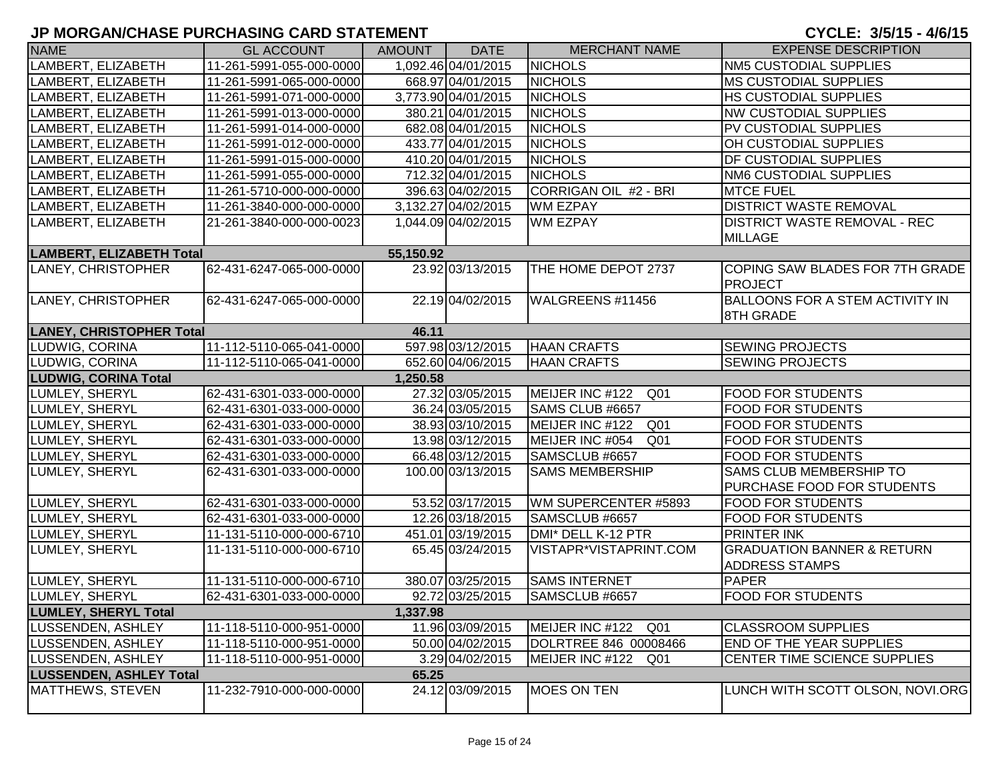| <b>NAME</b>                     | <b>GL ACCOUNT</b>        | AMOUNT    | <b>DATE</b>         | <b>MERCHANT NAME</b>   | <b>EXPENSE DESCRIPTION</b>                                     |
|---------------------------------|--------------------------|-----------|---------------------|------------------------|----------------------------------------------------------------|
| LAMBERT, ELIZABETH              | 11-261-5991-055-000-0000 |           | 1,092.46 04/01/2015 | <b>NICHOLS</b>         | <b>NM5 CUSTODIAL SUPPLIES</b>                                  |
| LAMBERT, ELIZABETH              | 11-261-5991-065-000-0000 |           | 668.97 04/01/2015   | <b>NICHOLS</b>         | <b>MS CUSTODIAL SUPPLIES</b>                                   |
| LAMBERT, ELIZABETH              | 11-261-5991-071-000-0000 |           | 3,773.90 04/01/2015 | <b>NICHOLS</b>         | <b>HS CUSTODIAL SUPPLIES</b>                                   |
| LAMBERT, ELIZABETH              | 11-261-5991-013-000-0000 |           | 380.21 04/01/2015   | <b>NICHOLS</b>         | <b>NW CUSTODIAL SUPPLIES</b>                                   |
| LAMBERT, ELIZABETH              | 11-261-5991-014-000-0000 |           | 682.08 04/01/2015   | <b>NICHOLS</b>         | PV CUSTODIAL SUPPLIES                                          |
| LAMBERT, ELIZABETH              | 11-261-5991-012-000-0000 |           | 433.77 04/01/2015   | <b>NICHOLS</b>         | OH CUSTODIAL SUPPLIES                                          |
| LAMBERT, ELIZABETH              | 11-261-5991-015-000-0000 |           | 410.20 04/01/2015   | <b>NICHOLS</b>         | <b>DF CUSTODIAL SUPPLIES</b>                                   |
| LAMBERT, ELIZABETH              | 11-261-5991-055-000-0000 |           | 712.32 04/01/2015   | <b>NICHOLS</b>         | <b>NM6 CUSTODIAL SUPPLIES</b>                                  |
| LAMBERT, ELIZABETH              | 11-261-5710-000-000-0000 |           | 396.63 04/02/2015   | CORRIGAN OIL #2 - BRI  | <b>MTCE FUEL</b>                                               |
| LAMBERT, ELIZABETH              | 11-261-3840-000-000-0000 |           | 3,132.27 04/02/2015 | <b>WM EZPAY</b>        | <b>DISTRICT WASTE REMOVAL</b>                                  |
| LAMBERT, ELIZABETH              | 21-261-3840-000-000-0023 |           | 1,044.09 04/02/2015 | <b>WM EZPAY</b>        | <b>DISTRICT WASTE REMOVAL - REC</b>                            |
|                                 |                          |           |                     |                        | <b>MILLAGE</b>                                                 |
| <b>LAMBERT, ELIZABETH Total</b> |                          | 55,150.92 |                     |                        |                                                                |
| LANEY, CHRISTOPHER              | 62-431-6247-065-000-0000 |           | 23.92 03/13/2015    | THE HOME DEPOT 2737    | COPING SAW BLADES FOR 7TH GRADE<br><b>PROJECT</b>              |
| LANEY, CHRISTOPHER              | 62-431-6247-065-000-0000 |           | 22.19 04/02/2015    | WALGREENS #11456       | <b>BALLOONS FOR A STEM ACTIVITY IN</b><br>8TH GRADE            |
| <b>LANEY, CHRISTOPHER Total</b> |                          | 46.11     |                     |                        |                                                                |
| LUDWIG, CORINA                  | 11-112-5110-065-041-0000 |           | 597.98 03/12/2015   | <b>HAAN CRAFTS</b>     | <b>SEWING PROJECTS</b>                                         |
| LUDWIG, CORINA                  | 11-112-5110-065-041-0000 |           | 652.60 04/06/2015   | <b>HAAN CRAFTS</b>     | <b>SEWING PROJECTS</b>                                         |
| <b>LUDWIG, CORINA Total</b>     |                          | 1,250.58  |                     |                        |                                                                |
| LUMLEY, SHERYL                  | 62-431-6301-033-000-0000 |           | 27.32 03/05/2015    | MEIJER INC #122<br>Q01 | <b>FOOD FOR STUDENTS</b>                                       |
| LUMLEY, SHERYL                  | 62-431-6301-033-000-0000 |           | 36.24 03/05/2015    | SAMS CLUB #6657        | <b>FOOD FOR STUDENTS</b>                                       |
| LUMLEY, SHERYL                  | 62-431-6301-033-000-0000 |           | 38.93 03/10/2015    | MEIJER INC #122<br>Q01 | <b>FOOD FOR STUDENTS</b>                                       |
| LUMLEY, SHERYL                  | 62-431-6301-033-000-0000 |           | 13.98 03/12/2015    | MEIJER INC #054<br>Q01 | <b>FOOD FOR STUDENTS</b>                                       |
| LUMLEY, SHERYL                  | 62-431-6301-033-000-0000 |           | 66.48 03/12/2015    | SAMSCLUB #6657         | <b>FOOD FOR STUDENTS</b>                                       |
| LUMLEY, SHERYL                  | 62-431-6301-033-000-0000 |           | 100.00 03/13/2015   | <b>SAMS MEMBERSHIP</b> | <b>SAMS CLUB MEMBERSHIP TO</b>                                 |
|                                 |                          |           |                     |                        | PURCHASE FOOD FOR STUDENTS                                     |
| LUMLEY, SHERYL                  | 62-431-6301-033-000-0000 |           | 53.52 03/17/2015    | WM SUPERCENTER #5893   | <b>FOOD FOR STUDENTS</b>                                       |
| LUMLEY, SHERYL                  | 62-431-6301-033-000-0000 |           | 12.26 03/18/2015    | SAMSCLUB #6657         | <b>FOOD FOR STUDENTS</b>                                       |
| LUMLEY, SHERYL                  | 11-131-5110-000-000-6710 |           | 451.01 03/19/2015   | DMI* DELL K-12 PTR     | <b>PRINTER INK</b>                                             |
| LUMLEY, SHERYL                  | 11-131-5110-000-000-6710 |           | 65.45 03/24/2015    | VISTAPR*VISTAPRINT.COM | <b>GRADUATION BANNER &amp; RETURN</b><br><b>ADDRESS STAMPS</b> |
| LUMLEY, SHERYL                  | 11-131-5110-000-000-6710 |           | 380.07 03/25/2015   | <b>SAMS INTERNET</b>   | <b>PAPER</b>                                                   |
| LUMLEY, SHERYL                  | 62-431-6301-033-000-0000 |           | 92.72 03/25/2015    | SAMSCLUB #6657         | <b>FOOD FOR STUDENTS</b>                                       |
| <b>LUMLEY, SHERYL Total</b>     |                          | 1,337.98  |                     |                        |                                                                |
| LUSSENDEN, ASHLEY               | 11-118-5110-000-951-0000 |           | 11.96 03/09/2015    | MEIJER INC #122<br>Q01 | <b>CLASSROOM SUPPLIES</b>                                      |
| LUSSENDEN, ASHLEY               | 11-118-5110-000-951-0000 |           | 50.00 04/02/2015    | DOLRTREE 846 00008466  | <b>END OF THE YEAR SUPPLIES</b>                                |
| LUSSENDEN, ASHLEY               | 11-118-5110-000-951-0000 |           | 3.29 04/02/2015     | MEIJER INC #122<br>Q01 | CENTER TIME SCIENCE SUPPLIES                                   |
| <b>LUSSENDEN, ASHLEY Total</b>  |                          | 65.25     |                     |                        |                                                                |
| MATTHEWS, STEVEN                | 11-232-7910-000-000-0000 |           | 24.12 03/09/2015    | <b>MOES ON TEN</b>     | LUNCH WITH SCOTT OLSON, NOVI.ORG                               |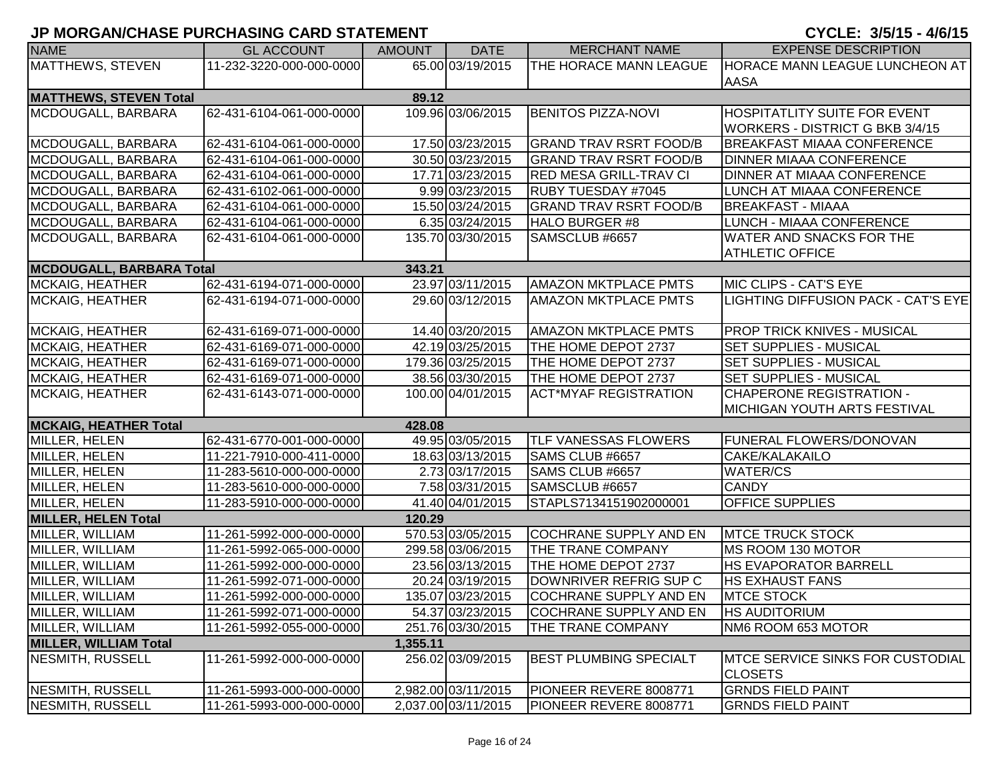| <b>NAME</b>                     | <b>GL ACCOUNT</b>        | <b>AMOUNT</b> | <b>DATE</b>         | <b>MERCHANT NAME</b>          | <b>EXPENSE DESCRIPTION</b>              |
|---------------------------------|--------------------------|---------------|---------------------|-------------------------------|-----------------------------------------|
| <b>MATTHEWS, STEVEN</b>         | 11-232-3220-000-000-0000 |               | 65.00 03/19/2015    | THE HORACE MANN LEAGUE        | <b>HORACE MANN LEAGUE LUNCHEON AT</b>   |
|                                 |                          |               |                     |                               | <b>AASA</b>                             |
| <b>MATTHEWS, STEVEN Total</b>   |                          | 89.12         |                     |                               |                                         |
| MCDOUGALL, BARBARA              | 62-431-6104-061-000-0000 |               | 109.96 03/06/2015   | <b>BENITOS PIZZA-NOVI</b>     | <b>HOSPITATLITY SUITE FOR EVENT</b>     |
|                                 |                          |               |                     |                               | WORKERS - DISTRICT G BKB 3/4/15         |
| MCDOUGALL, BARBARA              | 62-431-6104-061-000-0000 |               | 17.50 03/23/2015    | <b>GRAND TRAV RSRT FOOD/B</b> | <b>BREAKFAST MIAAA CONFERENCE</b>       |
| MCDOUGALL, BARBARA              | 62-431-6104-061-000-0000 |               | 30.50 03/23/2015    | <b>GRAND TRAV RSRT FOOD/B</b> | <b>DINNER MIAAA CONFERENCE</b>          |
| MCDOUGALL, BARBARA              | 62-431-6104-061-000-0000 |               | 17.71 03/23/2015    | <b>RED MESA GRILL-TRAV CI</b> | DINNER AT MIAAA CONFERENCE              |
| MCDOUGALL, BARBARA              | 62-431-6102-061-000-0000 |               | 9.99 03/23/2015     | <b>RUBY TUESDAY #7045</b>     | LUNCH AT MIAAA CONFERENCE               |
| MCDOUGALL, BARBARA              | 62-431-6104-061-000-0000 |               | 15.50 03/24/2015    | <b>GRAND TRAV RSRT FOOD/B</b> | <b>BREAKFAST - MIAAA</b>                |
| MCDOUGALL, BARBARA              | 62-431-6104-061-000-0000 |               | 6.35 03/24/2015     | <b>HALO BURGER #8</b>         | LUNCH - MIAAA CONFERENCE                |
| MCDOUGALL, BARBARA              | 62-431-6104-061-000-0000 |               | 135.70 03/30/2015   | SAMSCLUB #6657                | <b>WATER AND SNACKS FOR THE</b>         |
|                                 |                          |               |                     |                               | <b>ATHLETIC OFFICE</b>                  |
| <b>MCDOUGALL, BARBARA Total</b> |                          | 343.21        |                     |                               |                                         |
| <b>MCKAIG, HEATHER</b>          | 62-431-6194-071-000-0000 |               | 23.97 03/11/2015    | <b>AMAZON MKTPLACE PMTS</b>   | MIC CLIPS - CAT'S EYE                   |
| <b>MCKAIG, HEATHER</b>          | 62-431-6194-071-000-0000 |               | 29.60 03/12/2015    | <b>AMAZON MKTPLACE PMTS</b>   | LIGHTING DIFFUSION PACK - CAT'S EYE     |
|                                 |                          |               |                     |                               |                                         |
| <b>MCKAIG, HEATHER</b>          | 62-431-6169-071-000-0000 |               | 14.40 03/20/2015    | <b>AMAZON MKTPLACE PMTS</b>   | <b>PROP TRICK KNIVES - MUSICAL</b>      |
| <b>MCKAIG, HEATHER</b>          | 62-431-6169-071-000-0000 |               | 42.19 03/25/2015    | THE HOME DEPOT 2737           | <b>SET SUPPLIES - MUSICAL</b>           |
| <b>MCKAIG, HEATHER</b>          | 62-431-6169-071-000-0000 |               | 179.36 03/25/2015   | THE HOME DEPOT 2737           | <b>SET SUPPLIES - MUSICAL</b>           |
| <b>MCKAIG, HEATHER</b>          | 62-431-6169-071-000-0000 |               | 38.56 03/30/2015    | THE HOME DEPOT 2737           | <b>SET SUPPLIES - MUSICAL</b>           |
| <b>MCKAIG, HEATHER</b>          | 62-431-6143-071-000-0000 |               | 100.00 04/01/2015   | <b>ACT*MYAF REGISTRATION</b>  | <b>CHAPERONE REGISTRATION -</b>         |
|                                 |                          |               |                     |                               | <b>MICHIGAN YOUTH ARTS FESTIVAL</b>     |
| <b>MCKAIG, HEATHER Total</b>    |                          | 428.08        |                     |                               |                                         |
| MILLER, HELEN                   | 62-431-6770-001-000-0000 |               | 49.95 03/05/2015    | <b>TLF VANESSAS FLOWERS</b>   | <b>FUNERAL FLOWERS/DONOVAN</b>          |
| MILLER, HELEN                   | 11-221-7910-000-411-0000 |               | 18.63 03/13/2015    | SAMS CLUB #6657               | CAKE/KALAKAILO                          |
| MILLER, HELEN                   | 11-283-5610-000-000-0000 |               | 2.73 03/17/2015     | SAMS CLUB #6657               | <b>WATER/CS</b>                         |
| MILLER, HELEN                   | 11-283-5610-000-000-0000 |               | 7.58 03/31/2015     | SAMSCLUB #6657                | <b>CANDY</b>                            |
| MILLER, HELEN                   | 11-283-5910-000-000-0000 |               | 41.40 04/01/2015    | STAPLS7134151902000001        | <b>OFFICE SUPPLIES</b>                  |
| <b>MILLER, HELEN Total</b>      |                          | 120.29        |                     |                               |                                         |
| MILLER, WILLIAM                 | 11-261-5992-000-000-0000 |               | 570.53 03/05/2015   | <b>COCHRANE SUPPLY AND EN</b> | <b>MTCE TRUCK STOCK</b>                 |
| MILLER, WILLIAM                 | 11-261-5992-065-000-0000 |               | 299.58 03/06/2015   | THE TRANE COMPANY             | MS ROOM 130 MOTOR                       |
| MILLER, WILLIAM                 | 11-261-5992-000-000-0000 |               | 23.56 03/13/2015    | THE HOME DEPOT 2737           | <b>HS EVAPORATOR BARRELL</b>            |
| MILLER, WILLIAM                 | 11-261-5992-071-000-0000 |               | 20.24 03/19/2015    | DOWNRIVER REFRIG SUP C        | <b>HS EXHAUST FANS</b>                  |
| MILLER, WILLIAM                 | 11-261-5992-000-000-0000 |               | 135.07 03/23/2015   | <b>COCHRANE SUPPLY AND EN</b> | <b>MTCE STOCK</b>                       |
| MILLER, WILLIAM                 | 11-261-5992-071-000-0000 |               | 54.37 03/23/2015    | COCHRANE SUPPLY AND EN        | <b>HS AUDITORIUM</b>                    |
| MILLER, WILLIAM                 | 11-261-5992-055-000-0000 |               | 251.76 03/30/2015   | THE TRANE COMPANY             | NM6 ROOM 653 MOTOR                      |
| <b>MILLER, WILLIAM Total</b>    |                          | 1,355.11      |                     |                               |                                         |
| NESMITH, RUSSELL                | 11-261-5992-000-000-0000 |               | 256.02 03/09/2015   | <b>BEST PLUMBING SPECIALT</b> | <b>MTCE SERVICE SINKS FOR CUSTODIAL</b> |
|                                 |                          |               |                     |                               | <b>CLOSETS</b>                          |
| NESMITH, RUSSELL                | 11-261-5993-000-000-0000 |               | 2,982.00 03/11/2015 | PIONEER REVERE 8008771        | <b>GRNDS FIELD PAINT</b>                |
| <b>NESMITH, RUSSELL</b>         | 11-261-5993-000-000-0000 |               | 2,037.00 03/11/2015 | PIONEER REVERE 8008771        | <b>GRNDS FIELD PAINT</b>                |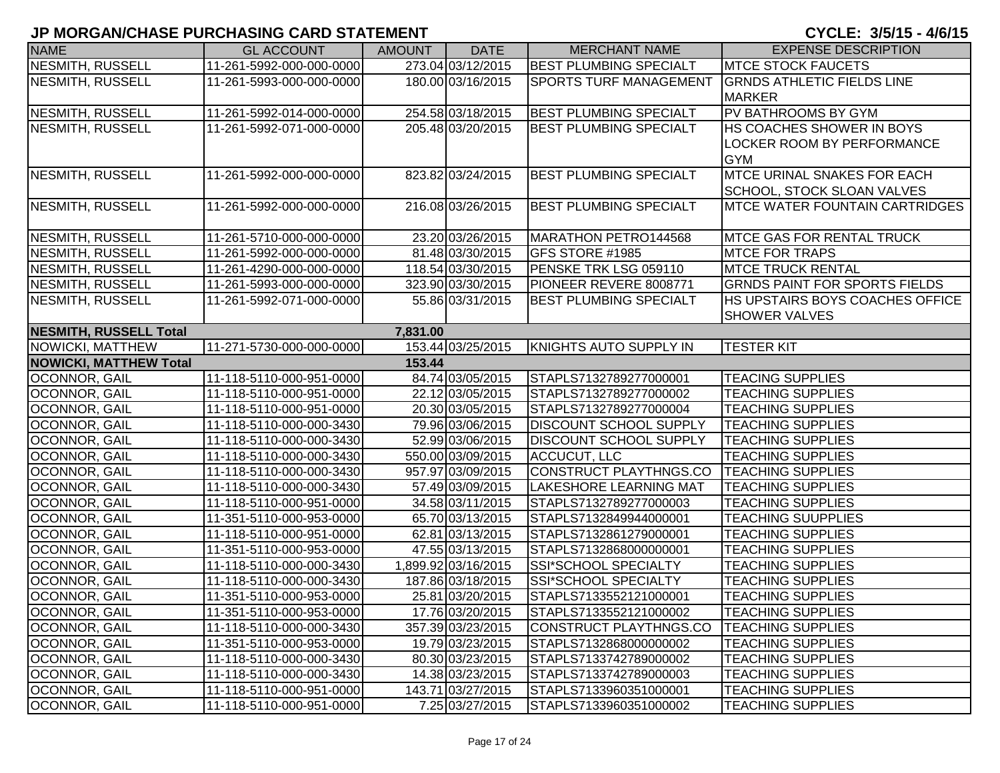| <b>NAME</b>                   | <b>GL ACCOUNT</b>        | <b>AMOUNT</b> | <b>DATE</b>         | <b>MERCHANT NAME</b>          | <b>EXPENSE DESCRIPTION</b>                                                   |
|-------------------------------|--------------------------|---------------|---------------------|-------------------------------|------------------------------------------------------------------------------|
| <b>NESMITH, RUSSELL</b>       | 11-261-5992-000-000-0000 |               | 273.04 03/12/2015   | <b>BEST PLUMBING SPECIALT</b> | <b>IMTCE STOCK FAUCETS</b>                                                   |
| NESMITH, RUSSELL              | 11-261-5993-000-000-0000 |               | 180.00 03/16/2015   | <b>SPORTS TURF MANAGEMENT</b> | <b>GRNDS ATHLETIC FIELDS LINE</b><br><b>MARKER</b>                           |
| <b>NESMITH, RUSSELL</b>       | 11-261-5992-014-000-0000 |               | 254.58 03/18/2015   | <b>BEST PLUMBING SPECIALT</b> | <b>PV BATHROOMS BY GYM</b>                                                   |
| NESMITH, RUSSELL              | 11-261-5992-071-000-0000 |               | 205.48 03/20/2015   | <b>BEST PLUMBING SPECIALT</b> | <b>HS COACHES SHOWER IN BOYS</b><br>LOCKER ROOM BY PERFORMANCE<br><b>GYM</b> |
| NESMITH, RUSSELL              | 11-261-5992-000-000-0000 |               | 823.82 03/24/2015   | <b>BEST PLUMBING SPECIALT</b> | <b>MTCE URINAL SNAKES FOR EACH</b><br>SCHOOL, STOCK SLOAN VALVES             |
| NESMITH, RUSSELL              | 11-261-5992-000-000-0000 |               | 216.08 03/26/2015   | <b>BEST PLUMBING SPECIALT</b> | <b>IMTCE WATER FOUNTAIN CARTRIDGES</b>                                       |
| NESMITH, RUSSELL              | 11-261-5710-000-000-0000 |               | 23.20 03/26/2015    | MARATHON PETRO144568          | <b>MTCE GAS FOR RENTAL TRUCK</b>                                             |
| <b>NESMITH, RUSSELL</b>       | 11-261-5992-000-000-0000 |               | 81.48 03/30/2015    | GFS STORE #1985               | <b>MTCE FOR TRAPS</b>                                                        |
| <b>NESMITH, RUSSELL</b>       | 11-261-4290-000-000-0000 |               | 118.54 03/30/2015   | PENSKE TRK LSG 059110         | <b>MTCE TRUCK RENTAL</b>                                                     |
| <b>NESMITH, RUSSELL</b>       | 11-261-5993-000-000-0000 |               | 323.90 03/30/2015   | PIONEER REVERE 8008771        | <b>GRNDS PAINT FOR SPORTS FIELDS</b>                                         |
| NESMITH, RUSSELL              | 11-261-5992-071-000-0000 |               | 55.86 03/31/2015    | <b>BEST PLUMBING SPECIALT</b> | HS UPSTAIRS BOYS COACHES OFFICE<br><b>SHOWER VALVES</b>                      |
| <b>NESMITH, RUSSELL Total</b> |                          | 7,831.00      |                     |                               |                                                                              |
| NOWICKI, MATTHEW              | 11-271-5730-000-000-0000 |               | 153.44 03/25/2015   | <b>KNIGHTS AUTO SUPPLY IN</b> | <b>TESTER KIT</b>                                                            |
| <b>NOWICKI, MATTHEW Total</b> |                          | 153.44        |                     |                               |                                                                              |
| <b>OCONNOR, GAIL</b>          | 11-118-5110-000-951-0000 |               | 84.74 03/05/2015    | STAPLS7132789277000001        | <b>TEACING SUPPLIES</b>                                                      |
| <b>OCONNOR, GAIL</b>          | 11-118-5110-000-951-0000 |               | 22.12 03/05/2015    | STAPLS7132789277000002        | <b>TEACHING SUPPLIES</b>                                                     |
| <b>OCONNOR, GAIL</b>          | 11-118-5110-000-951-0000 |               | 20.30 03/05/2015    | STAPLS7132789277000004        | <b>TEACHING SUPPLIES</b>                                                     |
| <b>OCONNOR, GAIL</b>          | 11-118-5110-000-000-3430 |               | 79.96 03/06/2015    | <b>DISCOUNT SCHOOL SUPPLY</b> | <b>TEACHING SUPPLIES</b>                                                     |
| <b>OCONNOR, GAIL</b>          | 11-118-5110-000-000-3430 |               | 52.99 03/06/2015    | <b>DISCOUNT SCHOOL SUPPLY</b> | <b>TEACHING SUPPLIES</b>                                                     |
| <b>OCONNOR, GAIL</b>          | 11-118-5110-000-000-3430 |               | 550.00 03/09/2015   | <b>ACCUCUT, LLC</b>           | <b>TEACHING SUPPLIES</b>                                                     |
| <b>OCONNOR, GAIL</b>          | 11-118-5110-000-000-3430 |               | 957.97 03/09/2015   | CONSTRUCT PLAYTHNGS.CO        | <b>TEACHING SUPPLIES</b>                                                     |
| <b>OCONNOR, GAIL</b>          | 11-118-5110-000-000-3430 |               | 57.49 03/09/2015    | <b>LAKESHORE LEARNING MAT</b> | <b>TEACHING SUPPLIES</b>                                                     |
| OCONNOR, GAIL                 | 11-118-5110-000-951-0000 |               | 34.58 03/11/2015    | STAPLS7132789277000003        | <b>TEACHING SUPPLIES</b>                                                     |
| OCONNOR, GAIL                 | 11-351-5110-000-953-0000 |               | 65.70 03/13/2015    | STAPLS7132849944000001        | <b>TEACHING SUUPPLIES</b>                                                    |
| OCONNOR, GAIL                 | 11-118-5110-000-951-0000 |               | 62.81 03/13/2015    | STAPLS7132861279000001        | <b>TEACHING SUPPLIES</b>                                                     |
| <b>OCONNOR, GAIL</b>          | 11-351-5110-000-953-0000 |               | 47.55 03/13/2015    | STAPLS7132868000000001        | <b>TEACHING SUPPLIES</b>                                                     |
| <b>OCONNOR, GAIL</b>          | 11-118-5110-000-000-3430 |               | 1,899.92 03/16/2015 | SSI*SCHOOL SPECIALTY          | <b>TEACHING SUPPLIES</b>                                                     |
| <b>OCONNOR, GAIL</b>          | 11-118-5110-000-000-3430 |               | 187.86 03/18/2015   | SSI*SCHOOL SPECIALTY          | <b>TEACHING SUPPLIES</b>                                                     |
| <b>OCONNOR, GAIL</b>          | 11-351-5110-000-953-0000 |               | 25.81 03/20/2015    | STAPLS7133552121000001        | <b>TEACHING SUPPLIES</b>                                                     |
| OCONNOR, GAIL                 | 11-351-5110-000-953-0000 |               | 17.76 03/20/2015    | STAPLS7133552121000002        | <b>TEACHING SUPPLIES</b>                                                     |
| <b>OCONNOR, GAIL</b>          | 11-118-5110-000-000-3430 |               | 357.39 03/23/2015   | CONSTRUCT PLAYTHNGS.CO        | <b>TEACHING SUPPLIES</b>                                                     |
| OCONNOR, GAIL                 | 11-351-5110-000-953-0000 |               | 19.79 03/23/2015    | STAPLS7132868000000002        | <b>TEACHING SUPPLIES</b>                                                     |
| OCONNOR, GAIL                 | 11-118-5110-000-000-3430 |               | 80.30 03/23/2015    | STAPLS7133742789000002        | <b>TEACHING SUPPLIES</b>                                                     |
| <b>OCONNOR, GAIL</b>          | 11-118-5110-000-000-3430 |               | 14.38 03/23/2015    | STAPLS7133742789000003        | <b>TEACHING SUPPLIES</b>                                                     |
| <b>OCONNOR, GAIL</b>          | 11-118-5110-000-951-0000 |               | 143.71 03/27/2015   | STAPLS7133960351000001        | <b>TEACHING SUPPLIES</b>                                                     |
| <b>OCONNOR, GAIL</b>          | 11-118-5110-000-951-0000 |               | 7.25 03/27/2015     | STAPLS7133960351000002        | <b>TEACHING SUPPLIES</b>                                                     |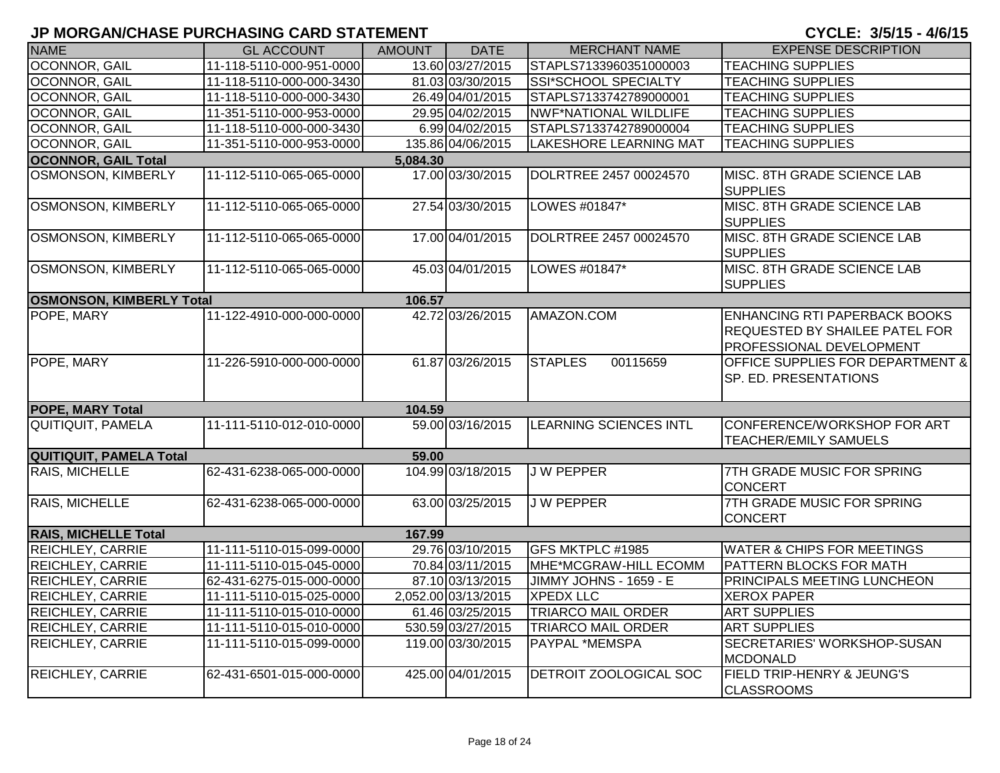| <b>NAME</b>                     | <b>GL ACCOUNT</b>        | <b>AMOUNT</b> | <b>DATE</b>         | <b>MERCHANT NAME</b>          | <b>EXPENSE DESCRIPTION</b>                                                                         |
|---------------------------------|--------------------------|---------------|---------------------|-------------------------------|----------------------------------------------------------------------------------------------------|
| <b>OCONNOR, GAIL</b>            | 11-118-5110-000-951-0000 |               | 13.60 03/27/2015    | STAPLS7133960351000003        | <b>TEACHING SUPPLIES</b>                                                                           |
| <b>OCONNOR, GAIL</b>            | 11-118-5110-000-000-3430 |               | 81.03 03/30/2015    | SSI*SCHOOL SPECIALTY          | <b>TEACHING SUPPLIES</b>                                                                           |
| <b>OCONNOR, GAIL</b>            | 11-118-5110-000-000-3430 |               | 26.49 04/01/2015    | STAPLS7133742789000001        | <b>TEACHING SUPPLIES</b>                                                                           |
| <b>OCONNOR, GAIL</b>            | 11-351-5110-000-953-0000 |               | 29.95 04/02/2015    | <b>NWF*NATIONAL WILDLIFE</b>  | <b>TEACHING SUPPLIES</b>                                                                           |
| OCONNOR, GAIL                   | 11-118-5110-000-000-3430 |               | 6.99 04/02/2015     | STAPLS7133742789000004        | <b>TEACHING SUPPLIES</b>                                                                           |
| <b>OCONNOR, GAIL</b>            | 11-351-5110-000-953-0000 |               | 135.86 04/06/2015   | LAKESHORE LEARNING MAT        | <b>TEACHING SUPPLIES</b>                                                                           |
| <b>OCONNOR, GAIL Total</b>      |                          | 5,084.30      |                     |                               |                                                                                                    |
| <b>OSMONSON, KIMBERLY</b>       | 11-112-5110-065-065-0000 |               | 17.00 03/30/2015    | DOLRTREE 2457 00024570        | MISC. 8TH GRADE SCIENCE LAB<br><b>SUPPLIES</b>                                                     |
| <b>OSMONSON, KIMBERLY</b>       | 11-112-5110-065-065-0000 |               | 27.54 03/30/2015    | LOWES #01847*                 | MISC. 8TH GRADE SCIENCE LAB<br><b>SUPPLIES</b>                                                     |
| <b>OSMONSON, KIMBERLY</b>       | 11-112-5110-065-065-0000 |               | 17.00 04/01/2015    | DOLRTREE 2457 00024570        | MISC. 8TH GRADE SCIENCE LAB<br><b>SUPPLIES</b>                                                     |
| OSMONSON, KIMBERLY              | 11-112-5110-065-065-0000 |               | 45.03 04/01/2015    | LOWES #01847*                 | MISC. 8TH GRADE SCIENCE LAB<br><b>SUPPLIES</b>                                                     |
| <b>OSMONSON, KIMBERLY Total</b> |                          | 106.57        |                     |                               |                                                                                                    |
| POPE, MARY                      | 11-122-4910-000-000-0000 |               | 42.72 03/26/2015    | AMAZON.COM                    | <b>ENHANCING RTI PAPERBACK BOOKS</b><br>REQUESTED BY SHAILEE PATEL FOR<br>PROFESSIONAL DEVELOPMENT |
| POPE, MARY                      | 11-226-5910-000-000-0000 |               | 61.87 03/26/2015    | <b>STAPLES</b><br>00115659    | <b>OFFICE SUPPLIES FOR DEPARTMENT &amp;</b><br>SP. ED. PRESENTATIONS                               |
| <b>POPE, MARY Total</b>         |                          | 104.59        |                     |                               |                                                                                                    |
| <b>QUITIQUIT, PAMELA</b>        | 11-111-5110-012-010-0000 |               | 59.00 03/16/2015    | <b>LEARNING SCIENCES INTL</b> | CONFERENCE/WORKSHOP FOR ART<br><b>TEACHER/EMILY SAMUELS</b>                                        |
| <b>QUITIQUIT, PAMELA Total</b>  |                          | 59.00         |                     |                               |                                                                                                    |
| RAIS, MICHELLE                  | 62-431-6238-065-000-0000 |               | 104.99 03/18/2015   | <b>JW PEPPER</b>              | 7TH GRADE MUSIC FOR SPRING<br><b>CONCERT</b>                                                       |
| RAIS, MICHELLE                  | 62-431-6238-065-000-0000 |               | 63.00 03/25/2015    | <b>JW PEPPER</b>              | 7TH GRADE MUSIC FOR SPRING<br><b>CONCERT</b>                                                       |
| <b>RAIS, MICHELLE Total</b>     |                          | 167.99        |                     |                               |                                                                                                    |
| <b>REICHLEY, CARRIE</b>         | 11-111-5110-015-099-0000 |               | 29.76 03/10/2015    | GFS MKTPLC #1985              | <b>WATER &amp; CHIPS FOR MEETINGS</b>                                                              |
| <b>REICHLEY, CARRIE</b>         | 11-111-5110-015-045-0000 |               | 70.84 03/11/2015    | MHE*MCGRAW-HILL ECOMM         | PATTERN BLOCKS FOR MATH                                                                            |
| <b>REICHLEY, CARRIE</b>         | 62-431-6275-015-000-0000 |               | 87.10 03/13/2015    | JIMMY JOHNS - 1659 - E        | PRINCIPALS MEETING LUNCHEON                                                                        |
| <b>REICHLEY, CARRIE</b>         | 11-111-5110-015-025-0000 |               | 2,052.00 03/13/2015 | <b>XPEDX LLC</b>              | <b>XEROX PAPER</b>                                                                                 |
| <b>REICHLEY, CARRIE</b>         | 11-111-5110-015-010-0000 |               | 61.46 03/25/2015    | <b>TRIARCO MAIL ORDER</b>     | <b>ART SUPPLIES</b>                                                                                |
| <b>REICHLEY, CARRIE</b>         | 11-111-5110-015-010-0000 |               | 530.59 03/27/2015   | <b>TRIARCO MAIL ORDER</b>     | <b>ART SUPPLIES</b>                                                                                |
| <b>REICHLEY, CARRIE</b>         | 11-111-5110-015-099-0000 |               | 119.00 03/30/2015   | PAYPAL *MEMSPA                | SECRETARIES' WORKSHOP-SUSAN<br><b>MCDONALD</b>                                                     |
| <b>REICHLEY, CARRIE</b>         | 62-431-6501-015-000-0000 |               | 425.00 04/01/2015   | DETROIT ZOOLOGICAL SOC        | FIELD TRIP-HENRY & JEUNG'S<br><b>CLASSROOMS</b>                                                    |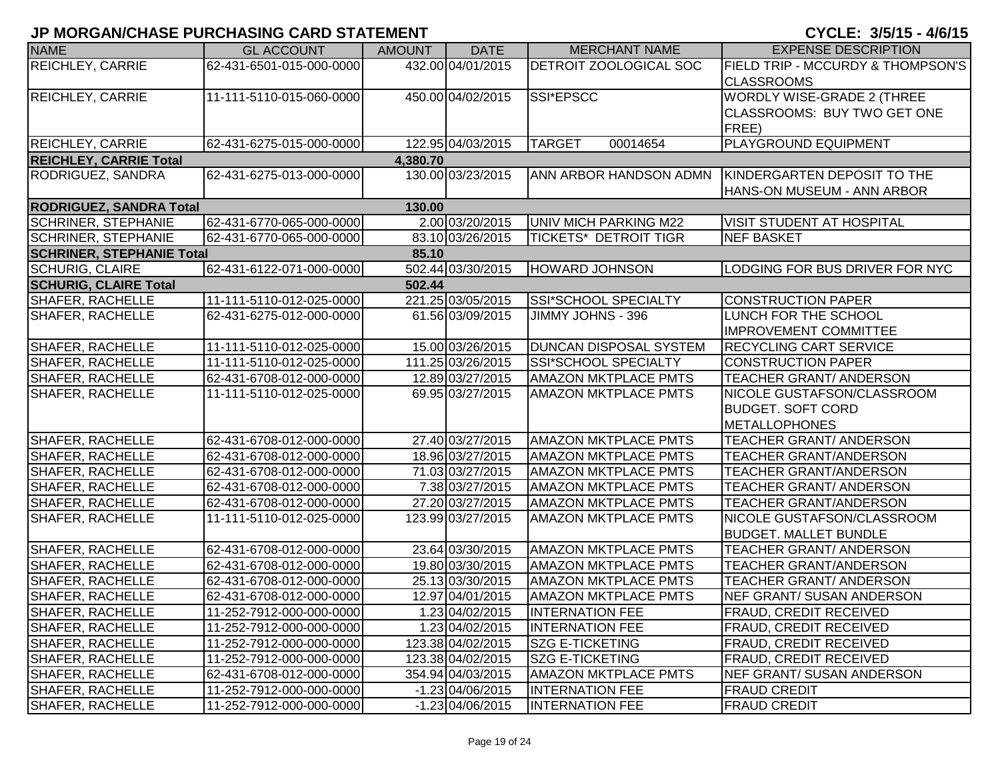| <b>NAME</b>                      | <b>GL ACCOUNT</b>        | <b>AMOUNT</b> | <b>DATE</b>        | <b>MERCHANT NAME</b>          | <b>EXPENSE DESCRIPTION</b>                   |
|----------------------------------|--------------------------|---------------|--------------------|-------------------------------|----------------------------------------------|
| <b>REICHLEY, CARRIE</b>          | 62-431-6501-015-000-0000 |               | 432.00 04/01/2015  | <b>DETROIT ZOOLOGICAL SOC</b> | <b>FIELD TRIP - MCCURDY &amp; THOMPSON'S</b> |
|                                  |                          |               |                    |                               | <b>CLASSROOMS</b>                            |
| <b>REICHLEY, CARRIE</b>          | 11-111-5110-015-060-0000 |               | 450.00 04/02/2015  | SSI*EPSCC                     | <b>WORDLY WISE-GRADE 2 (THREE</b>            |
|                                  |                          |               |                    |                               | CLASSROOMS: BUY TWO GET ONE                  |
|                                  |                          |               |                    |                               | FREE)                                        |
| <b>REICHLEY, CARRIE</b>          | 62-431-6275-015-000-0000 |               | 122.95 04/03/2015  | 00014654<br><b>TARGET</b>     | <b>PLAYGROUND EQUIPMENT</b>                  |
| <b>REICHLEY, CARRIE Total</b>    |                          | 4,380.70      |                    |                               |                                              |
| RODRIGUEZ, SANDRA                | 62-431-6275-013-000-0000 |               | 130.00 03/23/2015  | ANN ARBOR HANDSON ADMN        | KINDERGARTEN DEPOSIT TO THE                  |
|                                  |                          |               |                    |                               | HANS-ON MUSEUM - ANN ARBOR                   |
| <b>RODRIGUEZ, SANDRA Total</b>   |                          | 130.00        |                    |                               |                                              |
| <b>SCHRINER, STEPHANIE</b>       | 62-431-6770-065-000-0000 |               | 2.00 03/20/2015    | <b>UNIV MICH PARKING M22</b>  | VISIT STUDENT AT HOSPITAL                    |
| <b>SCHRINER, STEPHANIE</b>       | 62-431-6770-065-000-0000 |               | 83.10 03/26/2015   | TICKETS* DETROIT TIGR         | <b>NEF BASKET</b>                            |
| <b>SCHRINER, STEPHANIE Total</b> |                          | 85.10         |                    |                               |                                              |
| <b>SCHURIG, CLAIRE</b>           | 62-431-6122-071-000-0000 |               | 502.44 03/30/2015  | <b>HOWARD JOHNSON</b>         | LODGING FOR BUS DRIVER FOR NYC               |
| <b>SCHURIG, CLAIRE Total</b>     |                          | 502.44        |                    |                               |                                              |
| <b>SHAFER, RACHELLE</b>          | 11-111-5110-012-025-0000 |               | 221.25 03/05/2015  | SSI*SCHOOL SPECIALTY          | <b>CONSTRUCTION PAPER</b>                    |
| <b>SHAFER, RACHELLE</b>          | 62-431-6275-012-000-0000 |               | 61.56 03/09/2015   | JIMMY JOHNS - 396             | <b>LUNCH FOR THE SCHOOL</b>                  |
|                                  |                          |               |                    |                               | <b>IMPROVEMENT COMMITTEE</b>                 |
| <b>SHAFER, RACHELLE</b>          | 11-111-5110-012-025-0000 |               | 15.00 03/26/2015   | <b>DUNCAN DISPOSAL SYSTEM</b> | <b>RECYCLING CART SERVICE</b>                |
| <b>SHAFER, RACHELLE</b>          | 11-111-5110-012-025-0000 |               | 111.25 03/26/2015  | SSI*SCHOOL SPECIALTY          | CONSTRUCTION PAPER                           |
| <b>SHAFER, RACHELLE</b>          | 62-431-6708-012-000-0000 |               | 12.89 03/27/2015   | <b>AMAZON MKTPLACE PMTS</b>   | <b>TEACHER GRANT/ ANDERSON</b>               |
| <b>SHAFER, RACHELLE</b>          | 11-111-5110-012-025-0000 |               | 69.95 03/27/2015   | <b>AMAZON MKTPLACE PMTS</b>   | NICOLE GUSTAFSON/CLASSROOM                   |
|                                  |                          |               |                    |                               | <b>BUDGET. SOFT CORD</b>                     |
|                                  |                          |               |                    |                               | METALLOPHONES                                |
| <b>SHAFER, RACHELLE</b>          | 62-431-6708-012-000-0000 |               | 27.40 03/27/2015   | <b>AMAZON MKTPLACE PMTS</b>   | TEACHER GRANT/ ANDERSON                      |
| <b>SHAFER, RACHELLE</b>          | 62-431-6708-012-000-0000 |               | 18.96 03/27/2015   | <b>AMAZON MKTPLACE PMTS</b>   | <b>TEACHER GRANT/ANDERSON</b>                |
| <b>SHAFER, RACHELLE</b>          | 62-431-6708-012-000-0000 |               | 71.03 03/27/2015   | <b>AMAZON MKTPLACE PMTS</b>   | <b>TEACHER GRANT/ANDERSON</b>                |
| <b>SHAFER, RACHELLE</b>          | 62-431-6708-012-000-0000 |               | 7.38 03/27/2015    | <b>AMAZON MKTPLACE PMTS</b>   | <b>TEACHER GRANT/ ANDERSON</b>               |
| <b>SHAFER, RACHELLE</b>          | 62-431-6708-012-000-0000 |               | 27.20 03/27/2015   | <b>AMAZON MKTPLACE PMTS</b>   | <b>TEACHER GRANT/ANDERSON</b>                |
| <b>SHAFER, RACHELLE</b>          | 11-111-5110-012-025-0000 |               | 123.99 03/27/2015  | <b>AMAZON MKTPLACE PMTS</b>   | NICOLE GUSTAFSON/CLASSROOM                   |
|                                  |                          |               |                    |                               | <b>BUDGET. MALLET BUNDLE</b>                 |
| <b>SHAFER, RACHELLE</b>          | 62-431-6708-012-000-0000 |               | 23.64 03/30/2015   | <b>AMAZON MKTPLACE PMTS</b>   | TEACHER GRANT/ ANDERSON                      |
| <b>SHAFER, RACHELLE</b>          | 62-431-6708-012-000-0000 |               | 19.80 03/30/2015   | <b>AMAZON MKTPLACE PMTS</b>   | TEACHER GRANT/ANDERSON                       |
| <b>SHAFER, RACHELLE</b>          | 62-431-6708-012-000-0000 |               | 25.13 03/30/2015   | <b>AMAZON MKTPLACE PMTS</b>   | <b>TEACHER GRANT/ ANDERSON</b>               |
| SHAFER, RACHELLE                 | 62-431-6708-012-000-0000 |               | 12.97 04/01/2015   | <b>AMAZON MKTPLACE PMTS</b>   | NEF GRANT/ SUSAN ANDERSON                    |
| SHAFER, RACHELLE                 | 11-252-7912-000-000-0000 |               | 1.23 04/02/2015    | <b>INTERNATION FEE</b>        | <b>FRAUD, CREDIT RECEIVED</b>                |
| SHAFER, RACHELLE                 | 11-252-7912-000-000-0000 |               | 1.23 04/02/2015    | <b>INTERNATION FEE</b>        | FRAUD, CREDIT RECEIVED                       |
| <b>SHAFER, RACHELLE</b>          | 11-252-7912-000-000-0000 |               | 123.38 04/02/2015  | <b>SZG E-TICKETING</b>        | FRAUD, CREDIT RECEIVED                       |
| <b>SHAFER, RACHELLE</b>          | 11-252-7912-000-000-0000 |               | 123.38 04/02/2015  | <b>SZG E-TICKETING</b>        | <b>FRAUD, CREDIT RECEIVED</b>                |
| SHAFER, RACHELLE                 | 62-431-6708-012-000-0000 |               | 354.94 04/03/2015  | <b>AMAZON MKTPLACE PMTS</b>   | NEF GRANT/ SUSAN ANDERSON                    |
| SHAFER, RACHELLE                 | 11-252-7912-000-000-0000 |               | $-1.23$ 04/06/2015 | <b>INTERNATION FEE</b>        | <b>FRAUD CREDIT</b>                          |
| SHAFER, RACHELLE                 | 11-252-7912-000-000-0000 |               | $-1.23$ 04/06/2015 | <b>INTERNATION FEE</b>        | <b>FRAUD CREDIT</b>                          |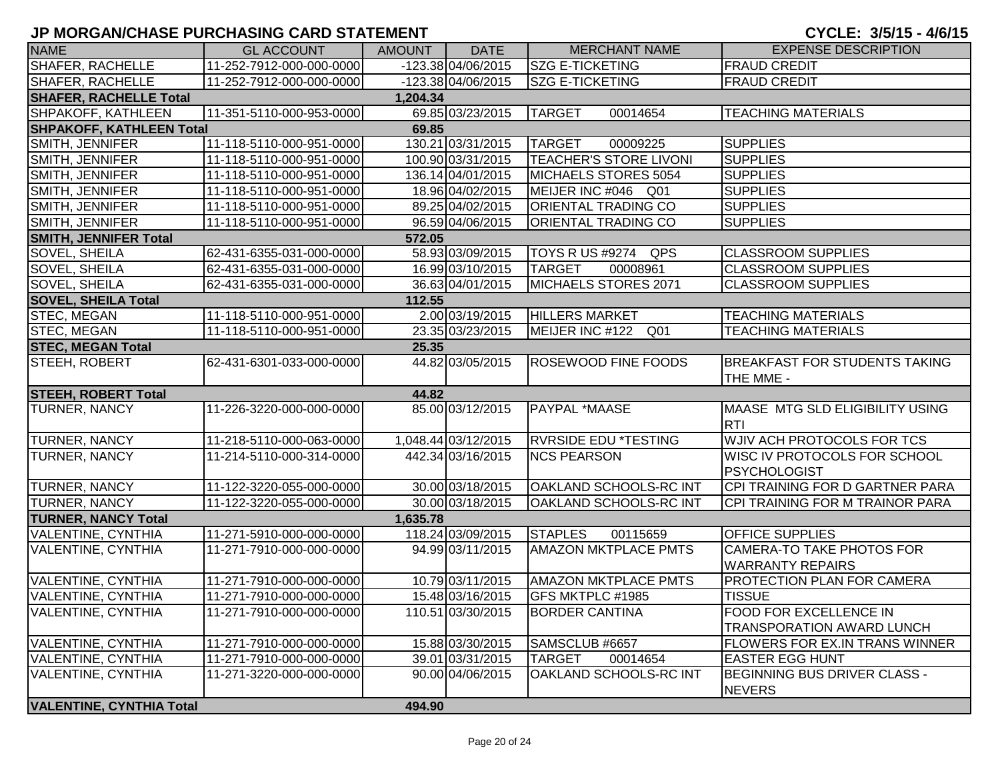| <b>NAME</b>                     | <b>GL ACCOUNT</b>        | AMOUNT   | <b>DATE</b>         | <b>MERCHANT NAME</b>          | <b>EXPENSE DESCRIPTION</b>                                        |
|---------------------------------|--------------------------|----------|---------------------|-------------------------------|-------------------------------------------------------------------|
| SHAFER, RACHELLE                | 11-252-7912-000-000-0000 |          | -123.38 04/06/2015  | <b>SZG E-TICKETING</b>        | <b>FRAUD CREDIT</b>                                               |
| <b>SHAFER, RACHELLE</b>         | 11-252-7912-000-000-0000 |          | -123.38 04/06/2015  | <b>SZG E-TICKETING</b>        | <b>FRAUD CREDIT</b>                                               |
| <b>SHAFER, RACHELLE Total</b>   |                          | 1,204.34 |                     |                               |                                                                   |
| SHPAKOFF, KATHLEEN              | 11-351-5110-000-953-0000 |          | 69.85 03/23/2015    | <b>TARGET</b><br>00014654     | <b>TEACHING MATERIALS</b>                                         |
| <b>SHPAKOFF, KATHLEEN Total</b> |                          | 69.85    |                     |                               |                                                                   |
| SMITH, JENNIFER                 | 11-118-5110-000-951-0000 |          | 130.21 03/31/2015   | <b>TARGET</b><br>00009225     | <b>SUPPLIES</b>                                                   |
| SMITH, JENNIFER                 | 11-118-5110-000-951-0000 |          | 100.90 03/31/2015   | <b>TEACHER'S STORE LIVONI</b> | <b>SUPPLIES</b>                                                   |
| SMITH, JENNIFER                 | 11-118-5110-000-951-0000 |          | 136.14 04/01/2015   | MICHAELS STORES 5054          | <b>SUPPLIES</b>                                                   |
| SMITH, JENNIFER                 | 11-118-5110-000-951-0000 |          | 18.96 04/02/2015    | MEIJER INC #046 Q01           | <b>SUPPLIES</b>                                                   |
| SMITH, JENNIFER                 | 11-118-5110-000-951-0000 |          | 89.25 04/02/2015    | <b>ORIENTAL TRADING CO</b>    | <b>SUPPLIES</b>                                                   |
| SMITH, JENNIFER                 | 11-118-5110-000-951-0000 |          | 96.59 04/06/2015    | <b>ORIENTAL TRADING CO</b>    | <b>SUPPLIES</b>                                                   |
| <b>SMITH, JENNIFER Total</b>    |                          | 572.05   |                     |                               |                                                                   |
| SOVEL, SHEILA                   | 62-431-6355-031-000-0000 |          | 58.93 03/09/2015    | TOYS R US #9274 QPS           | <b>CLASSROOM SUPPLIES</b>                                         |
| SOVEL, SHEILA                   | 62-431-6355-031-000-0000 |          | 16.99 03/10/2015    | <b>TARGET</b><br>00008961     | <b>CLASSROOM SUPPLIES</b>                                         |
| SOVEL, SHEILA                   | 62-431-6355-031-000-0000 |          | 36.63 04/01/2015    | MICHAELS STORES 2071          | <b>CLASSROOM SUPPLIES</b>                                         |
| <b>SOVEL, SHEILA Total</b>      |                          | 112.55   |                     |                               |                                                                   |
| STEC, MEGAN                     | 11-118-5110-000-951-0000 |          | 2.00 03/19/2015     | <b>HILLERS MARKET</b>         | <b>TEACHING MATERIALS</b>                                         |
| STEC, MEGAN                     | 11-118-5110-000-951-0000 |          | 23.35 03/23/2015    | MEIJER INC #122 Q01           | <b>TEACHING MATERIALS</b>                                         |
| <b>STEC, MEGAN Total</b>        |                          | 25.35    |                     |                               |                                                                   |
| STEEH, ROBERT                   | 62-431-6301-033-000-0000 |          | 44.82 03/05/2015    | <b>ROSEWOOD FINE FOODS</b>    | <b>BREAKFAST FOR STUDENTS TAKING</b><br>THE MME -                 |
| <b>STEEH, ROBERT Total</b>      |                          | 44.82    |                     |                               |                                                                   |
| <b>TURNER, NANCY</b>            | 11-226-3220-000-000-0000 |          | 85.00 03/12/2015    | <b>PAYPAL *MAASE</b>          | MAASE MTG SLD ELIGIBILITY USING                                   |
|                                 |                          |          |                     |                               | <b>RTI</b>                                                        |
| <b>TURNER, NANCY</b>            | 11-218-5110-000-063-0000 |          | 1,048.44 03/12/2015 | <b>RVRSIDE EDU *TESTING</b>   | <b>WJIV ACH PROTOCOLS FOR TCS</b>                                 |
| <b>TURNER, NANCY</b>            | 11-214-5110-000-314-0000 |          | 442.34 03/16/2015   | <b>NCS PEARSON</b>            | <b>WISC IV PROTOCOLS FOR SCHOOL</b><br><b>PSYCHOLOGIST</b>        |
| <b>TURNER, NANCY</b>            | 11-122-3220-055-000-0000 |          | 30.00 03/18/2015    | <b>OAKLAND SCHOOLS-RC INT</b> | CPI TRAINING FOR D GARTNER PARA                                   |
| <b>TURNER, NANCY</b>            | 11-122-3220-055-000-0000 |          | 30.00 03/18/2015    | OAKLAND SCHOOLS-RC INT        | CPI TRAINING FOR M TRAINOR PARA                                   |
| <b>TURNER, NANCY Total</b>      |                          | 1,635.78 |                     |                               |                                                                   |
| <b>VALENTINE, CYNTHIA</b>       | 11-271-5910-000-000-0000 |          | 118.24 03/09/2015   | <b>STAPLES</b><br>00115659    | <b>OFFICE SUPPLIES</b>                                            |
| <b>VALENTINE, CYNTHIA</b>       | 11-271-7910-000-000-0000 |          | 94.99 03/11/2015    | <b>AMAZON MKTPLACE PMTS</b>   | CAMERA-TO TAKE PHOTOS FOR<br><b>WARRANTY REPAIRS</b>              |
| <b>VALENTINE, CYNTHIA</b>       | 11-271-7910-000-000-0000 |          | 10.79 03/11/2015    | <b>AMAZON MKTPLACE PMTS</b>   | PROTECTION PLAN FOR CAMERA                                        |
| VALENTINE, CYNTHIA              | 11-271-7910-000-000-0000 |          | 15.48 03/16/2015    | GFS MKTPLC #1985              | <b>TISSUE</b>                                                     |
| <b>VALENTINE, CYNTHIA</b>       | 11-271-7910-000-000-0000 |          | 110.51 03/30/2015   | <b>BORDER CANTINA</b>         | <b>FOOD FOR EXCELLENCE IN</b><br><b>TRANSPORATION AWARD LUNCH</b> |
| <b>VALENTINE, CYNTHIA</b>       | 11-271-7910-000-000-0000 |          | 15.88 03/30/2015    | SAMSCLUB #6657                | FLOWERS FOR EX.IN TRANS WINNER                                    |
| <b>VALENTINE, CYNTHIA</b>       | 11-271-7910-000-000-0000 |          | 39.01 03/31/2015    | <b>TARGET</b><br>00014654     | <b>EASTER EGG HUNT</b>                                            |
| <b>VALENTINE, CYNTHIA</b>       | 11-271-3220-000-000-0000 |          | 90.00 04/06/2015    | OAKLAND SCHOOLS-RC INT        | BEGINNING BUS DRIVER CLASS -<br><b>NEVERS</b>                     |
| <b>VALENTINE, CYNTHIA Total</b> |                          | 494.90   |                     |                               |                                                                   |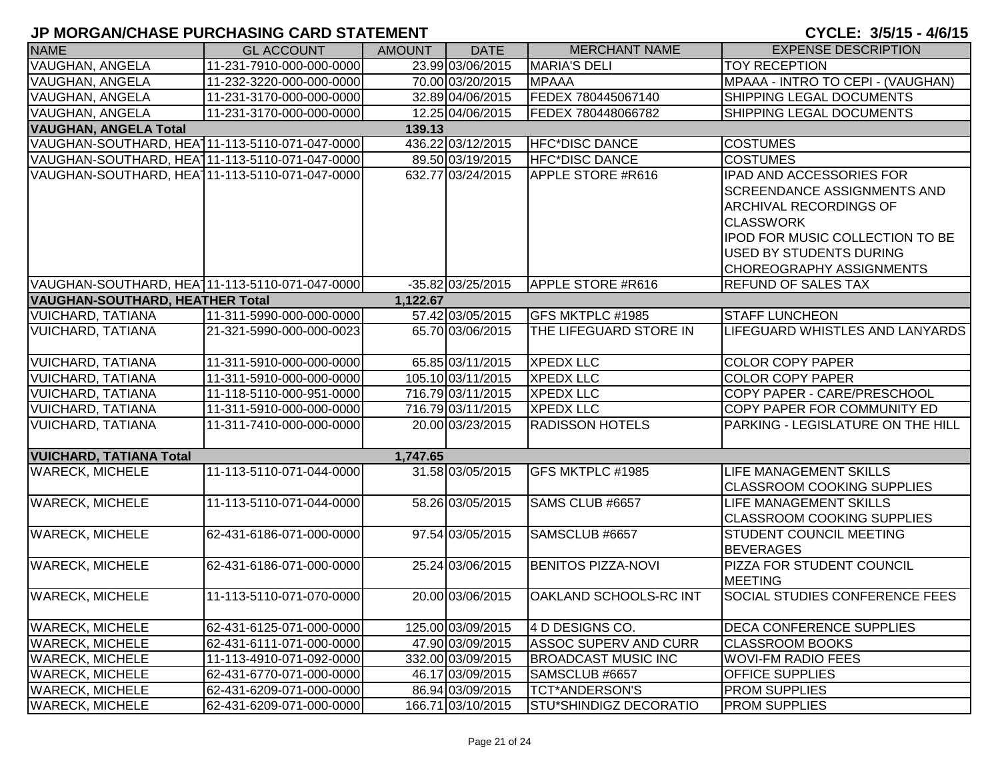| <b>NAME</b>                                    | <b>GL ACCOUNT</b>        | <b>AMOUNT</b> | <b>DATE</b>       | <b>MERCHANT NAME</b>          | <b>EXPENSE DESCRIPTION</b>                                                                                                                                                        |
|------------------------------------------------|--------------------------|---------------|-------------------|-------------------------------|-----------------------------------------------------------------------------------------------------------------------------------------------------------------------------------|
| <b>VAUGHAN, ANGELA</b>                         | 11-231-7910-000-000-0000 |               | 23.99 03/06/2015  | <b>MARIA'S DELI</b>           | <b>TOY RECEPTION</b>                                                                                                                                                              |
| VAUGHAN, ANGELA                                | 11-232-3220-000-000-0000 |               | 70.00 03/20/2015  | <b>MPAAA</b>                  | MPAAA - INTRO TO CEPI - (VAUGHAN)                                                                                                                                                 |
| VAUGHAN, ANGELA                                | 11-231-3170-000-000-0000 |               | 32.89 04/06/2015  | FEDEX 780445067140            | SHIPPING LEGAL DOCUMENTS                                                                                                                                                          |
| <b>VAUGHAN, ANGELA</b>                         | 11-231-3170-000-000-0000 |               | 12.25 04/06/2015  | FEDEX 780448066782            | SHIPPING LEGAL DOCUMENTS                                                                                                                                                          |
| <b>VAUGHAN, ANGELA Total</b>                   |                          | 139.13        |                   |                               |                                                                                                                                                                                   |
| VAUGHAN-SOUTHARD, HEA111-113-5110-071-047-0000 |                          |               | 436.22 03/12/2015 | <b>HFC*DISC DANCE</b>         | <b>COSTUMES</b>                                                                                                                                                                   |
| VAUGHAN-SOUTHARD, HEA111-113-5110-071-047-0000 |                          |               | 89.50 03/19/2015  | <b>HFC*DISC DANCE</b>         | <b>COSTUMES</b>                                                                                                                                                                   |
| VAUGHAN-SOUTHARD, HEA111-113-5110-071-047-0000 |                          |               | 632.77 03/24/2015 | <b>APPLE STORE #R616</b>      | IPAD AND ACCESSORIES FOR<br><b>SCREENDANCE ASSIGNMENTS AND</b><br><b>ARCHIVAL RECORDINGS OF</b><br><b>CLASSWORK</b><br>IPOD FOR MUSIC COLLECTION TO BE<br>USED BY STUDENTS DURING |
|                                                |                          |               |                   |                               | <b>CHOREOGRAPHY ASSIGNMENTS</b>                                                                                                                                                   |
| VAUGHAN-SOUTHARD, HEA111-113-5110-071-047-0000 |                          |               | -35.82 03/25/2015 | APPLE STORE #R616             | <b>REFUND OF SALES TAX</b>                                                                                                                                                        |
| <b>VAUGHAN-SOUTHARD, HEATHER Total</b>         |                          | 1,122.67      |                   |                               |                                                                                                                                                                                   |
| <b>VUICHARD, TATIANA</b>                       | 11-311-5990-000-000-0000 |               | 57.42 03/05/2015  | GFS MKTPLC #1985              | <b>STAFF LUNCHEON</b>                                                                                                                                                             |
| <b>VUICHARD, TATIANA</b>                       | 21-321-5990-000-000-0023 |               | 65.70 03/06/2015  | THE LIFEGUARD STORE IN        | LIFEGUARD WHISTLES AND LANYARDS                                                                                                                                                   |
| <b>VUICHARD, TATIANA</b>                       | 11-311-5910-000-000-0000 |               | 65.85 03/11/2015  | <b>XPEDX LLC</b>              | <b>COLOR COPY PAPER</b>                                                                                                                                                           |
| <b>VUICHARD, TATIANA</b>                       | 11-311-5910-000-000-0000 |               | 105.10 03/11/2015 | <b>XPEDX LLC</b>              | <b>COLOR COPY PAPER</b>                                                                                                                                                           |
| <b>VUICHARD, TATIANA</b>                       | 11-118-5110-000-951-0000 |               | 716.79 03/11/2015 | <b>XPEDX LLC</b>              | COPY PAPER - CARE/PRESCHOOL                                                                                                                                                       |
| <b>VUICHARD, TATIANA</b>                       | 11-311-5910-000-000-0000 |               | 716.79 03/11/2015 | <b>XPEDX LLC</b>              | COPY PAPER FOR COMMUNITY ED                                                                                                                                                       |
| <b>VUICHARD, TATIANA</b>                       | 11-311-7410-000-000-0000 |               | 20.00 03/23/2015  | <b>RADISSON HOTELS</b>        | PARKING - LEGISLATURE ON THE HILL                                                                                                                                                 |
| <b>VUICHARD, TATIANA Total</b>                 |                          | 1,747.65      |                   |                               |                                                                                                                                                                                   |
| <b>WARECK, MICHELE</b>                         | 11-113-5110-071-044-0000 |               | 31.58 03/05/2015  | GFS MKTPLC #1985              | <b>LIFE MANAGEMENT SKILLS</b><br><b>CLASSROOM COOKING SUPPLIES</b>                                                                                                                |
| <b>WARECK, MICHELE</b>                         | 11-113-5110-071-044-0000 |               | 58.26 03/05/2015  | SAMS CLUB #6657               | LIFE MANAGEMENT SKILLS<br><b>CLASSROOM COOKING SUPPLIES</b>                                                                                                                       |
| <b>WARECK, MICHELE</b>                         | 62-431-6186-071-000-0000 |               | 97.54 03/05/2015  | SAMSCLUB #6657                | <b>STUDENT COUNCIL MEETING</b><br><b>BEVERAGES</b>                                                                                                                                |
| <b>WARECK, MICHELE</b>                         | 62-431-6186-071-000-0000 |               | 25.24 03/06/2015  | <b>BENITOS PIZZA-NOVI</b>     | PIZZA FOR STUDENT COUNCIL<br><b>MEETING</b>                                                                                                                                       |
| <b>WARECK, MICHELE</b>                         | 11-113-5110-071-070-0000 |               | 20.00 03/06/2015  | <b>OAKLAND SCHOOLS-RC INT</b> | SOCIAL STUDIES CONFERENCE FEES                                                                                                                                                    |
| <b>WARECK, MICHELE</b>                         | 62-431-6125-071-000-0000 |               | 125.00 03/09/2015 | 4 D DESIGNS CO.               | <b>DECA CONFERENCE SUPPLIES</b>                                                                                                                                                   |
| <b>WARECK, MICHELE</b>                         | 62-431-6111-071-000-0000 |               | 47.90 03/09/2015  | <b>ASSOC SUPERV AND CURR</b>  | <b>CLASSROOM BOOKS</b>                                                                                                                                                            |
| <b>WARECK, MICHELE</b>                         | 11-113-4910-071-092-0000 |               | 332.00 03/09/2015 | <b>BROADCAST MUSIC INC</b>    | <b>WOVI-FM RADIO FEES</b>                                                                                                                                                         |
| <b>WARECK, MICHELE</b>                         | 62-431-6770-071-000-0000 |               | 46.17 03/09/2015  | SAMSCLUB #6657                | <b>OFFICE SUPPLIES</b>                                                                                                                                                            |
| <b>WARECK, MICHELE</b>                         | 62-431-6209-071-000-0000 |               | 86.94 03/09/2015  | <b>TCT*ANDERSON'S</b>         | <b>PROM SUPPLIES</b>                                                                                                                                                              |
| <b>WARECK, MICHELE</b>                         | 62-431-6209-071-000-0000 |               | 166.71 03/10/2015 | <b>STU*SHINDIGZ DECORATIO</b> | <b>PROM SUPPLIES</b>                                                                                                                                                              |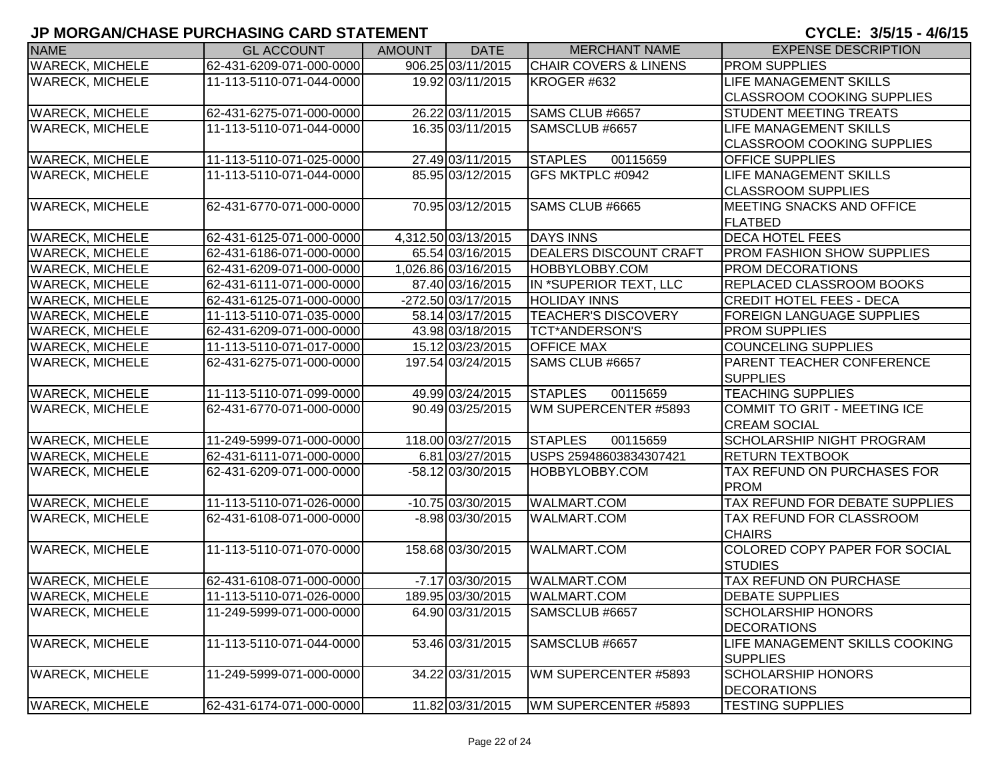| <b>NAME</b>            | <b>GL ACCOUNT</b>        | <b>AMOUNT</b> | <b>DATE</b>         | <b>MERCHANT NAME</b>             | <b>EXPENSE DESCRIPTION</b>        |
|------------------------|--------------------------|---------------|---------------------|----------------------------------|-----------------------------------|
| <b>WARECK, MICHELE</b> | 62-431-6209-071-000-0000 |               | 906.25 03/11/2015   | <b>CHAIR COVERS &amp; LINENS</b> | <b>PROM SUPPLIES</b>              |
| <b>WARECK, MICHELE</b> | 11-113-5110-071-044-0000 |               | 19.92 03/11/2015    | KROGER #632                      | <b>LIFE MANAGEMENT SKILLS</b>     |
|                        |                          |               |                     |                                  | <b>CLASSROOM COOKING SUPPLIES</b> |
| <b>WARECK, MICHELE</b> | 62-431-6275-071-000-0000 |               | 26.22 03/11/2015    | SAMS CLUB #6657                  | <b>STUDENT MEETING TREATS</b>     |
| <b>WARECK, MICHELE</b> | 11-113-5110-071-044-0000 |               | 16.35 03/11/2015    | SAMSCLUB #6657                   | <b>LIFE MANAGEMENT SKILLS</b>     |
|                        |                          |               |                     |                                  | <b>CLASSROOM COOKING SUPPLIES</b> |
| <b>WARECK, MICHELE</b> | 11-113-5110-071-025-0000 |               | 27.49 03/11/2015    | <b>STAPLES</b><br>00115659       | <b>OFFICE SUPPLIES</b>            |
| <b>WARECK, MICHELE</b> | 11-113-5110-071-044-0000 |               | 85.95 03/12/2015    | GFS MKTPLC #0942                 | <b>LIFE MANAGEMENT SKILLS</b>     |
|                        |                          |               |                     |                                  | <b>CLASSROOM SUPPLIES</b>         |
| <b>WARECK, MICHELE</b> | 62-431-6770-071-000-0000 |               | 70.95 03/12/2015    | SAMS CLUB #6665                  | <b>IMEETING SNACKS AND OFFICE</b> |
|                        |                          |               |                     |                                  | <b>FLATBED</b>                    |
| <b>WARECK, MICHELE</b> | 62-431-6125-071-000-0000 |               | 4,312.50 03/13/2015 | <b>DAYS INNS</b>                 | <b>DECA HOTEL FEES</b>            |
| <b>WARECK, MICHELE</b> | 62-431-6186-071-000-0000 |               | 65.54 03/16/2015    | <b>DEALERS DISCOUNT CRAFT</b>    | <b>PROM FASHION SHOW SUPPLIES</b> |
| <b>WARECK, MICHELE</b> | 62-431-6209-071-000-0000 |               | 1,026.86 03/16/2015 | HOBBYLOBBY.COM                   | PROM DECORATIONS                  |
| <b>WARECK, MICHELE</b> | 62-431-6111-071-000-0000 |               | 87.40 03/16/2015    | IN *SUPERIOR TEXT, LLC           | REPLACED CLASSROOM BOOKS          |
| <b>WARECK, MICHELE</b> | 62-431-6125-071-000-0000 |               | -272.50 03/17/2015  | <b>HOLIDAY INNS</b>              | <b>CREDIT HOTEL FEES - DECA</b>   |
| <b>WARECK, MICHELE</b> | 11-113-5110-071-035-0000 |               | 58.14 03/17/2015    | <b>TEACHER'S DISCOVERY</b>       | <b>FOREIGN LANGUAGE SUPPLIES</b>  |
| <b>WARECK, MICHELE</b> | 62-431-6209-071-000-0000 |               | 43.98 03/18/2015    | <b>TCT*ANDERSON'S</b>            | <b>PROM SUPPLIES</b>              |
| <b>WARECK, MICHELE</b> | 11-113-5110-071-017-0000 |               | 15.12 03/23/2015    | <b>OFFICE MAX</b>                | <b>COUNCELING SUPPLIES</b>        |
| <b>WARECK, MICHELE</b> | 62-431-6275-071-000-0000 |               | 197.54 03/24/2015   | SAMS CLUB #6657                  | <b>PARENT TEACHER CONFERENCE</b>  |
|                        |                          |               |                     |                                  | <b>SUPPLIES</b>                   |
| <b>WARECK, MICHELE</b> | 11-113-5110-071-099-0000 |               | 49.99 03/24/2015    | <b>STAPLES</b><br>00115659       | <b>TEACHING SUPPLIES</b>          |
| <b>WARECK, MICHELE</b> | 62-431-6770-071-000-0000 |               | 90.49 03/25/2015    | WM SUPERCENTER #5893             | COMMIT TO GRIT - MEETING ICE      |
|                        |                          |               |                     |                                  | <b>CREAM SOCIAL</b>               |
| <b>WARECK, MICHELE</b> | 11-249-5999-071-000-0000 |               | 118.00 03/27/2015   | <b>STAPLES</b><br>00115659       | <b>SCHOLARSHIP NIGHT PROGRAM</b>  |
| <b>WARECK, MICHELE</b> | 62-431-6111-071-000-0000 |               | 6.81 03/27/2015     | USPS 25948603834307421           | <b>RETURN TEXTBOOK</b>            |
| <b>WARECK, MICHELE</b> | 62-431-6209-071-000-0000 |               | -58.12 03/30/2015   | <b>HOBBYLOBBY.COM</b>            | TAX REFUND ON PURCHASES FOR       |
|                        |                          |               |                     |                                  | <b>PROM</b>                       |
| <b>WARECK, MICHELE</b> | 11-113-5110-071-026-0000 |               | -10.75 03/30/2015   | <b>WALMART.COM</b>               | TAX REFUND FOR DEBATE SUPPLIES    |
| <b>WARECK, MICHELE</b> | 62-431-6108-071-000-0000 |               | $-8.98$ 03/30/2015  | WALMART.COM                      | TAX REFUND FOR CLASSROOM          |
|                        |                          |               |                     |                                  | <b>CHAIRS</b>                     |
| <b>WARECK, MICHELE</b> | 11-113-5110-071-070-0000 |               | 158.68 03/30/2015   | WALMART.COM                      | COLORED COPY PAPER FOR SOCIAL     |
|                        |                          |               |                     |                                  | <b>STUDIES</b>                    |
| <b>WARECK, MICHELE</b> | 62-431-6108-071-000-0000 |               | $-7.17$ 03/30/2015  | <b>WALMART.COM</b>               | <b>TAX REFUND ON PURCHASE</b>     |
| <b>WARECK, MICHELE</b> | 11-113-5110-071-026-0000 |               | 189.95 03/30/2015   | <b>WALMART.COM</b>               | <b>DEBATE SUPPLIES</b>            |
| <b>WARECK, MICHELE</b> | 11-249-5999-071-000-0000 |               | 64.90 03/31/2015    | SAMSCLUB #6657                   | <b>SCHOLARSHIP HONORS</b>         |
|                        |                          |               |                     |                                  | <b>DECORATIONS</b>                |
| <b>WARECK, MICHELE</b> | 11-113-5110-071-044-0000 |               | 53.46 03/31/2015    | SAMSCLUB #6657                   | LIFE MANAGEMENT SKILLS COOKING    |
|                        |                          |               |                     |                                  | <b>SUPPLIES</b>                   |
| <b>WARECK, MICHELE</b> | 11-249-5999-071-000-0000 |               | 34.22 03/31/2015    | WM SUPERCENTER #5893             | <b>SCHOLARSHIP HONORS</b>         |
|                        |                          |               |                     |                                  | <b>DECORATIONS</b>                |
| <b>WARECK, MICHELE</b> | 62-431-6174-071-000-0000 |               | 11.82 03/31/2015    | WM SUPERCENTER #5893             | <b>TESTING SUPPLIES</b>           |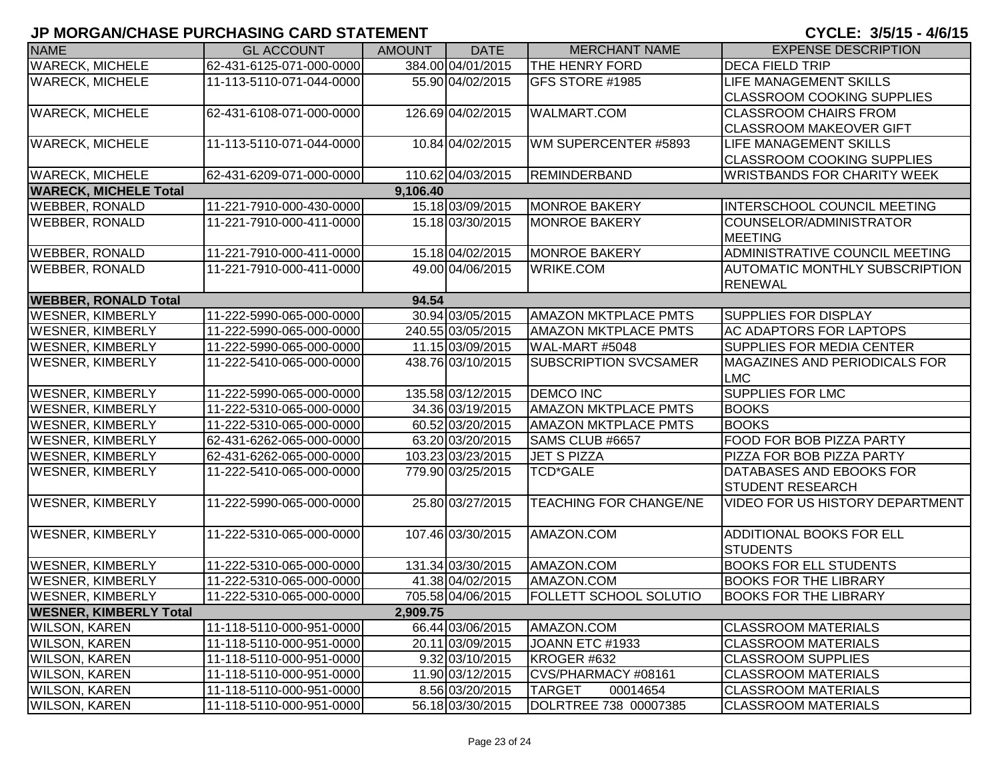| <b>NAME</b>                   | <b>GL ACCOUNT</b>        | <b>AMOUNT</b> | <b>DATE</b>       | <b>MERCHANT NAME</b>          | <b>EXPENSE DESCRIPTION</b>            |
|-------------------------------|--------------------------|---------------|-------------------|-------------------------------|---------------------------------------|
| <b>WARECK, MICHELE</b>        | 62-431-6125-071-000-0000 |               | 384.00 04/01/2015 | <b>THE HENRY FORD</b>         | <b>DECA FIELD TRIP</b>                |
| <b>WARECK, MICHELE</b>        | 11-113-5110-071-044-0000 |               | 55.90 04/02/2015  | GFS STORE #1985               | <b>LIFE MANAGEMENT SKILLS</b>         |
|                               |                          |               |                   |                               | <b>CLASSROOM COOKING SUPPLIES</b>     |
| <b>WARECK, MICHELE</b>        | 62-431-6108-071-000-0000 |               | 126.69 04/02/2015 | <b>WALMART.COM</b>            | <b>CLASSROOM CHAIRS FROM</b>          |
|                               |                          |               |                   |                               | <b>CLASSROOM MAKEOVER GIFT</b>        |
| <b>WARECK, MICHELE</b>        | 11-113-5110-071-044-0000 |               | 10.84 04/02/2015  | WM SUPERCENTER #5893          | <b>LIFE MANAGEMENT SKILLS</b>         |
|                               |                          |               |                   |                               | <b>CLASSROOM COOKING SUPPLIES</b>     |
| <b>WARECK, MICHELE</b>        | 62-431-6209-071-000-0000 |               | 110.62 04/03/2015 | <b>REMINDERBAND</b>           | <b>WRISTBANDS FOR CHARITY WEEK</b>    |
| <b>WARECK, MICHELE Total</b>  |                          | 9,106.40      |                   |                               |                                       |
| <b>WEBBER, RONALD</b>         | 11-221-7910-000-430-0000 |               | 15.18 03/09/2015  | <b>MONROE BAKERY</b>          | <b>INTERSCHOOL COUNCIL MEETING</b>    |
| <b>WEBBER, RONALD</b>         | 11-221-7910-000-411-0000 |               | 15.18 03/30/2015  | <b>MONROE BAKERY</b>          | COUNSELOR/ADMINISTRATOR               |
|                               |                          |               |                   |                               | <b>MEETING</b>                        |
| <b>WEBBER, RONALD</b>         | 11-221-7910-000-411-0000 |               | 15.18 04/02/2015  | <b>MONROE BAKERY</b>          | ADMINISTRATIVE COUNCIL MEETING        |
| <b>WEBBER, RONALD</b>         | 11-221-7910-000-411-0000 |               | 49.00 04/06/2015  | <b>WRIKE.COM</b>              | <b>AUTOMATIC MONTHLY SUBSCRIPTION</b> |
|                               |                          |               |                   |                               | <b>RENEWAL</b>                        |
| <b>WEBBER, RONALD Total</b>   |                          | 94.54         |                   |                               |                                       |
| <b>WESNER, KIMBERLY</b>       | 11-222-5990-065-000-0000 |               | 30.94 03/05/2015  | <b>AMAZON MKTPLACE PMTS</b>   | <b>SUPPLIES FOR DISPLAY</b>           |
| <b>WESNER, KIMBERLY</b>       | 11-222-5990-065-000-0000 |               | 240.55 03/05/2015 | <b>AMAZON MKTPLACE PMTS</b>   | <b>AC ADAPTORS FOR LAPTOPS</b>        |
| <b>WESNER, KIMBERLY</b>       | 11-222-5990-065-000-0000 |               | 11.15 03/09/2015  | WAL-MART #5048                | <b>SUPPLIES FOR MEDIA CENTER</b>      |
| <b>WESNER, KIMBERLY</b>       | 11-222-5410-065-000-0000 |               | 438.76 03/10/2015 | <b>SUBSCRIPTION SVCSAMER</b>  | <b>MAGAZINES AND PERIODICALS FOR</b>  |
|                               |                          |               |                   |                               | <b>LMC</b>                            |
| <b>WESNER, KIMBERLY</b>       | 11-222-5990-065-000-0000 |               | 135.58 03/12/2015 | <b>DEMCO INC</b>              | <b>SUPPLIES FOR LMC</b>               |
| <b>WESNER, KIMBERLY</b>       | 11-222-5310-065-000-0000 |               | 34.36 03/19/2015  | <b>AMAZON MKTPLACE PMTS</b>   | <b>BOOKS</b>                          |
| <b>WESNER, KIMBERLY</b>       | 11-222-5310-065-000-0000 |               | 60.52 03/20/2015  | <b>AMAZON MKTPLACE PMTS</b>   | <b>BOOKS</b>                          |
| <b>WESNER, KIMBERLY</b>       | 62-431-6262-065-000-0000 |               | 63.20 03/20/2015  | SAMS CLUB #6657               | FOOD FOR BOB PIZZA PARTY              |
| <b>WESNER, KIMBERLY</b>       | 62-431-6262-065-000-0000 |               | 103.23 03/23/2015 | <b>JET S PIZZA</b>            | PIZZA FOR BOB PIZZA PARTY             |
| <b>WESNER, KIMBERLY</b>       | 11-222-5410-065-000-0000 |               | 779.90 03/25/2015 | <b>TCD*GALE</b>               | DATABASES AND EBOOKS FOR              |
|                               |                          |               |                   |                               | <b>STUDENT RESEARCH</b>               |
| <b>WESNER, KIMBERLY</b>       | 11-222-5990-065-000-0000 |               | 25.80 03/27/2015  | <b>TEACHING FOR CHANGE/NE</b> | VIDEO FOR US HISTORY DEPARTMENT       |
|                               |                          |               |                   |                               |                                       |
| <b>WESNER, KIMBERLY</b>       | 11-222-5310-065-000-0000 |               | 107.46 03/30/2015 | AMAZON.COM                    | ADDITIONAL BOOKS FOR ELL              |
|                               |                          |               |                   |                               | <b>STUDENTS</b>                       |
| <b>WESNER, KIMBERLY</b>       | 11-222-5310-065-000-0000 |               | 131.34 03/30/2015 | AMAZON.COM                    | <b>BOOKS FOR ELL STUDENTS</b>         |
| <b>WESNER, KIMBERLY</b>       | 11-222-5310-065-000-0000 |               | 41.38 04/02/2015  | AMAZON.COM                    | <b>BOOKS FOR THE LIBRARY</b>          |
| <b>WESNER, KIMBERLY</b>       | 11-222-5310-065-000-0000 |               | 705.58 04/06/2015 | <b>FOLLETT SCHOOL SOLUTIO</b> | <b>BOOKS FOR THE LIBRARY</b>          |
| <b>WESNER, KIMBERLY Total</b> |                          | 2,909.75      |                   |                               |                                       |
| <b>WILSON, KAREN</b>          | 11-118-5110-000-951-0000 |               | 66.44 03/06/2015  | AMAZON.COM                    | <b>CLASSROOM MATERIALS</b>            |
| <b>WILSON, KAREN</b>          | 11-118-5110-000-951-0000 |               | 20.11 03/09/2015  | JOANN ETC #1933               | <b>CLASSROOM MATERIALS</b>            |
| <b>WILSON, KAREN</b>          | 11-118-5110-000-951-0000 |               | 9.32 03/10/2015   | KROGER #632                   | <b>CLASSROOM SUPPLIES</b>             |
| <b>WILSON, KAREN</b>          | 11-118-5110-000-951-0000 |               | 11.90 03/12/2015  | CVS/PHARMACY #08161           | <b>CLASSROOM MATERIALS</b>            |
| <b>WILSON, KAREN</b>          | 11-118-5110-000-951-0000 |               | 8.56 03/20/2015   | <b>TARGET</b><br>00014654     | <b>CLASSROOM MATERIALS</b>            |
| <b>WILSON, KAREN</b>          | 11-118-5110-000-951-0000 |               | 56.18 03/30/2015  | DOLRTREE 738 00007385         | <b>CLASSROOM MATERIALS</b>            |